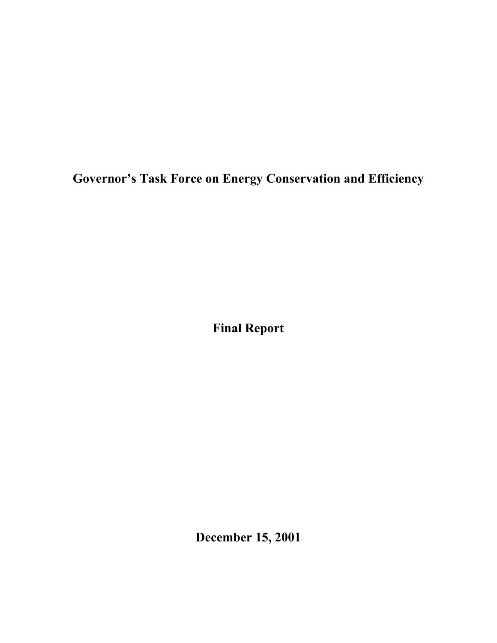**Governor's Task Force on Energy Conservation and Efficiency**

**Final Report**

**December 15, 2001**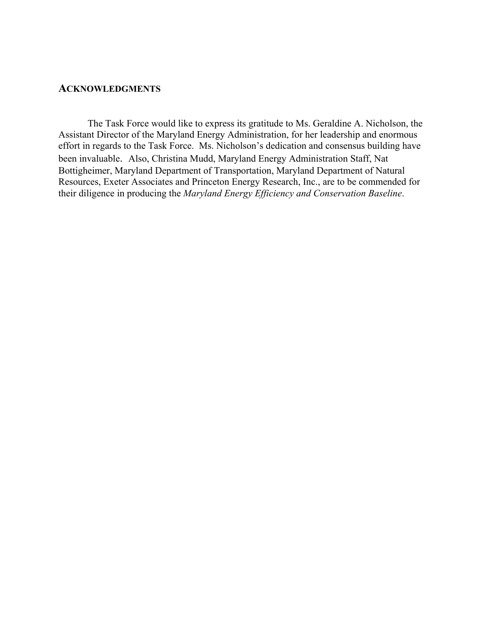#### **ACKNOWLEDGMENTS**

The Task Force would like to express its gratitude to Ms. Geraldine A. Nicholson, the Assistant Director of the Maryland Energy Administration, for her leadership and enormous effort in regards to the Task Force. Ms. Nicholson's dedication and consensus building have been invaluable. Also, Christina Mudd, Maryland Energy Administration Staff, Nat Bottigheimer, Maryland Department of Transportation, Maryland Department of Natural Resources, Exeter Associates and Princeton Energy Research, Inc., are to be commended for their diligence in producing the *Maryland Energy Efficiency and Conservation Baseline*.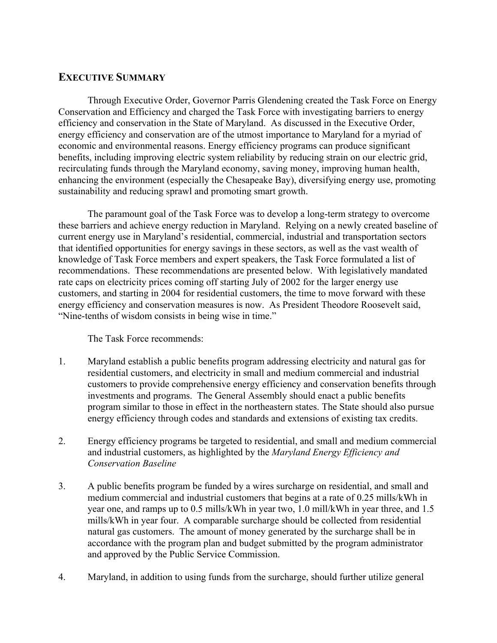# **EXECUTIVE SUMMARY**

Through Executive Order, Governor Parris Glendening created the Task Force on Energy Conservation and Efficiency and charged the Task Force with investigating barriers to energy efficiency and conservation in the State of Maryland. As discussed in the Executive Order, energy efficiency and conservation are of the utmost importance to Maryland for a myriad of economic and environmental reasons. Energy efficiency programs can produce significant benefits, including improving electric system reliability by reducing strain on our electric grid, recirculating funds through the Maryland economy, saving money, improving human health, enhancing the environment (especially the Chesapeake Bay), diversifying energy use, promoting sustainability and reducing sprawl and promoting smart growth.

The paramount goal of the Task Force was to develop a long-term strategy to overcome these barriers and achieve energy reduction in Maryland. Relying on a newly created baseline of current energy use in Maryland's residential, commercial, industrial and transportation sectors that identified opportunities for energy savings in these sectors, as well as the vast wealth of knowledge of Task Force members and expert speakers, the Task Force formulated a list of recommendations. These recommendations are presented below. With legislatively mandated rate caps on electricity prices coming off starting July of 2002 for the larger energy use customers, and starting in 2004 for residential customers, the time to move forward with these energy efficiency and conservation measures is now. As President Theodore Roosevelt said, "Nine-tenths of wisdom consists in being wise in time."

The Task Force recommends:

- 1. Maryland establish a public benefits program addressing electricity and natural gas for residential customers, and electricity in small and medium commercial and industrial customers to provide comprehensive energy efficiency and conservation benefits through investments and programs. The General Assembly should enact a public benefits program similar to those in effect in the northeastern states. The State should also pursue energy efficiency through codes and standards and extensions of existing tax credits.
- 2. Energy efficiency programs be targeted to residential, and small and medium commercial and industrial customers, as highlighted by the *Maryland Energy Efficiency and Conservation Baseline*
- 3. A public benefits program be funded by a wires surcharge on residential, and small and medium commercial and industrial customers that begins at a rate of 0.25 mills/kWh in year one, and ramps up to 0.5 mills/kWh in year two, 1.0 mill/kWh in year three, and 1.5 mills/kWh in year four. A comparable surcharge should be collected from residential natural gas customers. The amount of money generated by the surcharge shall be in accordance with the program plan and budget submitted by the program administrator and approved by the Public Service Commission.
- 4. Maryland, in addition to using funds from the surcharge, should further utilize general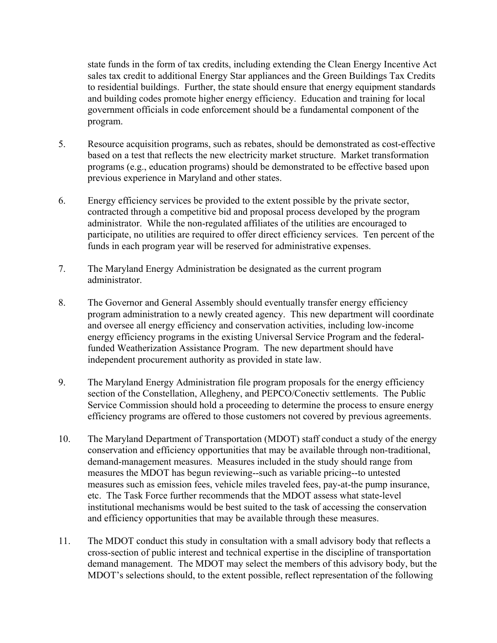state funds in the form of tax credits, including extending the Clean Energy Incentive Act sales tax credit to additional Energy Star appliances and the Green Buildings Tax Credits to residential buildings. Further, the state should ensure that energy equipment standards and building codes promote higher energy efficiency. Education and training for local government officials in code enforcement should be a fundamental component of the program.

- 5. Resource acquisition programs, such as rebates, should be demonstrated as cost-effective based on a test that reflects the new electricity market structure. Market transformation programs (e.g., education programs) should be demonstrated to be effective based upon previous experience in Maryland and other states.
- 6. Energy efficiency services be provided to the extent possible by the private sector, contracted through a competitive bid and proposal process developed by the program administrator. While the non-regulated affiliates of the utilities are encouraged to participate, no utilities are required to offer direct efficiency services. Ten percent of the funds in each program year will be reserved for administrative expenses.
- 7. The Maryland Energy Administration be designated as the current program administrator.
- 8. The Governor and General Assembly should eventually transfer energy efficiency program administration to a newly created agency. This new department will coordinate and oversee all energy efficiency and conservation activities, including low-income energy efficiency programs in the existing Universal Service Program and the federalfunded Weatherization Assistance Program. The new department should have independent procurement authority as provided in state law.
- 9. The Maryland Energy Administration file program proposals for the energy efficiency section of the Constellation, Allegheny, and PEPCO/Conectiv settlements. The Public Service Commission should hold a proceeding to determine the process to ensure energy efficiency programs are offered to those customers not covered by previous agreements.
- 10. The Maryland Department of Transportation (MDOT) staff conduct a study of the energy conservation and efficiency opportunities that may be available through non-traditional, demand-management measures. Measures included in the study should range from measures the MDOT has begun reviewing--such as variable pricing--to untested measures such as emission fees, vehicle miles traveled fees, pay-at-the pump insurance, etc. The Task Force further recommends that the MDOT assess what state-level institutional mechanisms would be best suited to the task of accessing the conservation and efficiency opportunities that may be available through these measures.
- 11. The MDOT conduct this study in consultation with a small advisory body that reflects a cross-section of public interest and technical expertise in the discipline of transportation demand management. The MDOT may select the members of this advisory body, but the MDOT's selections should, to the extent possible, reflect representation of the following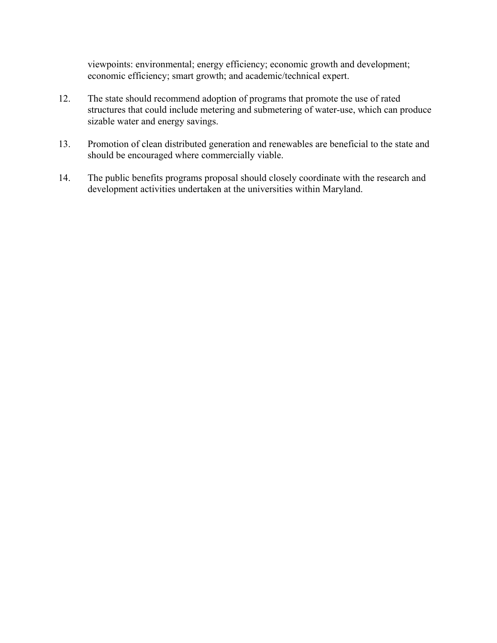viewpoints: environmental; energy efficiency; economic growth and development; economic efficiency; smart growth; and academic/technical expert.

- 12. The state should recommend adoption of programs that promote the use of rated structures that could include metering and submetering of water-use, which can produce sizable water and energy savings.
- 13. Promotion of clean distributed generation and renewables are beneficial to the state and should be encouraged where commercially viable.
- 14. The public benefits programs proposal should closely coordinate with the research and development activities undertaken at the universities within Maryland.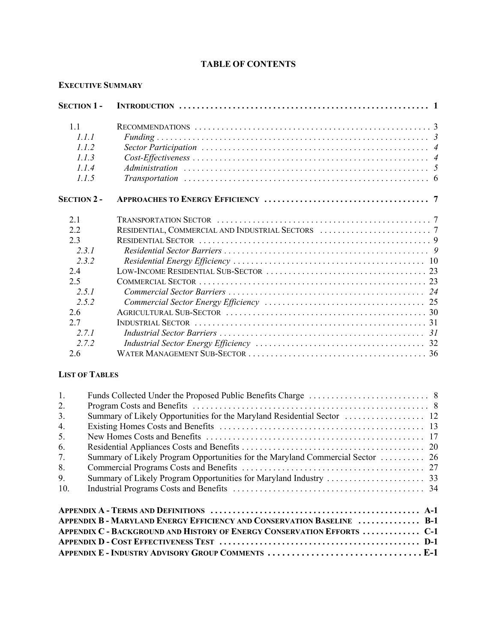## **TABLE OF CONTENTS**

## **EXECUTIVE SUMMARY**

| <b>SECTION 1-</b>     |                                                                                                                               |  |
|-----------------------|-------------------------------------------------------------------------------------------------------------------------------|--|
| 11                    |                                                                                                                               |  |
| 111                   |                                                                                                                               |  |
| 1.1.2                 |                                                                                                                               |  |
| 1.1.3                 | $Cost \text{-} Effectiveness \dots \dots \dots \dots \dots \dots \dots \dots \dots \dots \dots \dots \dots \dots \dots \dots$ |  |
| 1.1.4                 |                                                                                                                               |  |
| 1.1.5                 |                                                                                                                               |  |
| <b>SECTION 2 -</b>    |                                                                                                                               |  |
| 21                    |                                                                                                                               |  |
| 2.2                   |                                                                                                                               |  |
| 2.3                   |                                                                                                                               |  |
| 2.3.1                 |                                                                                                                               |  |
| 2.3.2                 |                                                                                                                               |  |
| 2.4                   |                                                                                                                               |  |
| 2.5                   |                                                                                                                               |  |
| 2.5.1                 |                                                                                                                               |  |
| 2.5.2                 |                                                                                                                               |  |
| 2.6                   |                                                                                                                               |  |
| 2.7                   |                                                                                                                               |  |
| 2.7.1                 |                                                                                                                               |  |
| 2.7.2                 |                                                                                                                               |  |
| 2.6                   |                                                                                                                               |  |
| $I$ ter or $T$ in Eq. |                                                                                                                               |  |

## **LIST OF TABLES**

| $\mathbf{1}$ .   |                                                                                |  |
|------------------|--------------------------------------------------------------------------------|--|
| 2.               |                                                                                |  |
| 3 <sub>1</sub>   |                                                                                |  |
| $\overline{4}$ . |                                                                                |  |
| 5.               |                                                                                |  |
| 6.               |                                                                                |  |
| 7.               | Summary of Likely Program Opportunities for the Maryland Commercial Sector  26 |  |
| 8.               |                                                                                |  |
| 9.               |                                                                                |  |
| 10.              |                                                                                |  |
|                  |                                                                                |  |
|                  | <b>APPENDIX B - MARYLAND ENERGY EFFICIENCY AND CONSERVATION BASELINE  B-1</b>  |  |
|                  | <b>APPENDIX C - BACKGROUND AND HISTORY OF ENERGY CONSERVATION EFFORTS  C-1</b> |  |
|                  |                                                                                |  |
|                  |                                                                                |  |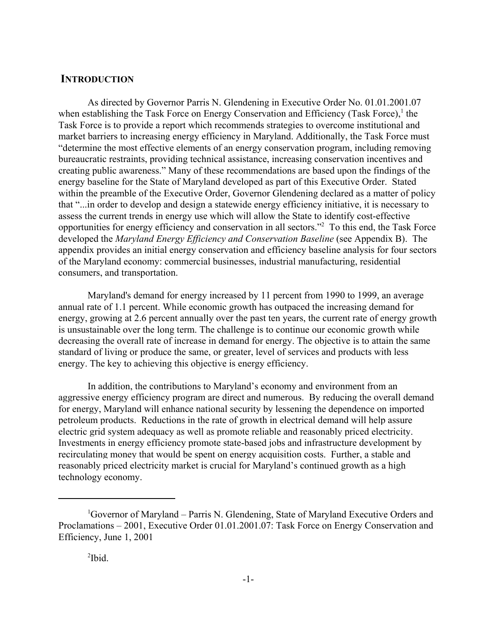### **INTRODUCTION**

As directed by Governor Parris N. Glendening in Executive Order No. 01.01.2001.07 when establishing the Task Force on Energy Conservation and Efficiency (Task Force), $<sup>1</sup>$  the</sup> Task Force is to provide a report which recommends strategies to overcome institutional and market barriers to increasing energy efficiency in Maryland. Additionally, the Task Force must "determine the most effective elements of an energy conservation program, including removing bureaucratic restraints, providing technical assistance, increasing conservation incentives and creating public awareness." Many of these recommendations are based upon the findings of the energy baseline for the State of Maryland developed as part of this Executive Order. Stated within the preamble of the Executive Order, Governor Glendening declared as a matter of policy that "...in order to develop and design a statewide energy efficiency initiative, it is necessary to assess the current trends in energy use which will allow the State to identify cost-effective opportunities for energy efficiency and conservation in all sectors."2 To this end, the Task Force developed the *Maryland Energy Efficiency and Conservation Baseline* (see Appendix B). The appendix provides an initial energy conservation and efficiency baseline analysis for four sectors of the Maryland economy: commercial businesses, industrial manufacturing, residential consumers, and transportation.

Maryland's demand for energy increased by 11 percent from 1990 to 1999, an average annual rate of 1.1 percent. While economic growth has outpaced the increasing demand for energy, growing at 2.6 percent annually over the past ten years, the current rate of energy growth is unsustainable over the long term. The challenge is to continue our economic growth while decreasing the overall rate of increase in demand for energy. The objective is to attain the same standard of living or produce the same, or greater, level of services and products with less energy. The key to achieving this objective is energy efficiency.

In addition, the contributions to Maryland's economy and environment from an aggressive energy efficiency program are direct and numerous. By reducing the overall demand for energy, Maryland will enhance national security by lessening the dependence on imported petroleum products. Reductions in the rate of growth in electrical demand will help assure electric grid system adequacy as well as promote reliable and reasonably priced electricity. Investments in energy efficiency promote state-based jobs and infrastructure development by recirculating money that would be spent on energy acquisition costs. Further, a stable and reasonably priced electricity market is crucial for Maryland's continued growth as a high technology economy.

<sup>&</sup>lt;sup>1</sup>Governor of Maryland – Parris N. Glendening, State of Maryland Executive Orders and Proclamations – 2001, Executive Order 01.01.2001.07: Task Force on Energy Conservation and Efficiency, June 1, 2001

 $2$ Ibid.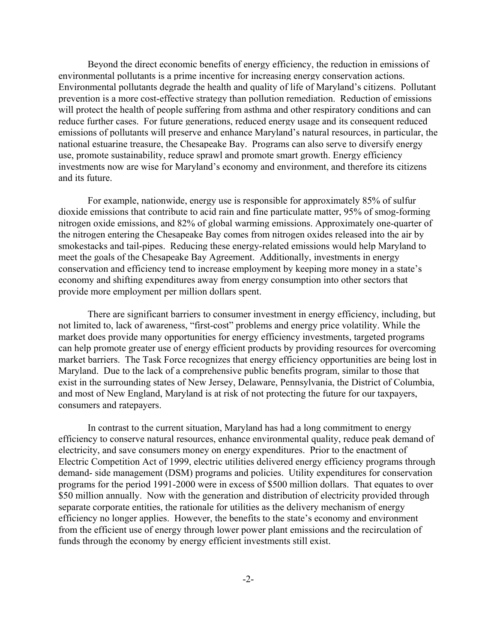Beyond the direct economic benefits of energy efficiency, the reduction in emissions of environmental pollutants is a prime incentive for increasing energy conservation actions. Environmental pollutants degrade the health and quality of life of Maryland's citizens. Pollutant prevention is a more cost-effective strategy than pollution remediation. Reduction of emissions will protect the health of people suffering from asthma and other respiratory conditions and can reduce further cases. For future generations, reduced energy usage and its consequent reduced emissions of pollutants will preserve and enhance Maryland's natural resources, in particular, the national estuarine treasure, the Chesapeake Bay. Programs can also serve to diversify energy use, promote sustainability, reduce sprawl and promote smart growth. Energy efficiency investments now are wise for Maryland's economy and environment, and therefore its citizens and its future.

For example, nationwide, energy use is responsible for approximately 85% of sulfur dioxide emissions that contribute to acid rain and fine particulate matter, 95% of smog-forming nitrogen oxide emissions, and 82% of global warming emissions. Approximately one-quarter of the nitrogen entering the Chesapeake Bay comes from nitrogen oxides released into the air by smokestacks and tail-pipes. Reducing these energy-related emissions would help Maryland to meet the goals of the Chesapeake Bay Agreement. Additionally, investments in energy conservation and efficiency tend to increase employment by keeping more money in a state's economy and shifting expenditures away from energy consumption into other sectors that provide more employment per million dollars spent.

There are significant barriers to consumer investment in energy efficiency, including, but not limited to, lack of awareness, "first-cost" problems and energy price volatility. While the market does provide many opportunities for energy efficiency investments, targeted programs can help promote greater use of energy efficient products by providing resources for overcoming market barriers. The Task Force recognizes that energy efficiency opportunities are being lost in Maryland. Due to the lack of a comprehensive public benefits program, similar to those that exist in the surrounding states of New Jersey, Delaware, Pennsylvania, the District of Columbia, and most of New England, Maryland is at risk of not protecting the future for our taxpayers, consumers and ratepayers.

In contrast to the current situation, Maryland has had a long commitment to energy efficiency to conserve natural resources, enhance environmental quality, reduce peak demand of electricity, and save consumers money on energy expenditures. Prior to the enactment of Electric Competition Act of 1999, electric utilities delivered energy efficiency programs through demand- side management (DSM) programs and policies. Utility expenditures for conservation programs for the period 1991-2000 were in excess of \$500 million dollars. That equates to over \$50 million annually. Now with the generation and distribution of electricity provided through separate corporate entities, the rationale for utilities as the delivery mechanism of energy efficiency no longer applies. However, the benefits to the state's economy and environment from the efficient use of energy through lower power plant emissions and the recirculation of funds through the economy by energy efficient investments still exist.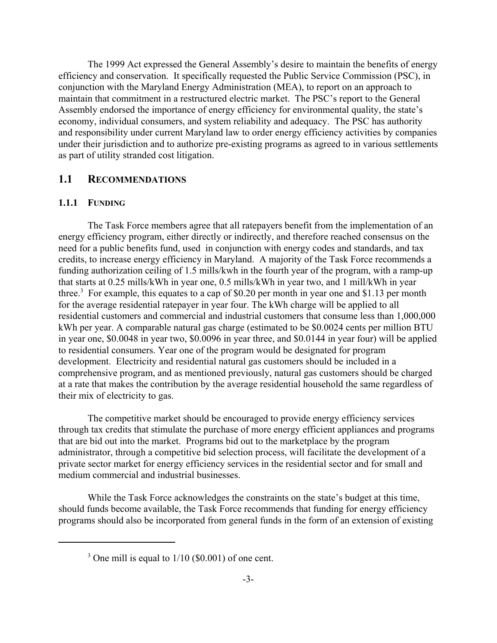The 1999 Act expressed the General Assembly's desire to maintain the benefits of energy efficiency and conservation. It specifically requested the Public Service Commission (PSC), in conjunction with the Maryland Energy Administration (MEA), to report on an approach to maintain that commitment in a restructured electric market. The PSC's report to the General Assembly endorsed the importance of energy efficiency for environmental quality, the state's economy, individual consumers, and system reliability and adequacy. The PSC has authority and responsibility under current Maryland law to order energy efficiency activities by companies under their jurisdiction and to authorize pre-existing programs as agreed to in various settlements as part of utility stranded cost litigation.

## **1.1 RECOMMENDATIONS**

#### **1.1.1 FUNDING**

The Task Force members agree that all ratepayers benefit from the implementation of an energy efficiency program, either directly or indirectly, and therefore reached consensus on the need for a public benefits fund, used in conjunction with energy codes and standards, and tax credits, to increase energy efficiency in Maryland. A majority of the Task Force recommends a funding authorization ceiling of 1.5 mills/kwh in the fourth year of the program, with a ramp-up that starts at 0.25 mills/kWh in year one, 0.5 mills/kWh in year two, and 1 mill/kWh in year three.<sup>3</sup> For example, this equates to a cap of \$0.20 per month in year one and \$1.13 per month for the average residential ratepayer in year four. The kWh charge will be applied to all residential customers and commercial and industrial customers that consume less than 1,000,000 kWh per year. A comparable natural gas charge (estimated to be \$0.0024 cents per million BTU in year one, \$0.0048 in year two, \$0.0096 in year three, and \$0.0144 in year four) will be applied to residential consumers. Year one of the program would be designated for program development. Electricity and residential natural gas customers should be included in a comprehensive program, and as mentioned previously, natural gas customers should be charged at a rate that makes the contribution by the average residential household the same regardless of their mix of electricity to gas.

The competitive market should be encouraged to provide energy efficiency services through tax credits that stimulate the purchase of more energy efficient appliances and programs that are bid out into the market. Programs bid out to the marketplace by the program administrator, through a competitive bid selection process, will facilitate the development of a private sector market for energy efficiency services in the residential sector and for small and medium commercial and industrial businesses.

While the Task Force acknowledges the constraints on the state's budget at this time, should funds become available, the Task Force recommends that funding for energy efficiency programs should also be incorporated from general funds in the form of an extension of existing

 $3$  One mill is equal to  $1/10$  (\$0.001) of one cent.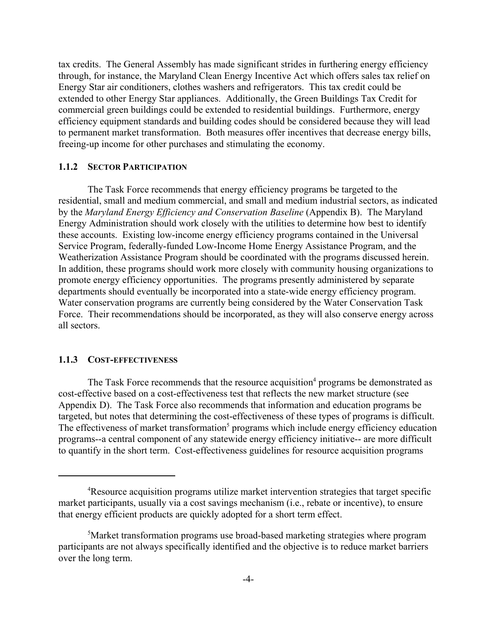tax credits. The General Assembly has made significant strides in furthering energy efficiency through, for instance, the Maryland Clean Energy Incentive Act which offers sales tax relief on Energy Star air conditioners, clothes washers and refrigerators. This tax credit could be extended to other Energy Star appliances. Additionally, the Green Buildings Tax Credit for commercial green buildings could be extended to residential buildings. Furthermore, energy efficiency equipment standards and building codes should be considered because they will lead to permanent market transformation. Both measures offer incentives that decrease energy bills, freeing-up income for other purchases and stimulating the economy.

#### **1.1.2 SECTOR PARTICIPATION**

The Task Force recommends that energy efficiency programs be targeted to the residential, small and medium commercial, and small and medium industrial sectors, as indicated by the *Maryland Energy Efficiency and Conservation Baseline* (Appendix B). The Maryland Energy Administration should work closely with the utilities to determine how best to identify these accounts. Existing low-income energy efficiency programs contained in the Universal Service Program, federally-funded Low-Income Home Energy Assistance Program, and the Weatherization Assistance Program should be coordinated with the programs discussed herein. In addition, these programs should work more closely with community housing organizations to promote energy efficiency opportunities. The programs presently administered by separate departments should eventually be incorporated into a state-wide energy efficiency program. Water conservation programs are currently being considered by the Water Conservation Task Force. Their recommendations should be incorporated, as they will also conserve energy across all sectors.

#### **1.1.3 COST-EFFECTIVENESS**

The Task Force recommends that the resource acquisition<sup>4</sup> programs be demonstrated as cost-effective based on a cost-effectiveness test that reflects the new market structure (see Appendix D). The Task Force also recommends that information and education programs be targeted, but notes that determining the cost-effectiveness of these types of programs is difficult. The effectiveness of market transformation<sup>5</sup> programs which include energy efficiency education programs--a central component of any statewide energy efficiency initiative-- are more difficult to quantify in the short term. Cost-effectiveness guidelines for resource acquisition programs

<sup>&</sup>lt;sup>4</sup>Resource acquisition programs utilize market intervention strategies that target specific market participants, usually via a cost savings mechanism (i.e., rebate or incentive), to ensure that energy efficient products are quickly adopted for a short term effect.

<sup>&</sup>lt;sup>5</sup>Market transformation programs use broad-based marketing strategies where program participants are not always specifically identified and the objective is to reduce market barriers over the long term.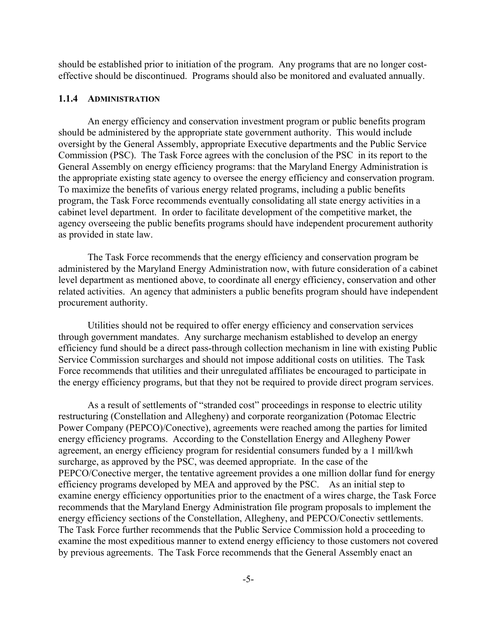should be established prior to initiation of the program. Any programs that are no longer costeffective should be discontinued. Programs should also be monitored and evaluated annually.

#### **1.1.4 ADMINISTRATION**

An energy efficiency and conservation investment program or public benefits program should be administered by the appropriate state government authority. This would include oversight by the General Assembly, appropriate Executive departments and the Public Service Commission (PSC). The Task Force agrees with the conclusion of the PSC in its report to the General Assembly on energy efficiency programs: that the Maryland Energy Administration is the appropriate existing state agency to oversee the energy efficiency and conservation program. To maximize the benefits of various energy related programs, including a public benefits program, the Task Force recommends eventually consolidating all state energy activities in a cabinet level department. In order to facilitate development of the competitive market, the agency overseeing the public benefits programs should have independent procurement authority as provided in state law.

The Task Force recommends that the energy efficiency and conservation program be administered by the Maryland Energy Administration now, with future consideration of a cabinet level department as mentioned above, to coordinate all energy efficiency, conservation and other related activities. An agency that administers a public benefits program should have independent procurement authority.

Utilities should not be required to offer energy efficiency and conservation services through government mandates. Any surcharge mechanism established to develop an energy efficiency fund should be a direct pass-through collection mechanism in line with existing Public Service Commission surcharges and should not impose additional costs on utilities. The Task Force recommends that utilities and their unregulated affiliates be encouraged to participate in the energy efficiency programs, but that they not be required to provide direct program services.

As a result of settlements of "stranded cost" proceedings in response to electric utility restructuring (Constellation and Allegheny) and corporate reorganization (Potomac Electric Power Company (PEPCO)/Conective), agreements were reached among the parties for limited energy efficiency programs. According to the Constellation Energy and Allegheny Power agreement, an energy efficiency program for residential consumers funded by a 1 mill/kwh surcharge, as approved by the PSC, was deemed appropriate. In the case of the PEPCO/Conective merger, the tentative agreement provides a one million dollar fund for energy efficiency programs developed by MEA and approved by the PSC. As an initial step to examine energy efficiency opportunities prior to the enactment of a wires charge, the Task Force recommends that the Maryland Energy Administration file program proposals to implement the energy efficiency sections of the Constellation, Allegheny, and PEPCO/Conectiv settlements. The Task Force further recommends that the Public Service Commission hold a proceeding to examine the most expeditious manner to extend energy efficiency to those customers not covered by previous agreements. The Task Force recommends that the General Assembly enact an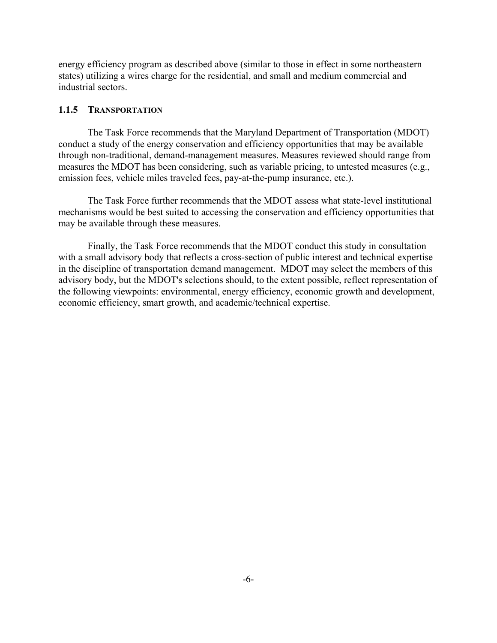energy efficiency program as described above (similar to those in effect in some northeastern states) utilizing a wires charge for the residential, and small and medium commercial and industrial sectors.

#### **1.1.5 TRANSPORTATION**

The Task Force recommends that the Maryland Department of Transportation (MDOT) conduct a study of the energy conservation and efficiency opportunities that may be available through non-traditional, demand-management measures. Measures reviewed should range from measures the MDOT has been considering, such as variable pricing, to untested measures (e.g., emission fees, vehicle miles traveled fees, pay-at-the-pump insurance, etc.).

The Task Force further recommends that the MDOT assess what state-level institutional mechanisms would be best suited to accessing the conservation and efficiency opportunities that may be available through these measures.

Finally, the Task Force recommends that the MDOT conduct this study in consultation with a small advisory body that reflects a cross-section of public interest and technical expertise in the discipline of transportation demand management. MDOT may select the members of this advisory body, but the MDOT's selections should, to the extent possible, reflect representation of the following viewpoints: environmental, energy efficiency, economic growth and development, economic efficiency, smart growth, and academic/technical expertise.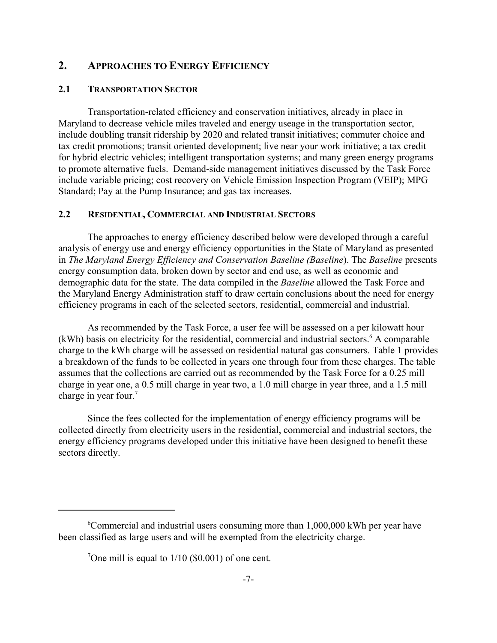# **2. APPROACHES TO ENERGY EFFICIENCY**

## **2.1 TRANSPORTATION SECTOR**

Transportation-related efficiency and conservation initiatives, already in place in Maryland to decrease vehicle miles traveled and energy useage in the transportation sector, include doubling transit ridership by 2020 and related transit initiatives; commuter choice and tax credit promotions; transit oriented development; live near your work initiative; a tax credit for hybrid electric vehicles; intelligent transportation systems; and many green energy programs to promote alternative fuels. Demand-side management initiatives discussed by the Task Force include variable pricing; cost recovery on Vehicle Emission Inspection Program (VEIP); MPG Standard; Pay at the Pump Insurance; and gas tax increases.

## **2.2 RESIDENTIAL, COMMERCIAL AND INDUSTRIAL SECTORS**

The approaches to energy efficiency described below were developed through a careful analysis of energy use and energy efficiency opportunities in the State of Maryland as presented in *The Maryland Energy Efficiency and Conservation Baseline (Baseline*). The *Baseline* presents energy consumption data, broken down by sector and end use, as well as economic and demographic data for the state. The data compiled in the *Baseline* allowed the Task Force and the Maryland Energy Administration staff to draw certain conclusions about the need for energy efficiency programs in each of the selected sectors, residential, commercial and industrial.

As recommended by the Task Force, a user fee will be assessed on a per kilowatt hour (kWh) basis on electricity for the residential, commercial and industrial sectors.<sup>6</sup> A comparable charge to the kWh charge will be assessed on residential natural gas consumers. Table 1 provides a breakdown of the funds to be collected in years one through four from these charges. The table assumes that the collections are carried out as recommended by the Task Force for a 0.25 mill charge in year one, a 0.5 mill charge in year two, a 1.0 mill charge in year three, and a 1.5 mill charge in year four.<sup>7</sup>

Since the fees collected for the implementation of energy efficiency programs will be collected directly from electricity users in the residential, commercial and industrial sectors, the energy efficiency programs developed under this initiative have been designed to benefit these sectors directly.

<sup>6</sup> Commercial and industrial users consuming more than 1,000,000 kWh per year have been classified as large users and will be exempted from the electricity charge.

<sup>&</sup>lt;sup>7</sup>One mill is equal to  $1/10$  (\$0.001) of one cent.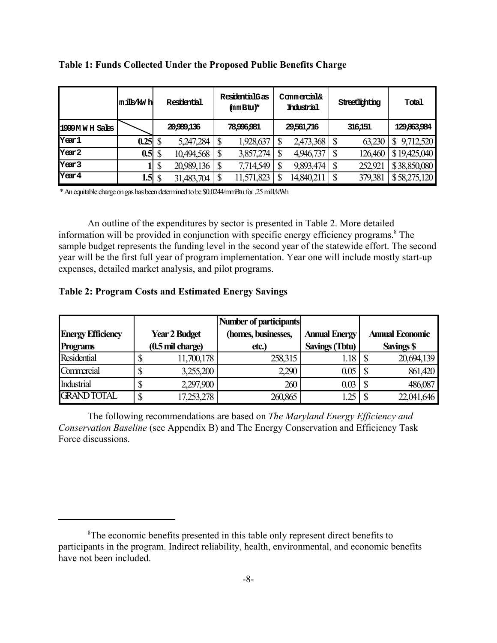|                   | mi∐s⁄kWh |    | Residential | ResidentialGas<br>(mmBtu)* |   | Commercial&<br>Industrial |   | Streetlighting | Total           |
|-------------------|----------|----|-------------|----------------------------|---|---------------------------|---|----------------|-----------------|
| 1999 M W H Sales  |          |    | 20,989,136  | 78,996,981                 |   | 29,561,716                |   | 316,151        | 129863984       |
| Year1             | 0.25     |    | 5,247,284   | 1,928,637                  |   | 2,473,368                 |   | 63,230         | 9,712,520<br>\$ |
| Year <sub>2</sub> | 0.5      | \$ | 10,494,568  | 3,857,274                  | ጥ | 4,946,737                 | S | 126,460        | \$19,425,040    |
| Year <sub>3</sub> |          | \$ | 20,989,136  | 7,714,549                  |   | 9,893,474                 |   | 252,921        | \$38,850,080    |
| Year4             | 1.5      | S  | 31,483,704  | 11,571,823                 |   | 14,840,21                 | ጦ | 379,381        | \$58,275,120    |

**Table 1: Funds Collected Under the Proposed Public Benefits Charge**

\* An equitable charge on gas has been determined to be \$0.0244/mmBtu for .25 mill/kWh

An outline of the expenditures by sector is presented in Table 2. More detailed information will be provided in conjunction with specific energy efficiency programs.<sup>8</sup> The sample budget represents the funding level in the second year of the statewide effort. The second year will be the first full year of program implementation. Year one will include mostly start-up expenses, detailed market analysis, and pilot programs.

### **Table 2: Program Costs and Estimated Energy Savings**

|                          |   |                      | Number of participants |                       |                        |
|--------------------------|---|----------------------|------------------------|-----------------------|------------------------|
| <b>Energy Efficiency</b> |   | <b>Year 2 Budget</b> | (homes, businesses,    | <b>Annual Energy</b>  | <b>Annual Economic</b> |
| <b>Programs</b>          |   | (0.5 mil charge)     | etc.                   | <b>Savings (Tbtu)</b> | <b>Savings \$</b>      |
| <b>Residential</b>       |   | 11,700,178           | 258,315                | 1.18                  | 20,694,139             |
| Commercial               | Φ | 3,255,200            | 2,290                  | 0.05                  | 861,420                |
| Industrial               | D | 2,297,900            | 260                    | 0.03                  | 486,087                |
| <b>GRAND TOTAL</b>       | ¢ | 17,253,278           | 260,865                | .25                   | 22,041,646             |

The following recommendations are based on *The Maryland Energy Efficiency and Conservation Baseline* (see Appendix B) and The Energy Conservation and Efficiency Task Force discussions.

<sup>&</sup>lt;sup>8</sup>The economic benefits presented in this table only represent direct benefits to participants in the program. Indirect reliability, health, environmental, and economic benefits have not been included.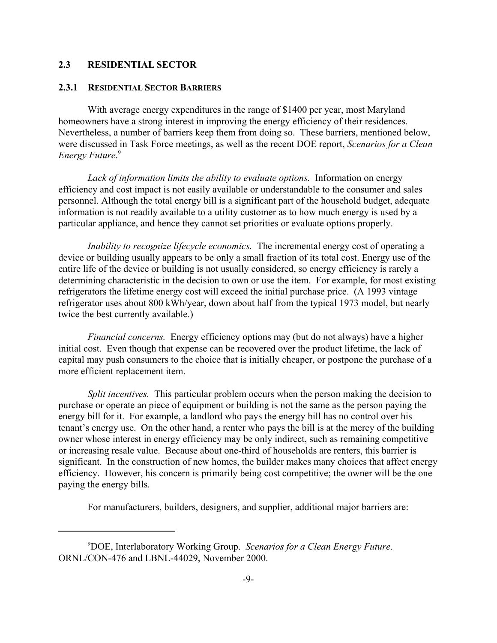## **2.3 RESIDENTIAL SECTOR**

#### **2.3.1 RESIDENTIAL SECTOR BARRIERS**

With average energy expenditures in the range of \$1400 per year, most Maryland homeowners have a strong interest in improving the energy efficiency of their residences. Nevertheless, a number of barriers keep them from doing so. These barriers, mentioned below, were discussed in Task Force meetings, as well as the recent DOE report, *Scenarios for a Clean Energy Future*. 9

*Lack of information limits the ability to evaluate options.* Information on energy efficiency and cost impact is not easily available or understandable to the consumer and sales personnel. Although the total energy bill is a significant part of the household budget, adequate information is not readily available to a utility customer as to how much energy is used by a particular appliance, and hence they cannot set priorities or evaluate options properly.

*Inability to recognize lifecycle economics.* The incremental energy cost of operating a device or building usually appears to be only a small fraction of its total cost. Energy use of the entire life of the device or building is not usually considered, so energy efficiency is rarely a determining characteristic in the decision to own or use the item. For example, for most existing refrigerators the lifetime energy cost will exceed the initial purchase price. (A 1993 vintage refrigerator uses about 800 kWh/year, down about half from the typical 1973 model, but nearly twice the best currently available.)

*Financial concerns.* Energy efficiency options may (but do not always) have a higher initial cost. Even though that expense can be recovered over the product lifetime, the lack of capital may push consumers to the choice that is initially cheaper, or postpone the purchase of a more efficient replacement item.

*Split incentives.* This particular problem occurs when the person making the decision to purchase or operate an piece of equipment or building is not the same as the person paying the energy bill for it. For example, a landlord who pays the energy bill has no control over his tenant's energy use. On the other hand, a renter who pays the bill is at the mercy of the building owner whose interest in energy efficiency may be only indirect, such as remaining competitive or increasing resale value. Because about one-third of households are renters, this barrier is significant. In the construction of new homes, the builder makes many choices that affect energy efficiency. However, his concern is primarily being cost competitive; the owner will be the one paying the energy bills.

For manufacturers, builders, designers, and supplier, additional major barriers are:

<sup>9</sup> DOE, Interlaboratory Working Group. *Scenarios for a Clean Energy Future*. ORNL/CON-476 and LBNL-44029, November 2000.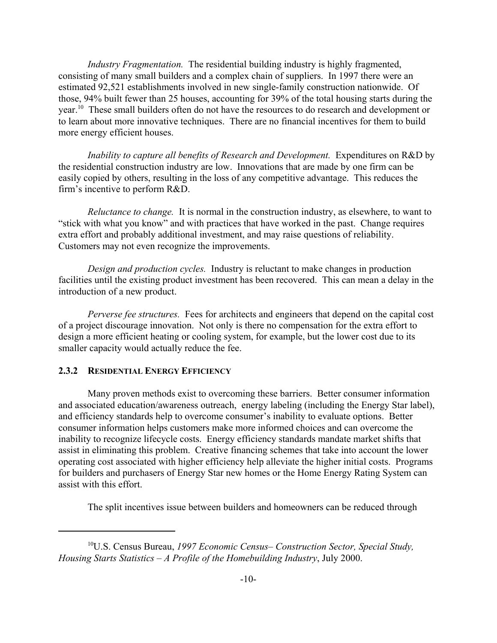*Industry Fragmentation.* The residential building industry is highly fragmented, consisting of many small builders and a complex chain of suppliers. In 1997 there were an estimated 92,521 establishments involved in new single-family construction nationwide. Of those, 94% built fewer than 25 houses, accounting for 39% of the total housing starts during the year.<sup>10</sup> These small builders often do not have the resources to do research and development or to learn about more innovative techniques. There are no financial incentives for them to build more energy efficient houses.

*Inability to capture all benefits of Research and Development.* Expenditures on R&D by the residential construction industry are low. Innovations that are made by one firm can be easily copied by others, resulting in the loss of any competitive advantage. This reduces the firm's incentive to perform R&D.

*Reluctance to change.* It is normal in the construction industry, as elsewhere, to want to "stick with what you know" and with practices that have worked in the past. Change requires extra effort and probably additional investment, and may raise questions of reliability. Customers may not even recognize the improvements.

*Design and production cycles.* Industry is reluctant to make changes in production facilities until the existing product investment has been recovered. This can mean a delay in the introduction of a new product.

*Perverse fee structures.* Fees for architects and engineers that depend on the capital cost of a project discourage innovation. Not only is there no compensation for the extra effort to design a more efficient heating or cooling system, for example, but the lower cost due to its smaller capacity would actually reduce the fee.

## **2.3.2 RESIDENTIAL ENERGY EFFICIENCY**

Many proven methods exist to overcoming these barriers. Better consumer information and associated education/awareness outreach, energy labeling (including the Energy Star label), and efficiency standards help to overcome consumer's inability to evaluate options. Better consumer information helps customers make more informed choices and can overcome the inability to recognize lifecycle costs. Energy efficiency standards mandate market shifts that assist in eliminating this problem. Creative financing schemes that take into account the lower operating cost associated with higher efficiency help alleviate the higher initial costs. Programs for builders and purchasers of Energy Star new homes or the Home Energy Rating System can assist with this effort.

The split incentives issue between builders and homeowners can be reduced through

<sup>10</sup>U.S. Census Bureau, *1997 Economic Census– Construction Sector, Special Study, Housing Starts Statistics – A Profile of the Homebuilding Industry*, July 2000.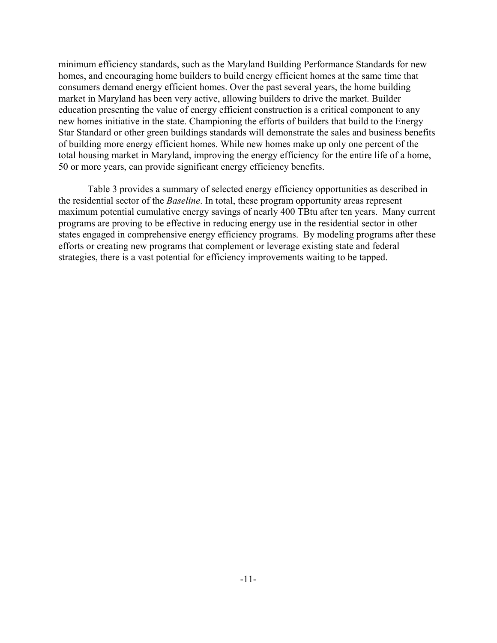minimum efficiency standards, such as the Maryland Building Performance Standards for new homes, and encouraging home builders to build energy efficient homes at the same time that consumers demand energy efficient homes. Over the past several years, the home building market in Maryland has been very active, allowing builders to drive the market. Builder education presenting the value of energy efficient construction is a critical component to any new homes initiative in the state. Championing the efforts of builders that build to the Energy Star Standard or other green buildings standards will demonstrate the sales and business benefits of building more energy efficient homes. While new homes make up only one percent of the total housing market in Maryland, improving the energy efficiency for the entire life of a home, 50 or more years, can provide significant energy efficiency benefits.

Table 3 provides a summary of selected energy efficiency opportunities as described in the residential sector of the *Baseline*. In total, these program opportunity areas represent maximum potential cumulative energy savings of nearly 400 TBtu after ten years. Many current programs are proving to be effective in reducing energy use in the residential sector in other states engaged in comprehensive energy efficiency programs. By modeling programs after these efforts or creating new programs that complement or leverage existing state and federal strategies, there is a vast potential for efficiency improvements waiting to be tapped.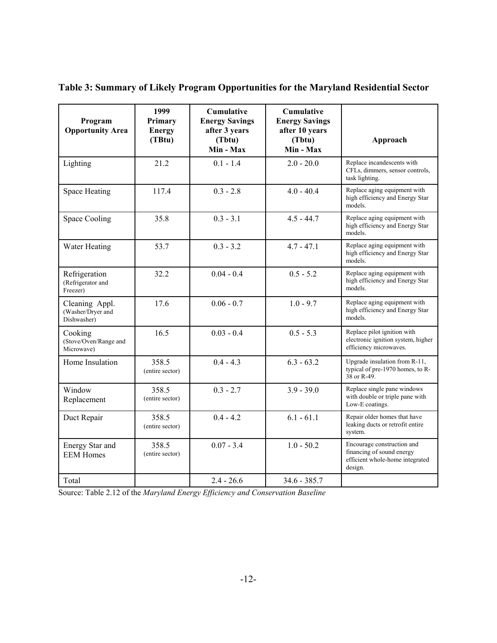| Program<br><b>Opportunity Area</b>                 | 1999<br>Primary<br><b>Energy</b><br>(TBtu) | Cumulative<br><b>Energy Savings</b><br>after 3 years<br>(Tbtu)<br>Min - Max | <b>Cumulative</b><br><b>Energy Savings</b><br>after 10 years<br>(Tbtu)<br>Min - Max | Approach                                                                                              |
|----------------------------------------------------|--------------------------------------------|-----------------------------------------------------------------------------|-------------------------------------------------------------------------------------|-------------------------------------------------------------------------------------------------------|
| Lighting                                           | 21.2                                       | $0.1 - 1.4$                                                                 | $2.0 - 20.0$                                                                        | Replace incandescents with<br>CFLs, dimmers, sensor controls,<br>task lighting.                       |
| Space Heating                                      | 117.4                                      | $0.3 - 2.8$                                                                 | $4.0 - 40.4$                                                                        | Replace aging equipment with<br>high efficiency and Energy Star<br>models.                            |
| Space Cooling                                      | 35.8                                       | $0.3 - 3.1$                                                                 | $4.5 - 44.7$                                                                        | Replace aging equipment with<br>high efficiency and Energy Star<br>models.                            |
| Water Heating                                      | 53.7                                       | $0.3 - 3.2$                                                                 | $4.7 - 47.1$                                                                        | Replace aging equipment with<br>high efficiency and Energy Star<br>models.                            |
| Refrigeration<br>(Refrigerator and<br>Freezer)     | 32.2                                       | $0.04 - 0.4$                                                                | $0.5 - 5.2$                                                                         | Replace aging equipment with<br>high efficiency and Energy Star<br>models.                            |
| Cleaning Appl.<br>(Washer/Dryer and<br>Dishwasher) | 17.6                                       | $0.06 - 0.7$                                                                | $1.0 - 9.7$                                                                         | Replace aging equipment with<br>high efficiency and Energy Star<br>models.                            |
| Cooking<br>(Stove/Oven/Range and<br>Microwave)     | 16.5                                       | $0.03 - 0.4$                                                                | $0.5 - 5.3$                                                                         | Replace pilot ignition with<br>electronic ignition system, higher<br>efficiency microwaves.           |
| Home Insulation                                    | 358.5<br>(entire sector)                   | $0.4 - 4.3$                                                                 | $6.3 - 63.2$                                                                        | Upgrade insulation from R-11,<br>typical of pre-1970 homes, to R-<br>38 or R-49.                      |
| Window<br>Replacement                              | 358.5<br>(entire sector)                   | $0.3 - 2.7$                                                                 | $3.9 - 39.0$                                                                        | Replace single pane windows<br>with double or triple pane with<br>Low-E coatings.                     |
| Duct Repair                                        | 358.5<br>(entire sector)                   | $0.4 - 4.2$                                                                 | $6.1 - 61.1$                                                                        | Repair older homes that have<br>leaking ducts or retrofit entire<br>system.                           |
| Energy Star and<br><b>EEM Homes</b>                | 358.5<br>(entire sector)                   | $0.07 - 3.4$                                                                | $1.0 - 50.2$                                                                        | Encourage construction and<br>financing of sound energy<br>efficient whole-home integrated<br>design. |
| Total                                              |                                            | $2.4 - 26.6$                                                                | $34.6 - 385.7$                                                                      |                                                                                                       |

**Table 3: Summary of Likely Program Opportunities for the Maryland Residential Sector**

Source: Table 2.12 of the *Maryland Energy Efficiency and Conservation Baseline*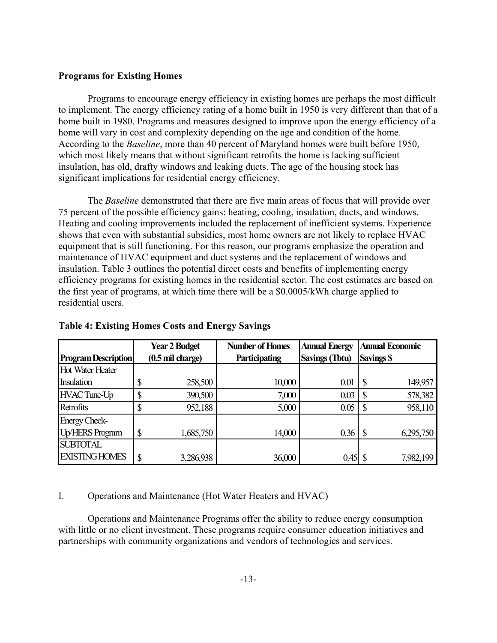#### **Programs for Existing Homes**

Programs to encourage energy efficiency in existing homes are perhaps the most difficult to implement. The energy efficiency rating of a home built in 1950 is very different than that of a home built in 1980. Programs and measures designed to improve upon the energy efficiency of a home will vary in cost and complexity depending on the age and condition of the home. According to the *Baseline*, more than 40 percent of Maryland homes were built before 1950, which most likely means that without significant retrofits the home is lacking sufficient insulation, has old, drafty windows and leaking ducts. The age of the housing stock has significant implications for residential energy efficiency.

The *Baseline* demonstrated that there are five main areas of focus that will provide over 75 percent of the possible efficiency gains: heating, cooling, insulation, ducts, and windows. Heating and cooling improvements included the replacement of inefficient systems. Experience shows that even with substantial subsidies, most home owners are not likely to replace HVAC equipment that is still functioning. For this reason, our programs emphasize the operation and maintenance of HVAC equipment and duct systems and the replacement of windows and insulation. Table 3 outlines the potential direct costs and benefits of implementing energy efficiency programs for existing homes in the residential sector. The cost estimates are based on the first year of programs, at which time there will be a \$0.0005/kWh charge applied to residential users.

|                            | <b>Year 2 Budget</b> |                            | <b>Number of Homes</b><br><b>Annual Energy</b> |                       | <b>Annual Economic</b> |  |
|----------------------------|----------------------|----------------------------|------------------------------------------------|-----------------------|------------------------|--|
| <b>Program Description</b> |                      | $(0.5 \text{ mil charge})$ | Participating                                  | <b>Savings (Tbtu)</b> | <b>Savings \$</b>      |  |
| Hot Water Heater           |                      |                            |                                                |                       |                        |  |
| <b>Insulation</b>          |                      | 258,500                    | 10,000                                         | 0.01                  | 149,957<br>S           |  |
| HVAC Tune-Up               | ۰D                   | 390,500                    | 7,000                                          | 0.03                  | 578,382<br>\$          |  |
| Retrofits                  |                      | 952,188                    | 5,000                                          | 0.05                  | 958,110<br>\$          |  |
| <b>Energy Check-</b>       |                      |                            |                                                |                       |                        |  |
| <b>Up/HERS Program</b>     | \$                   | 1,685,750                  | 14,000                                         | 0.36                  | 6,295,750              |  |
| <b>SUBTOTAL</b>            |                      |                            |                                                |                       |                        |  |
| <b>EXISTING HOMES</b>      | \$                   | 3,286,938                  | 36,000                                         | 0.45                  | 7,982,199              |  |

#### **Table 4: Existing Homes Costs and Energy Savings**

## I. Operations and Maintenance (Hot Water Heaters and HVAC)

Operations and Maintenance Programs offer the ability to reduce energy consumption with little or no client investment. These programs require consumer education initiatives and partnerships with community organizations and vendors of technologies and services.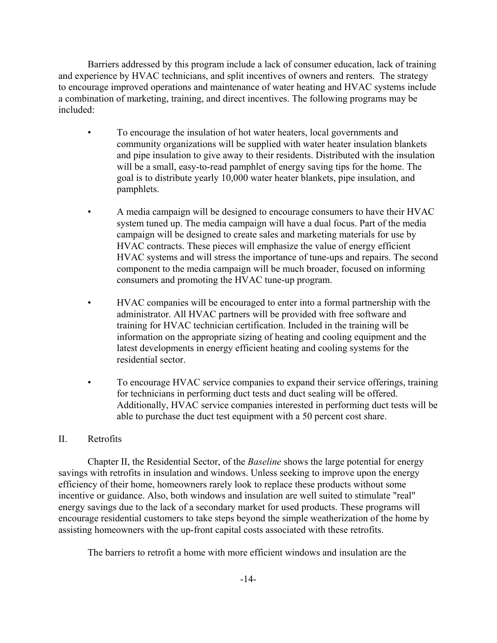Barriers addressed by this program include a lack of consumer education, lack of training and experience by HVAC technicians, and split incentives of owners and renters. The strategy to encourage improved operations and maintenance of water heating and HVAC systems include a combination of marketing, training, and direct incentives. The following programs may be included:

- To encourage the insulation of hot water heaters, local governments and community organizations will be supplied with water heater insulation blankets and pipe insulation to give away to their residents. Distributed with the insulation will be a small, easy-to-read pamphlet of energy saving tips for the home. The goal is to distribute yearly 10,000 water heater blankets, pipe insulation, and pamphlets.
- A media campaign will be designed to encourage consumers to have their HVAC system tuned up. The media campaign will have a dual focus. Part of the media campaign will be designed to create sales and marketing materials for use by HVAC contracts. These pieces will emphasize the value of energy efficient HVAC systems and will stress the importance of tune-ups and repairs. The second component to the media campaign will be much broader, focused on informing consumers and promoting the HVAC tune-up program.
- HVAC companies will be encouraged to enter into a formal partnership with the administrator. All HVAC partners will be provided with free software and training for HVAC technician certification. Included in the training will be information on the appropriate sizing of heating and cooling equipment and the latest developments in energy efficient heating and cooling systems for the residential sector.
- To encourage HVAC service companies to expand their service offerings, training for technicians in performing duct tests and duct sealing will be offered. Additionally, HVAC service companies interested in performing duct tests will be able to purchase the duct test equipment with a 50 percent cost share.

## II. Retrofits

Chapter II, the Residential Sector, of the *Baseline* shows the large potential for energy savings with retrofits in insulation and windows. Unless seeking to improve upon the energy efficiency of their home, homeowners rarely look to replace these products without some incentive or guidance. Also, both windows and insulation are well suited to stimulate "real" energy savings due to the lack of a secondary market for used products. These programs will encourage residential customers to take steps beyond the simple weatherization of the home by assisting homeowners with the up-front capital costs associated with these retrofits.

The barriers to retrofit a home with more efficient windows and insulation are the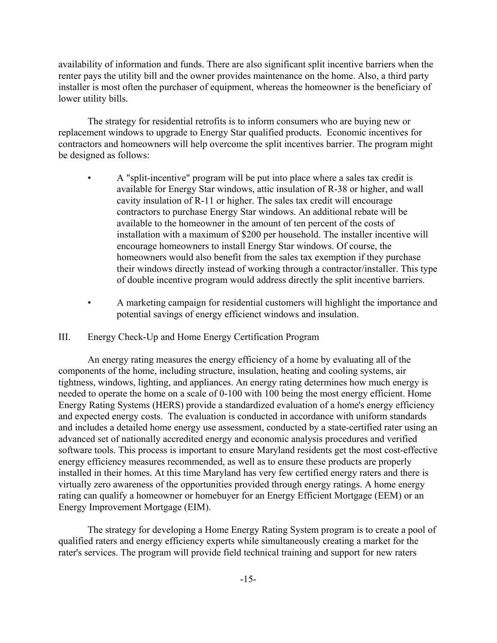availability of information and funds. There are also significant split incentive barriers when the renter pays the utility bill and the owner provides maintenance on the home. Also, a third party installer is most often the purchaser of equipment, whereas the homeowner is the beneficiary of lower utility bills.

The strategy for residential retrofits is to inform consumers who are buying new or replacement windows to upgrade to Energy Star qualified products. Economic incentives for contractors and homeowners will help overcome the split incentives barrier. The program might be designed as follows:

- A "split-incentive" program will be put into place where a sales tax credit is available for Energy Star windows, attic insulation of R-38 or higher, and wall cavity insulation of R-11 or higher. The sales tax credit will encourage contractors to purchase Energy Star windows. An additional rebate will be available to the homeowner in the amount of ten percent of the costs of installation with a maximum of \$200 per household. The installer incentive will encourage homeowners to install Energy Star windows. Of course, the homeowners would also benefit from the sales tax exemption if they purchase their windows directly instead of working through a contractor/installer. This type of double incentive program would address directly the split incentive barriers.
- A marketing campaign for residential customers will highlight the importance and potential savings of energy efficienct windows and insulation.

#### III. Energy Check-Up and Home Energy Certification Program

An energy rating measures the energy efficiency of a home by evaluating all of the components of the home, including structure, insulation, heating and cooling systems, air tightness, windows, lighting, and appliances. An energy rating determines how much energy is needed to operate the home on a scale of 0-100 with 100 being the most energy efficient. Home Energy Rating Systems (HERS) provide a standardized evaluation of a home's energy efficiency and expected energy costs. The evaluation is conducted in accordance with uniform standards and includes a detailed home energy use assessment, conducted by a state-certified rater using an advanced set of nationally accredited energy and economic analysis procedures and verified software tools. This process is important to ensure Maryland residents get the most cost-effective energy efficiency measures recommended, as well as to ensure these products are properly installed in their homes. At this time Maryland has very few certified energy raters and there is virtually zero awareness of the opportunities provided through energy ratings. A home energy rating can qualify a homeowner or homebuyer for an Energy Efficient Mortgage (EEM) or an Energy Improvement Mortgage (EIM).

The strategy for developing a Home Energy Rating System program is to create a pool of qualified raters and energy efficiency experts while simultaneously creating a market for the rater's services. The program will provide field technical training and support for new raters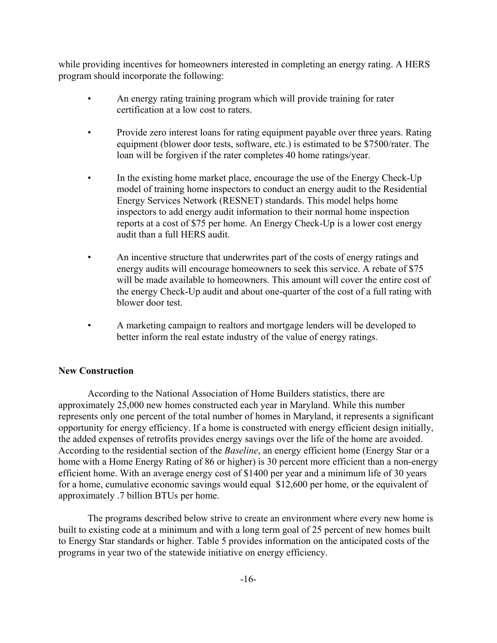while providing incentives for homeowners interested in completing an energy rating. A HERS program should incorporate the following:

- An energy rating training program which will provide training for rater certification at a low cost to raters.
- Provide zero interest loans for rating equipment payable over three years. Rating equipment (blower door tests, software, etc.) is estimated to be \$7500/rater. The loan will be forgiven if the rater completes 40 home ratings/year.
- In the existing home market place, encourage the use of the Energy Check-Up model of training home inspectors to conduct an energy audit to the Residential Energy Services Network (RESNET) standards. This model helps home inspectors to add energy audit information to their normal home inspection reports at a cost of \$75 per home. An Energy Check-Up is a lower cost energy audit than a full HERS audit.
- An incentive structure that underwrites part of the costs of energy ratings and energy audits will encourage homeowners to seek this service. A rebate of \$75 will be made available to homeowners. This amount will cover the entire cost of the energy Check-Up audit and about one-quarter of the cost of a full rating with blower door test.
- A marketing campaign to realtors and mortgage lenders will be developed to better inform the real estate industry of the value of energy ratings.

## **New Construction**

According to the National Association of Home Builders statistics, there are approximately 25,000 new homes constructed each year in Maryland. While this number represents only one percent of the total number of homes in Maryland, it represents a significant opportunity for energy efficiency. If a home is constructed with energy efficient design initially, the added expenses of retrofits provides energy savings over the life of the home are avoided. According to the residential section of the *Baseline*, an energy efficient home (Energy Star or a home with a Home Energy Rating of 86 or higher) is 30 percent more efficient than a non-energy efficient home. With an average energy cost of \$1400 per year and a minimum life of 30 years for a home, cumulative economic savings would equal \$12,600 per home, or the equivalent of approximately .7 billion BTUs per home.

The programs described below strive to create an environment where every new home is built to existing code at a minimum and with a long term goal of 25 percent of new homes built to Energy Star standards or higher. Table 5 provides information on the anticipated costs of the programs in year two of the statewide initiative on energy efficiency.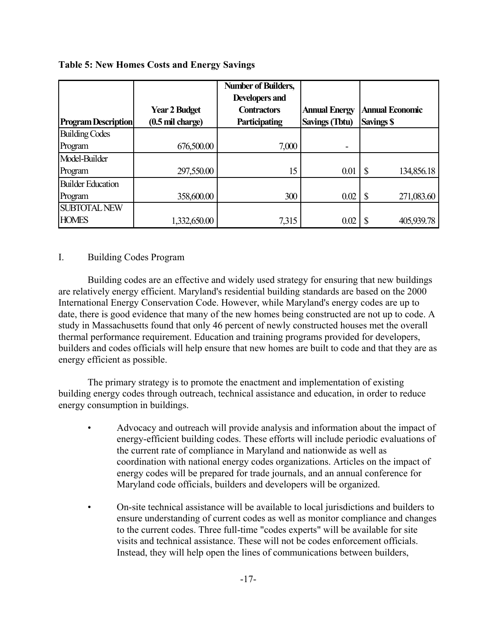|                            |                            | <b>Number of Builders,</b> |                       |                             |
|----------------------------|----------------------------|----------------------------|-----------------------|-----------------------------|
|                            |                            | <b>Developers and</b>      |                       |                             |
|                            | <b>Year 2 Budget</b>       | <b>Contractors</b>         | <b>Annual Energy</b>  | <b>Annual Economic</b>      |
| <b>Program Description</b> | $(0.5 \text{ mil charge})$ | <b>Participating</b>       | <b>Savings (Tbtu)</b> | <b>Savings \$</b>           |
| <b>Building Codes</b>      |                            |                            |                       |                             |
| Program                    | 676,500.00                 | 7,000                      |                       |                             |
| Model-Builder              |                            |                            |                       |                             |
| Program                    | 297,550.00                 | 15                         | 0.01                  | <sup>\$</sup><br>134,856.18 |
| <b>Builder Education</b>   |                            |                            |                       |                             |
| Program                    | 358,600.00                 | 300                        | 0.02                  | 271,083.60                  |
| <b>SUBTOTAL NEW</b>        |                            |                            |                       |                             |
| <b>HOMES</b>               | 1,332,650.00               | 7,315                      | 0.02                  | 405,939.78                  |

### **Table 5: New Homes Costs and Energy Savings**

#### I. Building Codes Program

Building codes are an effective and widely used strategy for ensuring that new buildings are relatively energy efficient. Maryland's residential building standards are based on the 2000 International Energy Conservation Code. However, while Maryland's energy codes are up to date, there is good evidence that many of the new homes being constructed are not up to code. A study in Massachusetts found that only 46 percent of newly constructed houses met the overall thermal performance requirement. Education and training programs provided for developers, builders and codes officials will help ensure that new homes are built to code and that they are as energy efficient as possible.

The primary strategy is to promote the enactment and implementation of existing building energy codes through outreach, technical assistance and education, in order to reduce energy consumption in buildings.

- Advocacy and outreach will provide analysis and information about the impact of energy-efficient building codes. These efforts will include periodic evaluations of the current rate of compliance in Maryland and nationwide as well as coordination with national energy codes organizations. Articles on the impact of energy codes will be prepared for trade journals, and an annual conference for Maryland code officials, builders and developers will be organized.
- On-site technical assistance will be available to local jurisdictions and builders to ensure understanding of current codes as well as monitor compliance and changes to the current codes. Three full-time "codes experts" will be available for site visits and technical assistance. These will not be codes enforcement officials. Instead, they will help open the lines of communications between builders,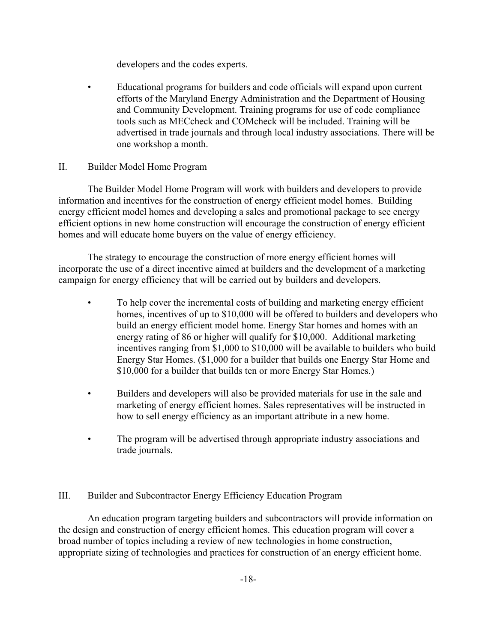developers and the codes experts.

• Educational programs for builders and code officials will expand upon current efforts of the Maryland Energy Administration and the Department of Housing and Community Development. Training programs for use of code compliance tools such as MECcheck and COMcheck will be included. Training will be advertised in trade journals and through local industry associations. There will be one workshop a month.

## II. Builder Model Home Program

The Builder Model Home Program will work with builders and developers to provide information and incentives for the construction of energy efficient model homes. Building energy efficient model homes and developing a sales and promotional package to see energy efficient options in new home construction will encourage the construction of energy efficient homes and will educate home buyers on the value of energy efficiency.

The strategy to encourage the construction of more energy efficient homes will incorporate the use of a direct incentive aimed at builders and the development of a marketing campaign for energy efficiency that will be carried out by builders and developers.

- To help cover the incremental costs of building and marketing energy efficient homes, incentives of up to \$10,000 will be offered to builders and developers who build an energy efficient model home. Energy Star homes and homes with an energy rating of 86 or higher will qualify for \$10,000. Additional marketing incentives ranging from \$1,000 to \$10,000 will be available to builders who build Energy Star Homes. (\$1,000 for a builder that builds one Energy Star Home and \$10,000 for a builder that builds ten or more Energy Star Homes.)
- Builders and developers will also be provided materials for use in the sale and marketing of energy efficient homes. Sales representatives will be instructed in how to sell energy efficiency as an important attribute in a new home.
- The program will be advertised through appropriate industry associations and trade journals.

## III. Builder and Subcontractor Energy Efficiency Education Program

An education program targeting builders and subcontractors will provide information on the design and construction of energy efficient homes. This education program will cover a broad number of topics including a review of new technologies in home construction, appropriate sizing of technologies and practices for construction of an energy efficient home.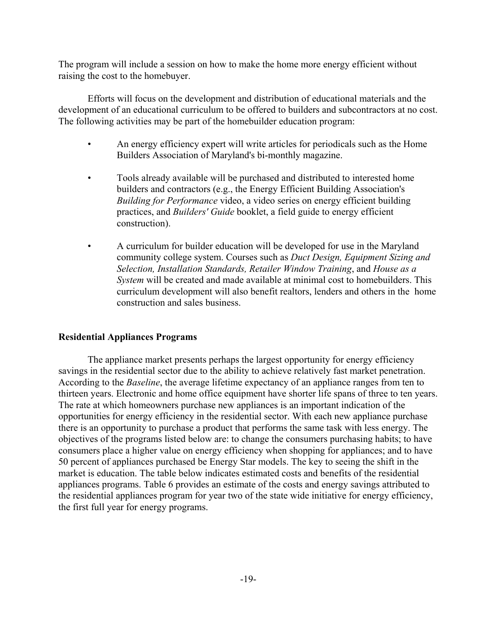The program will include a session on how to make the home more energy efficient without raising the cost to the homebuyer.

Efforts will focus on the development and distribution of educational materials and the development of an educational curriculum to be offered to builders and subcontractors at no cost. The following activities may be part of the homebuilder education program:

- An energy efficiency expert will write articles for periodicals such as the Home Builders Association of Maryland's bi-monthly magazine.
- Tools already available will be purchased and distributed to interested home builders and contractors (e.g., the Energy Efficient Building Association's *Building for Performance* video, a video series on energy efficient building practices, and *Builders' Guide* booklet, a field guide to energy efficient construction).
- A curriculum for builder education will be developed for use in the Maryland community college system. Courses such as *Duct Design, Equipment Sizing and Selection, Installation Standards, Retailer Window Training*, and *House as a System* will be created and made available at minimal cost to homebuilders. This curriculum development will also benefit realtors, lenders and others in the home construction and sales business.

## **Residential Appliances Programs**

The appliance market presents perhaps the largest opportunity for energy efficiency savings in the residential sector due to the ability to achieve relatively fast market penetration. According to the *Baseline*, the average lifetime expectancy of an appliance ranges from ten to thirteen years. Electronic and home office equipment have shorter life spans of three to ten years. The rate at which homeowners purchase new appliances is an important indication of the opportunities for energy efficiency in the residential sector. With each new appliance purchase there is an opportunity to purchase a product that performs the same task with less energy. The objectives of the programs listed below are: to change the consumers purchasing habits; to have consumers place a higher value on energy efficiency when shopping for appliances; and to have 50 percent of appliances purchased be Energy Star models. The key to seeing the shift in the market is education. The table below indicates estimated costs and benefits of the residential appliances programs. Table 6 provides an estimate of the costs and energy savings attributed to the residential appliances program for year two of the state wide initiative for energy efficiency, the first full year for energy programs.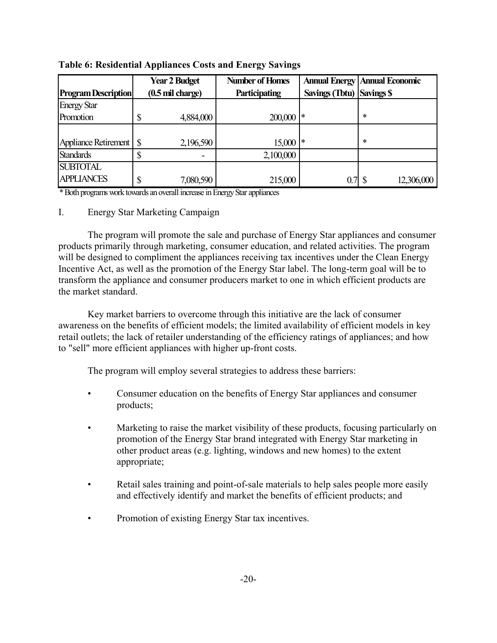|                            |    | <b>Year 2 Budget</b>       | <b>Number of Homes</b> |                           | <b>Annual Energy   Annual Economic</b> |
|----------------------------|----|----------------------------|------------------------|---------------------------|----------------------------------------|
| <b>Program Description</b> |    | $(0.5 \text{ mil charge})$ | <b>Participating</b>   | Savings (Tbtu) Savings \$ |                                        |
| <b>Energy Star</b>         |    |                            |                        |                           |                                        |
| Promotion                  |    | 4,884,000                  | 200,000                |                           | $\ast$                                 |
|                            |    |                            |                        |                           |                                        |
| Appliance Retirement   \$  |    | 2,196,590                  | $15,000$ *             |                           | $\ast$                                 |
| <b>Standards</b>           | ۰D |                            | 2,100,000              |                           |                                        |
| <b>SUBTOTAL</b>            |    |                            |                        |                           |                                        |
| <b>APPLIANCES</b>          | \$ | 7,080,590                  | 215,000                | $0.7$ \ $\$\$             | 12,306,000                             |

**Table 6: Residential Appliances Costs and Energy Savings**

\* Both programs work towards an overall increase in Energy Star appliances

## I. Energy Star Marketing Campaign

The program will promote the sale and purchase of Energy Star appliances and consumer products primarily through marketing, consumer education, and related activities. The program will be designed to compliment the appliances receiving tax incentives under the Clean Energy Incentive Act, as well as the promotion of the Energy Star label. The long-term goal will be to transform the appliance and consumer producers market to one in which efficient products are the market standard.

Key market barriers to overcome through this initiative are the lack of consumer awareness on the benefits of efficient models; the limited availability of efficient models in key retail outlets; the lack of retailer understanding of the efficiency ratings of appliances; and how to "sell" more efficient appliances with higher up-front costs.

The program will employ several strategies to address these barriers:

- Consumer education on the benefits of Energy Star appliances and consumer products;
- Marketing to raise the market visibility of these products, focusing particularly on promotion of the Energy Star brand integrated with Energy Star marketing in other product areas (e.g. lighting, windows and new homes) to the extent appropriate;
- Retail sales training and point-of-sale materials to help sales people more easily and effectively identify and market the benefits of efficient products; and
- Promotion of existing Energy Star tax incentives.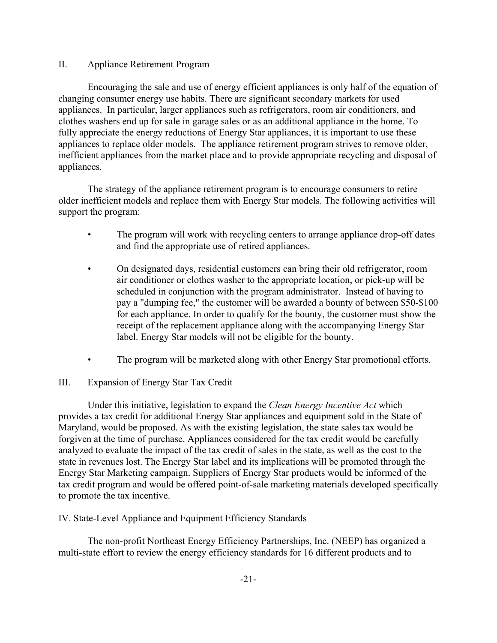## II. Appliance Retirement Program

Encouraging the sale and use of energy efficient appliances is only half of the equation of changing consumer energy use habits. There are significant secondary markets for used appliances. In particular, larger appliances such as refrigerators, room air conditioners, and clothes washers end up for sale in garage sales or as an additional appliance in the home. To fully appreciate the energy reductions of Energy Star appliances, it is important to use these appliances to replace older models. The appliance retirement program strives to remove older, inefficient appliances from the market place and to provide appropriate recycling and disposal of appliances.

The strategy of the appliance retirement program is to encourage consumers to retire older inefficient models and replace them with Energy Star models. The following activities will support the program:

- The program will work with recycling centers to arrange appliance drop-off dates and find the appropriate use of retired appliances.
- On designated days, residential customers can bring their old refrigerator, room air conditioner or clothes washer to the appropriate location, or pick-up will be scheduled in conjunction with the program administrator. Instead of having to pay a "dumping fee," the customer will be awarded a bounty of between \$50-\$100 for each appliance. In order to qualify for the bounty, the customer must show the receipt of the replacement appliance along with the accompanying Energy Star label. Energy Star models will not be eligible for the bounty.
- The program will be marketed along with other Energy Star promotional efforts.

## III. Expansion of Energy Star Tax Credit

Under this initiative, legislation to expand the *Clean Energy Incentive Act* which provides a tax credit for additional Energy Star appliances and equipment sold in the State of Maryland, would be proposed. As with the existing legislation, the state sales tax would be forgiven at the time of purchase. Appliances considered for the tax credit would be carefully analyzed to evaluate the impact of the tax credit of sales in the state, as well as the cost to the state in revenues lost. The Energy Star label and its implications will be promoted through the Energy Star Marketing campaign. Suppliers of Energy Star products would be informed of the tax credit program and would be offered point-of-sale marketing materials developed specifically to promote the tax incentive.

IV. State-Level Appliance and Equipment Efficiency Standards

The non-profit Northeast Energy Efficiency Partnerships, Inc. (NEEP) has organized a multi-state effort to review the energy efficiency standards for 16 different products and to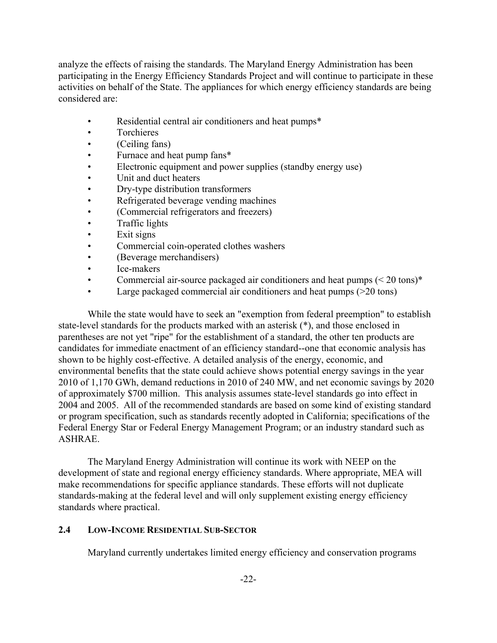analyze the effects of raising the standards. The Maryland Energy Administration has been participating in the Energy Efficiency Standards Project and will continue to participate in these activities on behalf of the State. The appliances for which energy efficiency standards are being considered are:

- Residential central air conditioners and heat pumps\*
- Torchieres
- (Ceiling fans)
- Furnace and heat pump fans\*
- Electronic equipment and power supplies (standby energy use)
- Unit and duct heaters
- Dry-type distribution transformers
- Refrigerated beverage vending machines
- (Commercial refrigerators and freezers)
- Traffic lights
- Exit signs
- Commercial coin-operated clothes washers
- (Beverage merchandisers)
- Ice-makers
- Commercial air-source packaged air conditioners and heat pumps (< 20 tons)<sup>\*</sup>
- Large packaged commercial air conditioners and heat pumps ( $>20$  tons)

While the state would have to seek an "exemption from federal preemption" to establish state-level standards for the products marked with an asterisk (\*), and those enclosed in parentheses are not yet "ripe" for the establishment of a standard, the other ten products are candidates for immediate enactment of an efficiency standard--one that economic analysis has shown to be highly cost-effective. A detailed analysis of the energy, economic, and environmental benefits that the state could achieve shows potential energy savings in the year 2010 of 1,170 GWh, demand reductions in 2010 of 240 MW, and net economic savings by 2020 of approximately \$700 million. This analysis assumes state-level standards go into effect in 2004 and 2005. All of the recommended standards are based on some kind of existing standard or program specification, such as standards recently adopted in California; specifications of the Federal Energy Star or Federal Energy Management Program; or an industry standard such as ASHRAE.

The Maryland Energy Administration will continue its work with NEEP on the development of state and regional energy efficiency standards. Where appropriate, MEA will make recommendations for specific appliance standards. These efforts will not duplicate standards-making at the federal level and will only supplement existing energy efficiency standards where practical.

## **2.4 LOW-INCOME RESIDENTIAL SUB-SECTOR**

Maryland currently undertakes limited energy efficiency and conservation programs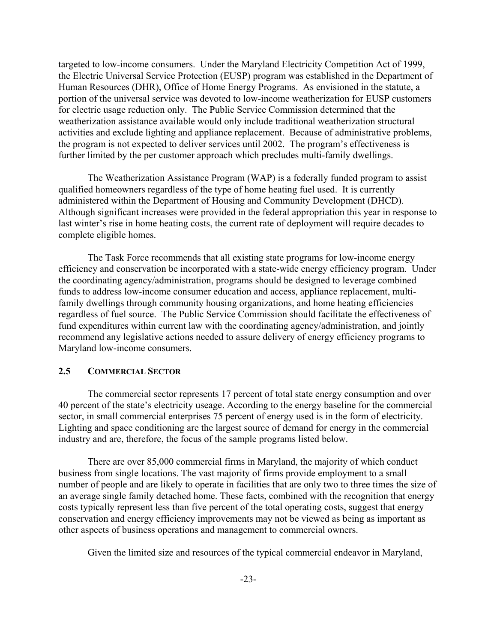targeted to low-income consumers. Under the Maryland Electricity Competition Act of 1999, the Electric Universal Service Protection (EUSP) program was established in the Department of Human Resources (DHR), Office of Home Energy Programs. As envisioned in the statute, a portion of the universal service was devoted to low-income weatherization for EUSP customers for electric usage reduction only. The Public Service Commission determined that the weatherization assistance available would only include traditional weatherization structural activities and exclude lighting and appliance replacement. Because of administrative problems, the program is not expected to deliver services until 2002.The program's effectiveness is further limited by the per customer approach which precludes multi-family dwellings.

The Weatherization Assistance Program (WAP) is a federally funded program to assist qualified homeowners regardless of the type of home heating fuel used. It is currently administered within the Department of Housing and Community Development (DHCD). Although significant increases were provided in the federal appropriation this year in response to last winter's rise in home heating costs, the current rate of deployment will require decades to complete eligible homes.

The Task Force recommends that all existing state programs for low-income energy efficiency and conservation be incorporated with a state-wide energy efficiency program. Under the coordinating agency/administration, programs should be designed to leverage combined funds to address low-income consumer education and access, appliance replacement, multifamily dwellings through community housing organizations, and home heating efficiencies regardless of fuel source. The Public Service Commission should facilitate the effectiveness of fund expenditures within current law with the coordinating agency/administration, and jointly recommend any legislative actions needed to assure delivery of energy efficiency programs to Maryland low-income consumers.

## **2.5 COMMERCIAL SECTOR**

The commercial sector represents 17 percent of total state energy consumption and over 40 percent of the state's electricity useage. According to the energy baseline for the commercial sector, in small commercial enterprises 75 percent of energy used is in the form of electricity. Lighting and space conditioning are the largest source of demand for energy in the commercial industry and are, therefore, the focus of the sample programs listed below.

There are over 85,000 commercial firms in Maryland, the majority of which conduct business from single locations. The vast majority of firms provide employment to a small number of people and are likely to operate in facilities that are only two to three times the size of an average single family detached home. These facts, combined with the recognition that energy costs typically represent less than five percent of the total operating costs, suggest that energy conservation and energy efficiency improvements may not be viewed as being as important as other aspects of business operations and management to commercial owners.

Given the limited size and resources of the typical commercial endeavor in Maryland,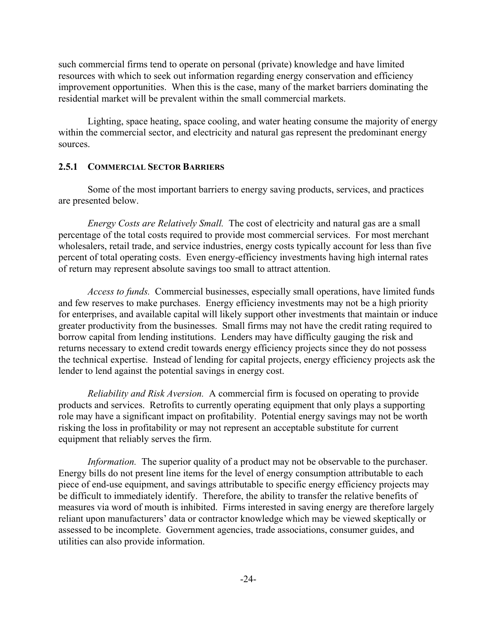such commercial firms tend to operate on personal (private) knowledge and have limited resources with which to seek out information regarding energy conservation and efficiency improvement opportunities. When this is the case, many of the market barriers dominating the residential market will be prevalent within the small commercial markets.

Lighting, space heating, space cooling, and water heating consume the majority of energy within the commercial sector, and electricity and natural gas represent the predominant energy sources.

## **2.5.1 COMMERCIAL SECTOR BARRIERS**

Some of the most important barriers to energy saving products, services, and practices are presented below.

*Energy Costs are Relatively Small.* The cost of electricity and natural gas are a small percentage of the total costs required to provide most commercial services. For most merchant wholesalers, retail trade, and service industries, energy costs typically account for less than five percent of total operating costs. Even energy-efficiency investments having high internal rates of return may represent absolute savings too small to attract attention.

*Access to funds.*Commercial businesses, especially small operations, have limited funds and few reserves to make purchases. Energy efficiency investments may not be a high priority for enterprises, and available capital will likely support other investments that maintain or induce greater productivity from the businesses. Small firms may not have the credit rating required to borrow capital from lending institutions. Lenders may have difficulty gauging the risk and returns necessary to extend credit towards energy efficiency projects since they do not possess the technical expertise. Instead of lending for capital projects, energy efficiency projects ask the lender to lend against the potential savings in energy cost.

*Reliability and Risk Aversion.* A commercial firm is focused on operating to provide products and services. Retrofits to currently operating equipment that only plays a supporting role may have a significant impact on profitability. Potential energy savings may not be worth risking the loss in profitability or may not represent an acceptable substitute for current equipment that reliably serves the firm.

*Information.* The superior quality of a product may not be observable to the purchaser. Energy bills do not present line items for the level of energy consumption attributable to each piece of end-use equipment, and savings attributable to specific energy efficiency projects may be difficult to immediately identify. Therefore, the ability to transfer the relative benefits of measures via word of mouth is inhibited. Firms interested in saving energy are therefore largely reliant upon manufacturers' data or contractor knowledge which may be viewed skeptically or assessed to be incomplete. Government agencies, trade associations, consumer guides, and utilities can also provide information.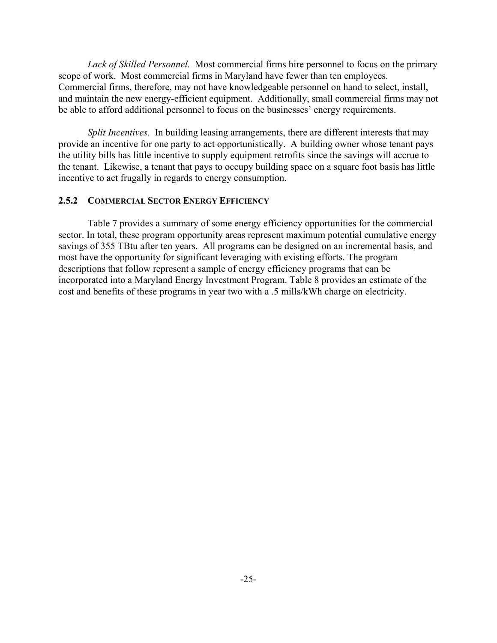*Lack of Skilled Personnel.* Most commercial firms hire personnel to focus on the primary scope of work. Most commercial firms in Maryland have fewer than ten employees. Commercial firms, therefore, may not have knowledgeable personnel on hand to select, install, and maintain the new energy-efficient equipment. Additionally, small commercial firms may not be able to afford additional personnel to focus on the businesses' energy requirements.

*Split Incentives.* In building leasing arrangements, there are different interests that may provide an incentive for one party to act opportunistically. A building owner whose tenant pays the utility bills has little incentive to supply equipment retrofits since the savings will accrue to the tenant. Likewise, a tenant that pays to occupy building space on a square foot basis has little incentive to act frugally in regards to energy consumption.

## **2.5.2 COMMERCIAL SECTOR ENERGY EFFICIENCY**

Table 7 provides a summary of some energy efficiency opportunities for the commercial sector. In total, these program opportunity areas represent maximum potential cumulative energy savings of 355 TBtu after ten years. All programs can be designed on an incremental basis, and most have the opportunity for significant leveraging with existing efforts. The program descriptions that follow represent a sample of energy efficiency programs that can be incorporated into a Maryland Energy Investment Program. Table 8 provides an estimate of the cost and benefits of these programs in year two with a .5 mills/kWh charge on electricity.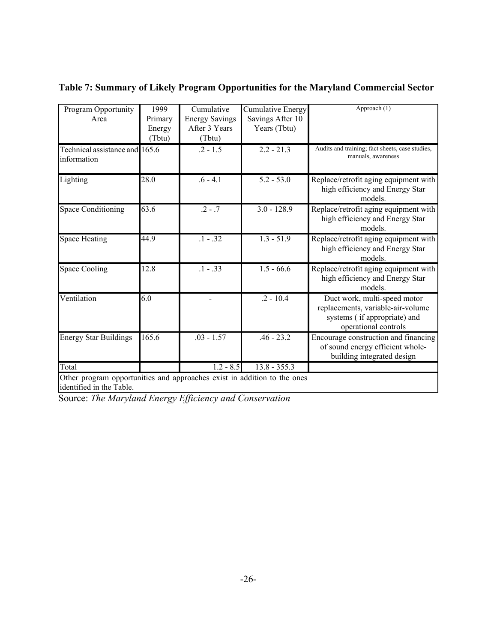| Program Opportunity                                                                                  | 1999    | Cumulative            | <b>Cumulative Energy</b> | Approach (1)                                                                                                              |
|------------------------------------------------------------------------------------------------------|---------|-----------------------|--------------------------|---------------------------------------------------------------------------------------------------------------------------|
| Area                                                                                                 | Primary | <b>Energy Savings</b> | Savings After 10         |                                                                                                                           |
|                                                                                                      | Energy  | After 3 Years         | Years (Tbtu)             |                                                                                                                           |
|                                                                                                      | (Tbtu)  | (Tbtu)                |                          |                                                                                                                           |
| Technical assistance and 165.6<br>information                                                        |         | $.2 - 1.5$            | $2.2 - 21.3$             | Audits and training; fact sheets, case studies,<br>manuals, awareness                                                     |
| Lighting                                                                                             | 28.0    | $.6 - 4.1$            | $5.2 - 53.0$             | Replace/retrofit aging equipment with<br>high efficiency and Energy Star<br>models.                                       |
| <b>Space Conditioning</b>                                                                            | 63.6    | $.2 - .7$             | $3.0 - 128.9$            | Replace/retrofit aging equipment with<br>high efficiency and Energy Star<br>models.                                       |
| <b>Space Heating</b>                                                                                 | 44.9    | $.1 - .32$            | $1.3 - 51.9$             | Replace/retrofit aging equipment with<br>high efficiency and Energy Star<br>models.                                       |
| <b>Space Cooling</b>                                                                                 | 12.8    | $.1 - .33$            | $1.5 - 66.6$             | Replace/retrofit aging equipment with<br>high efficiency and Energy Star<br>models.                                       |
| Ventilation                                                                                          | 6.0     |                       | $.2 - 10.4$              | Duct work, multi-speed motor<br>replacements, variable-air-volume<br>systems (if appropriate) and<br>operational controls |
| <b>Energy Star Buildings</b>                                                                         | 165.6   | $.03 - 1.57$          | $.46 - 23.2$             | Encourage construction and financing<br>of sound energy efficient whole-<br>building integrated design                    |
| Total                                                                                                |         | $1.2 - 8.5$           | $13.8 - 355.3$           |                                                                                                                           |
| Other program opportunities and approaches exist in addition to the ones<br>identified in the Table. |         |                       |                          |                                                                                                                           |

**Table 7: Summary of Likely Program Opportunities for the Maryland Commercial Sector**

identified in the Table.

Source: *The Maryland Energy Efficiency and Conservation*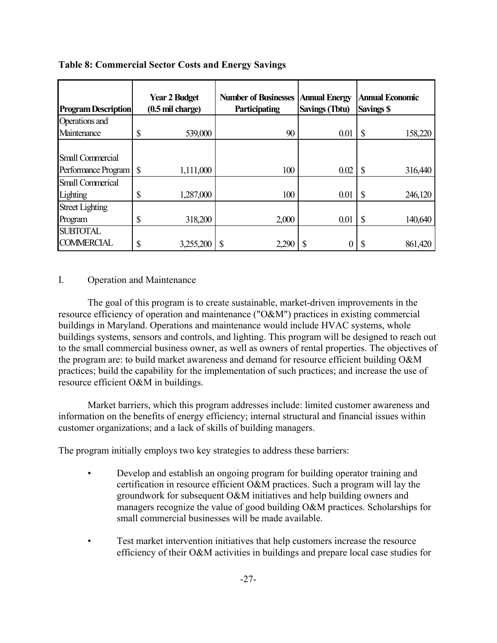| <b>Program Description</b>                     |              | <b>Year 2 Budget</b><br>$(0.5 \text{ mil charge})$ | <b>Number of Businesses</b><br>Participating | <b>Annual Energy</b><br><b>Savings (Tbtu)</b> | <b>Annual Economic</b><br><b>Savings \$</b> |
|------------------------------------------------|--------------|----------------------------------------------------|----------------------------------------------|-----------------------------------------------|---------------------------------------------|
| Operations and                                 |              |                                                    |                                              |                                               |                                             |
| Maintenance                                    | \$           | 539,000                                            | 90                                           | 0.01                                          | \$<br>158,220                               |
| <b>Small Commercial</b><br>Performance Program | $\mathbb{S}$ | 1,111,000                                          | 100                                          | 0.02                                          | \$<br>316,440                               |
| <b>Small Commerical</b><br>Lighting            | \$           | 1,287,000                                          | 100                                          | 0.01                                          | \$<br>246,120                               |
| <b>Street Lighting</b><br>Program              | \$           | 318,200                                            | 2,000                                        | 0.01                                          | \$<br>140,640                               |
| <b>SUBTOTAL</b><br><b>COMMERCIAL</b>           | \$           | 3,255,200                                          | \$<br>2,290                                  |                                               | 861,420<br>\$                               |

**Table 8: Commercial Sector Costs and Energy Savings**

## I. Operation and Maintenance

The goal of this program is to create sustainable, market-driven improvements in the resource efficiency of operation and maintenance ("O&M") practices in existing commercial buildings in Maryland. Operations and maintenance would include HVAC systems, whole buildings systems, sensors and controls, and lighting. This program will be designed to reach out to the small commercial business owner, as well as owners of rental properties. The objectives of the program are: to build market awareness and demand for resource efficient building O&M practices; build the capability for the implementation of such practices; and increase the use of resource efficient O&M in buildings.

Market barriers, which this program addresses include: limited customer awareness and information on the benefits of energy efficiency; internal structural and financial issues within customer organizations; and a lack of skills of building managers.

The program initially employs two key strategies to address these barriers:

- Develop and establish an ongoing program for building operator training and certification in resource efficient O&M practices. Such a program will lay the groundwork for subsequent O&M initiatives and help building owners and managers recognize the value of good building O&M practices. Scholarships for small commercial businesses will be made available.
- Test market intervention initiatives that help customers increase the resource efficiency of their O&M activities in buildings and prepare local case studies for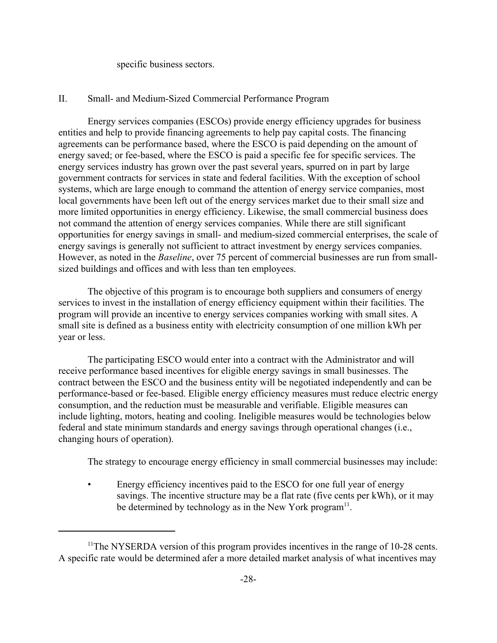specific business sectors.

### II. Small- and Medium-Sized Commercial Performance Program

Energy services companies (ESCOs) provide energy efficiency upgrades for business entities and help to provide financing agreements to help pay capital costs. The financing agreements can be performance based, where the ESCO is paid depending on the amount of energy saved; or fee-based, where the ESCO is paid a specific fee for specific services. The energy services industry has grown over the past several years, spurred on in part by large government contracts for services in state and federal facilities. With the exception of school systems, which are large enough to command the attention of energy service companies, most local governments have been left out of the energy services market due to their small size and more limited opportunities in energy efficiency. Likewise, the small commercial business does not command the attention of energy services companies. While there are still significant opportunities for energy savings in small- and medium-sized commercial enterprises, the scale of energy savings is generally not sufficient to attract investment by energy services companies. However, as noted in the *Baseline*, over 75 percent of commercial businesses are run from smallsized buildings and offices and with less than ten employees.

The objective of this program is to encourage both suppliers and consumers of energy services to invest in the installation of energy efficiency equipment within their facilities. The program will provide an incentive to energy services companies working with small sites. A small site is defined as a business entity with electricity consumption of one million kWh per year or less.

The participating ESCO would enter into a contract with the Administrator and will receive performance based incentives for eligible energy savings in small businesses. The contract between the ESCO and the business entity will be negotiated independently and can be performance-based or fee-based. Eligible energy efficiency measures must reduce electric energy consumption, and the reduction must be measurable and verifiable. Eligible measures can include lighting, motors, heating and cooling. Ineligible measures would be technologies below federal and state minimum standards and energy savings through operational changes (i.e., changing hours of operation).

The strategy to encourage energy efficiency in small commercial businesses may include:

Energy efficiency incentives paid to the ESCO for one full year of energy savings. The incentive structure may be a flat rate (five cents per kWh), or it may be determined by technology as in the New York program $11$ .

<sup>&</sup>lt;sup>11</sup>The NYSERDA version of this program provides incentives in the range of 10-28 cents. A specific rate would be determined afer a more detailed market analysis of what incentives may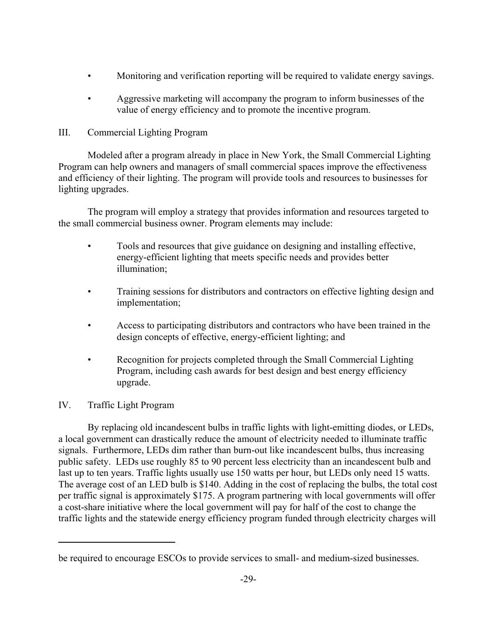- Monitoring and verification reporting will be required to validate energy savings.
- Aggressive marketing will accompany the program to inform businesses of the value of energy efficiency and to promote the incentive program.

# III. Commercial Lighting Program

Modeled after a program already in place in New York, the Small Commercial Lighting Program can help owners and managers of small commercial spaces improve the effectiveness and efficiency of their lighting. The program will provide tools and resources to businesses for lighting upgrades.

The program will employ a strategy that provides information and resources targeted to the small commercial business owner. Program elements may include:

- Tools and resources that give guidance on designing and installing effective, energy-efficient lighting that meets specific needs and provides better illumination;
- Training sessions for distributors and contractors on effective lighting design and implementation;
- Access to participating distributors and contractors who have been trained in the design concepts of effective, energy-efficient lighting; and
- Recognition for projects completed through the Small Commercial Lighting Program, including cash awards for best design and best energy efficiency upgrade.

# IV. Traffic Light Program

By replacing old incandescent bulbs in traffic lights with light-emitting diodes, or LEDs, a local government can drastically reduce the amount of electricity needed to illuminate traffic signals. Furthermore, LEDs dim rather than burn-out like incandescent bulbs, thus increasing public safety. LEDs use roughly 85 to 90 percent less electricity than an incandescent bulb and last up to ten years. Traffic lights usually use 150 watts per hour, but LEDs only need 15 watts. The average cost of an LED bulb is \$140. Adding in the cost of replacing the bulbs, the total cost per traffic signal is approximately \$175. A program partnering with local governments will offer a cost-share initiative where the local government will pay for half of the cost to change the traffic lights and the statewide energy efficiency program funded through electricity charges will

be required to encourage ESCOs to provide services to small- and medium-sized businesses.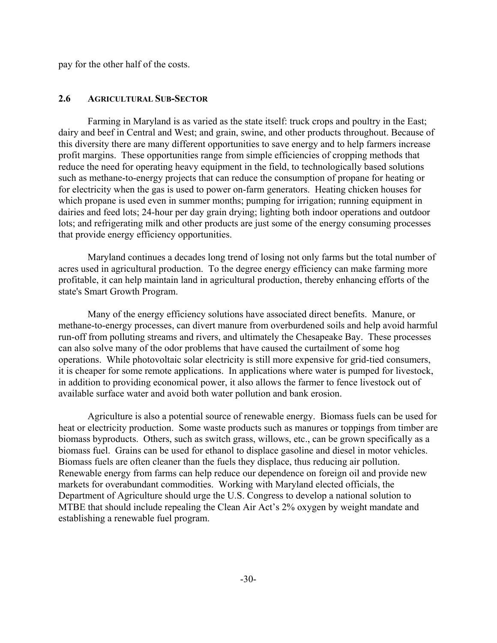pay for the other half of the costs.

### **2.6 AGRICULTURAL SUB-SECTOR**

Farming in Maryland is as varied as the state itself: truck crops and poultry in the East; dairy and beef in Central and West; and grain, swine, and other products throughout. Because of this diversity there are many different opportunities to save energy and to help farmers increase profit margins. These opportunities range from simple efficiencies of cropping methods that reduce the need for operating heavy equipment in the field, to technologically based solutions such as methane-to-energy projects that can reduce the consumption of propane for heating or for electricity when the gas is used to power on-farm generators. Heating chicken houses for which propane is used even in summer months; pumping for irrigation; running equipment in dairies and feed lots; 24-hour per day grain drying; lighting both indoor operations and outdoor lots; and refrigerating milk and other products are just some of the energy consuming processes that provide energy efficiency opportunities.

Maryland continues a decades long trend of losing not only farms but the total number of acres used in agricultural production. To the degree energy efficiency can make farming more profitable, it can help maintain land in agricultural production, thereby enhancing efforts of the state's Smart Growth Program.

Many of the energy efficiency solutions have associated direct benefits. Manure, or methane-to-energy processes, can divert manure from overburdened soils and help avoid harmful run-off from polluting streams and rivers, and ultimately the Chesapeake Bay. These processes can also solve many of the odor problems that have caused the curtailment of some hog operations. While photovoltaic solar electricity is still more expensive for grid-tied consumers, it is cheaper for some remote applications. In applications where water is pumped for livestock, in addition to providing economical power, it also allows the farmer to fence livestock out of available surface water and avoid both water pollution and bank erosion.

Agriculture is also a potential source of renewable energy. Biomass fuels can be used for heat or electricity production. Some waste products such as manures or toppings from timber are biomass byproducts. Others, such as switch grass, willows, etc., can be grown specifically as a biomass fuel. Grains can be used for ethanol to displace gasoline and diesel in motor vehicles. Biomass fuels are often cleaner than the fuels they displace, thus reducing air pollution. Renewable energy from farms can help reduce our dependence on foreign oil and provide new markets for overabundant commodities. Working with Maryland elected officials, the Department of Agriculture should urge the U.S. Congress to develop a national solution to MTBE that should include repealing the Clean Air Act's 2% oxygen by weight mandate and establishing a renewable fuel program.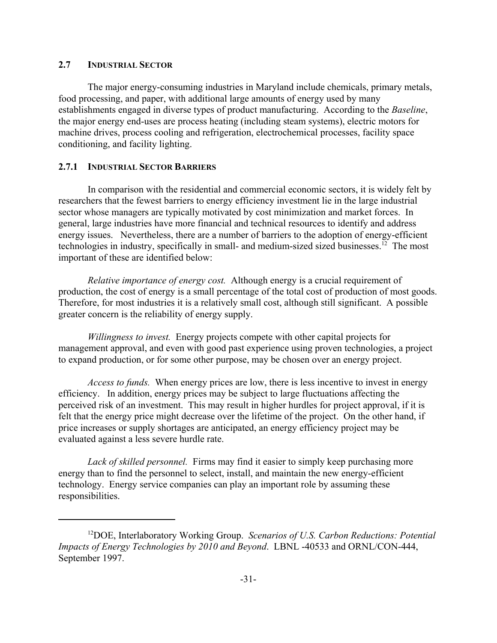# **2.7 INDUSTRIAL SECTOR**

The major energy-consuming industries in Maryland include chemicals, primary metals, food processing, and paper, with additional large amounts of energy used by many establishments engaged in diverse types of product manufacturing. According to the *Baseline*, the major energy end-uses are process heating (including steam systems), electric motors for machine drives, process cooling and refrigeration, electrochemical processes, facility space conditioning, and facility lighting.

# **2.7.1 INDUSTRIAL SECTOR BARRIERS**

In comparison with the residential and commercial economic sectors, it is widely felt by researchers that the fewest barriers to energy efficiency investment lie in the large industrial sector whose managers are typically motivated by cost minimization and market forces. In general, large industries have more financial and technical resources to identify and address energy issues. Nevertheless, there are a number of barriers to the adoption of energy-efficient technologies in industry, specifically in small- and medium-sized sized businesses.<sup>12</sup> The most important of these are identified below:

*Relative importance of energy cost.* Although energy is a crucial requirement of production, the cost of energy is a small percentage of the total cost of production of most goods. Therefore, for most industries it is a relatively small cost, although still significant. A possible greater concern is the reliability of energy supply.

*Willingness to invest.* Energy projects compete with other capital projects for management approval, and even with good past experience using proven technologies, a project to expand production, or for some other purpose, may be chosen over an energy project.

*Access to funds.* When energy prices are low, there is less incentive to invest in energy efficiency. In addition, energy prices may be subject to large fluctuations affecting the perceived risk of an investment. This may result in higher hurdles for project approval, if it is felt that the energy price might decrease over the lifetime of the project. On the other hand, if price increases or supply shortages are anticipated, an energy efficiency project may be evaluated against a less severe hurdle rate.

*Lack of skilled personnel.* Firms may find it easier to simply keep purchasing more energy than to find the personnel to select, install, and maintain the new energy-efficient technology. Energy service companies can play an important role by assuming these responsibilities.

<sup>12</sup>DOE, Interlaboratory Working Group. *Scenarios of U.S. Carbon Reductions: Potential Impacts of Energy Technologies by 2010 and Beyond*. LBNL -40533 and ORNL/CON-444, September 1997.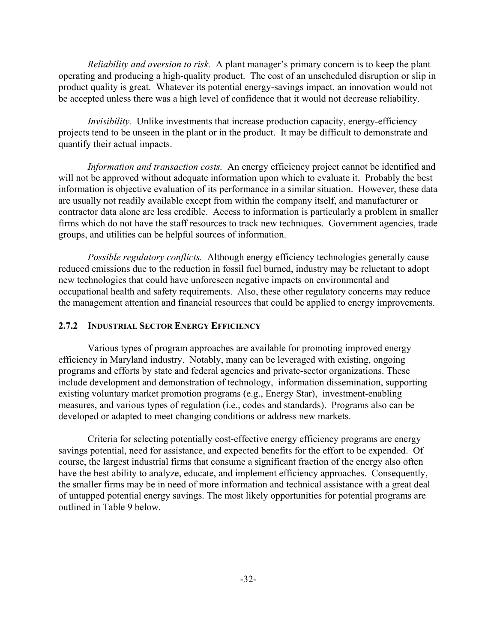*Reliability and aversion to risk.* A plant manager's primary concern is to keep the plant operating and producing a high-quality product. The cost of an unscheduled disruption or slip in product quality is great. Whatever its potential energy-savings impact, an innovation would not be accepted unless there was a high level of confidence that it would not decrease reliability.

*Invisibility*. Unlike investments that increase production capacity, energy-efficiency projects tend to be unseen in the plant or in the product. It may be difficult to demonstrate and quantify their actual impacts.

*Information and transaction costs.* An energy efficiency project cannot be identified and will not be approved without adequate information upon which to evaluate it. Probably the best information is objective evaluation of its performance in a similar situation. However, these data are usually not readily available except from within the company itself, and manufacturer or contractor data alone are less credible. Access to information is particularly a problem in smaller firms which do not have the staff resources to track new techniques. Government agencies, trade groups, and utilities can be helpful sources of information.

*Possible regulatory conflicts.* Although energy efficiency technologies generally cause reduced emissions due to the reduction in fossil fuel burned, industry may be reluctant to adopt new technologies that could have unforeseen negative impacts on environmental and occupational health and safety requirements. Also, these other regulatory concerns may reduce the management attention and financial resources that could be applied to energy improvements.

## **2.7.2 INDUSTRIAL SECTOR ENERGY EFFICIENCY**

Various types of program approaches are available for promoting improved energy efficiency in Maryland industry. Notably, many can be leveraged with existing, ongoing programs and efforts by state and federal agencies and private-sector organizations. These include development and demonstration of technology, information dissemination, supporting existing voluntary market promotion programs (e.g., Energy Star), investment-enabling measures, and various types of regulation (i.e., codes and standards). Programs also can be developed or adapted to meet changing conditions or address new markets.

Criteria for selecting potentially cost-effective energy efficiency programs are energy savings potential, need for assistance, and expected benefits for the effort to be expended. Of course, the largest industrial firms that consume a significant fraction of the energy also often have the best ability to analyze, educate, and implement efficiency approaches. Consequently, the smaller firms may be in need of more information and technical assistance with a great deal of untapped potential energy savings. The most likely opportunities for potential programs are outlined in Table 9 below.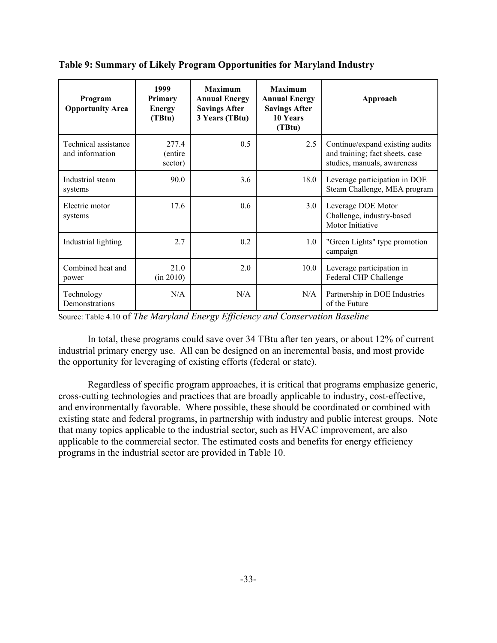| Program<br><b>Opportunity Area</b>      | 1999<br><b>Primary</b><br><b>Energy</b><br>(TBtu) | <b>Maximum</b><br><b>Annual Energy</b><br><b>Savings After</b><br>3 Years (TBtu) | <b>Maximum</b><br><b>Annual Energy</b><br><b>Savings After</b><br>10 Years<br>(TBtu) | Approach                                                                                          |
|-----------------------------------------|---------------------------------------------------|----------------------------------------------------------------------------------|--------------------------------------------------------------------------------------|---------------------------------------------------------------------------------------------------|
| Technical assistance<br>and information | 277.4<br>(entire)<br>sector)                      | 0.5                                                                              | 2.5                                                                                  | Continue/expand existing audits<br>and training; fact sheets, case<br>studies, manuals, awareness |
| Industrial steam<br>systems             | 90.0                                              | 3.6                                                                              | 18.0                                                                                 | Leverage participation in DOE<br>Steam Challenge, MEA program                                     |
| Electric motor<br>systems               | 17.6                                              | 0.6                                                                              | 3.0                                                                                  | Leverage DOE Motor<br>Challenge, industry-based<br>Motor Initiative                               |
| Industrial lighting                     | 2.7                                               | 0.2                                                                              | 1.0                                                                                  | "Green Lights" type promotion<br>campaign                                                         |
| Combined heat and<br>power              | 21.0<br>(in 2010)                                 | 2.0                                                                              | 10.0                                                                                 | Leverage participation in<br>Federal CHP Challenge                                                |
| Technology<br>Demonstrations            | N/A                                               | N/A                                                                              | N/A                                                                                  | Partnership in DOE Industries<br>of the Future                                                    |

**Table 9: Summary of Likely Program Opportunities for Maryland Industry**

Source: Table 4.10 of *The Maryland Energy Efficiency and Conservation Baseline* 

In total, these programs could save over 34 TBtu after ten years, or about 12% of current industrial primary energy use. All can be designed on an incremental basis, and most provide the opportunity for leveraging of existing efforts (federal or state).

Regardless of specific program approaches, it is critical that programs emphasize generic, cross-cutting technologies and practices that are broadly applicable to industry, cost-effective, and environmentally favorable. Where possible, these should be coordinated or combined with existing state and federal programs, in partnership with industry and public interest groups. Note that many topics applicable to the industrial sector, such as HVAC improvement, are also applicable to the commercial sector. The estimated costs and benefits for energy efficiency programs in the industrial sector are provided in Table 10.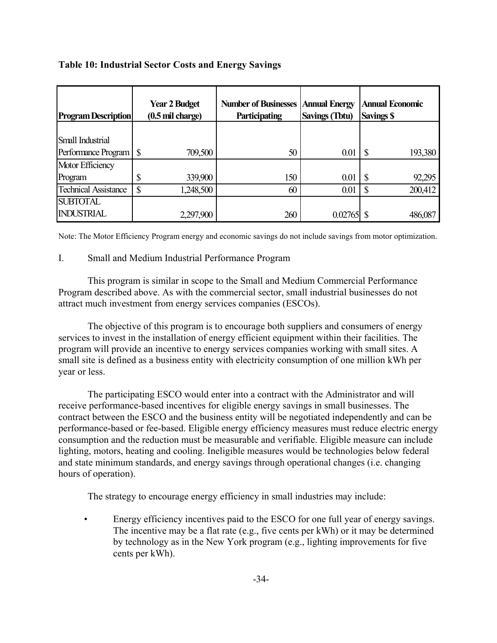| <b>Program Description</b>  | <b>Year 2 Budget</b><br>$(0.5 \text{ mil charge})$ |           | <b>Number of Businesses</b><br><b>Annual Energy</b><br><b>Savings (Tbtu)</b><br>Participating |         | <b>Annual Economic</b><br><b>Savings \$</b> |
|-----------------------------|----------------------------------------------------|-----------|-----------------------------------------------------------------------------------------------|---------|---------------------------------------------|
|                             |                                                    |           |                                                                                               |         |                                             |
| Small Industrial            |                                                    |           |                                                                                               |         |                                             |
| Performance Program         | S                                                  | 709,500   | 50                                                                                            | 0.01    | 193,380                                     |
| Motor Efficiency            |                                                    |           |                                                                                               |         |                                             |
| Program                     | Φ<br>D                                             | 339,900   | 150                                                                                           | 0.01    | 92,295<br>S                                 |
| <b>Technical Assistance</b> | D                                                  | ,248,500  | 60                                                                                            | 0.01    | 200,412                                     |
| <b>SUBTOTAL</b>             |                                                    |           |                                                                                               |         |                                             |
| <b>INDUSTRIAL</b>           |                                                    | 2,297,900 | 260                                                                                           | 0.02765 | 486,087                                     |

# **Table 10: Industrial Sector Costs and Energy Savings**

Note: The Motor Efficiency Program energy and economic savings do not include savings from motor optimization.

# I. Small and Medium Industrial Performance Program

This program is similar in scope to the Small and Medium Commercial Performance Program described above. As with the commercial sector, small industrial businesses do not attract much investment from energy services companies (ESCOs).

The objective of this program is to encourage both suppliers and consumers of energy services to invest in the installation of energy efficient equipment within their facilities. The program will provide an incentive to energy services companies working with small sites. A small site is defined as a business entity with electricity consumption of one million kWh per year or less.

The participating ESCO would enter into a contract with the Administrator and will receive performance-based incentives for eligible energy savings in small businesses. The contract between the ESCO and the business entity will be negotiated independently and can be performance-based or fee-based. Eligible energy efficiency measures must reduce electric energy consumption and the reduction must be measurable and verifiable. Eligible measure can include lighting, motors, heating and cooling. Ineligible measures would be technologies below federal and state minimum standards, and energy savings through operational changes (i.e. changing hours of operation).

The strategy to encourage energy efficiency in small industries may include:

Energy efficiency incentives paid to the ESCO for one full year of energy savings. The incentive may be a flat rate (e.g., five cents per kWh) or it may be determined by technology as in the New York program (e.g., lighting improvements for five cents per kWh).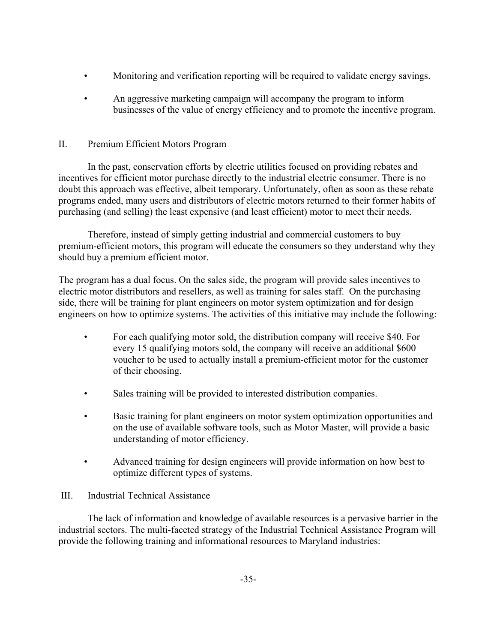- Monitoring and verification reporting will be required to validate energy savings.
- An aggressive marketing campaign will accompany the program to inform businesses of the value of energy efficiency and to promote the incentive program.

# II. Premium Efficient Motors Program

In the past, conservation efforts by electric utilities focused on providing rebates and incentives for efficient motor purchase directly to the industrial electric consumer. There is no doubt this approach was effective, albeit temporary. Unfortunately, often as soon as these rebate programs ended, many users and distributors of electric motors returned to their former habits of purchasing (and selling) the least expensive (and least efficient) motor to meet their needs.

Therefore, instead of simply getting industrial and commercial customers to buy premium-efficient motors, this program will educate the consumers so they understand why they should buy a premium efficient motor.

The program has a dual focus. On the sales side, the program will provide sales incentives to electric motor distributors and resellers, as well as training for sales staff. On the purchasing side, there will be training for plant engineers on motor system optimization and for design engineers on how to optimize systems. The activities of this initiative may include the following:

- For each qualifying motor sold, the distribution company will receive \$40. For every 15 qualifying motors sold, the company will receive an additional \$600 voucher to be used to actually install a premium-efficient motor for the customer of their choosing.
- Sales training will be provided to interested distribution companies.
- Basic training for plant engineers on motor system optimization opportunities and on the use of available software tools, such as Motor Master, will provide a basic understanding of motor efficiency.
- Advanced training for design engineers will provide information on how best to optimize different types of systems.

# III. Industrial Technical Assistance

The lack of information and knowledge of available resources is a pervasive barrier in the industrial sectors. The multi-faceted strategy of the Industrial Technical Assistance Program will provide the following training and informational resources to Maryland industries: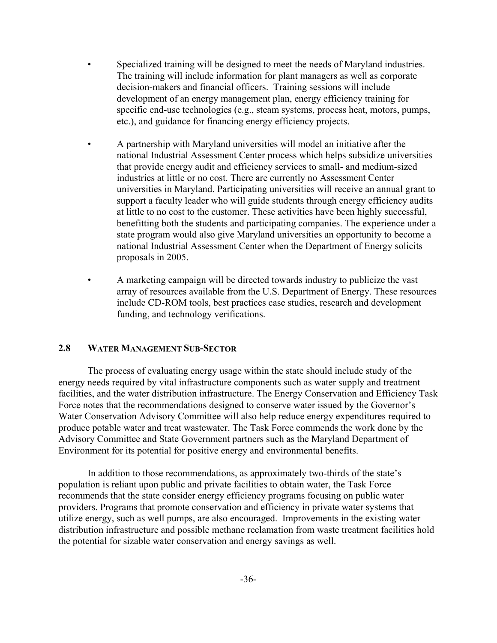- Specialized training will be designed to meet the needs of Maryland industries. The training will include information for plant managers as well as corporate decision-makers and financial officers. Training sessions will include development of an energy management plan, energy efficiency training for specific end-use technologies (e.g., steam systems, process heat, motors, pumps, etc.), and guidance for financing energy efficiency projects.
- A partnership with Maryland universities will model an initiative after the national Industrial Assessment Center process which helps subsidize universities that provide energy audit and efficiency services to small- and medium-sized industries at little or no cost. There are currently no Assessment Center universities in Maryland. Participating universities will receive an annual grant to support a faculty leader who will guide students through energy efficiency audits at little to no cost to the customer. These activities have been highly successful, benefitting both the students and participating companies. The experience under a state program would also give Maryland universities an opportunity to become a national Industrial Assessment Center when the Department of Energy solicits proposals in 2005.
- A marketing campaign will be directed towards industry to publicize the vast array of resources available from the U.S. Department of Energy. These resources include CD-ROM tools, best practices case studies, research and development funding, and technology verifications.

# **2.8 WATER MANAGEMENT SUB-SECTOR**

The process of evaluating energy usage within the state should include study of the energy needs required by vital infrastructure components such as water supply and treatment facilities, and the water distribution infrastructure. The Energy Conservation and Efficiency Task Force notes that the recommendations designed to conserve water issued by the Governor's Water Conservation Advisory Committee will also help reduce energy expenditures required to produce potable water and treat wastewater. The Task Force commends the work done by the Advisory Committee and State Government partners such as the Maryland Department of Environment for its potential for positive energy and environmental benefits.

In addition to those recommendations, as approximately two-thirds of the state's population is reliant upon public and private facilities to obtain water, the Task Force recommends that the state consider energy efficiency programs focusing on public water providers. Programs that promote conservation and efficiency in private water systems that utilize energy, such as well pumps, are also encouraged. Improvements in the existing water distribution infrastructure and possible methane reclamation from waste treatment facilities hold the potential for sizable water conservation and energy savings as well.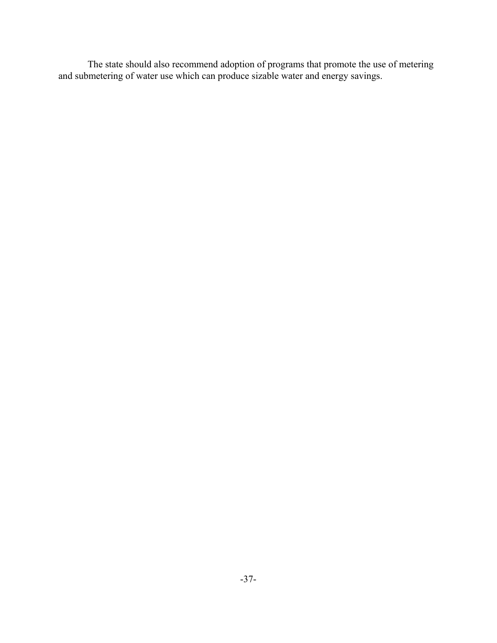The state should also recommend adoption of programs that promote the use of metering and submetering of water use which can produce sizable water and energy savings.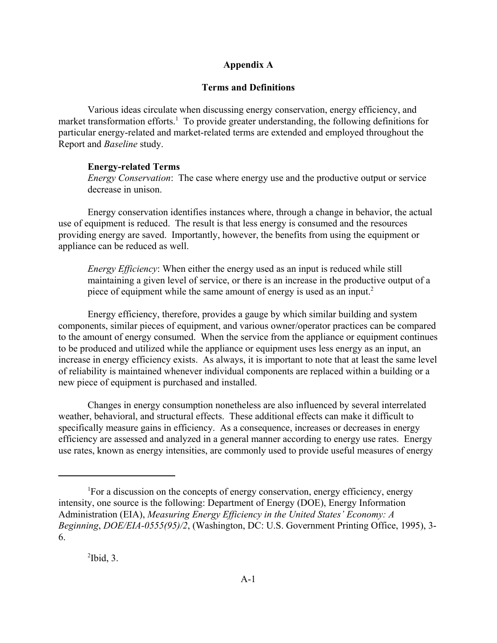## **Appendix A**

### **Terms and Definitions**

Various ideas circulate when discussing energy conservation, energy efficiency, and market transformation efforts.<sup>1</sup> To provide greater understanding, the following definitions for particular energy-related and market-related terms are extended and employed throughout the Report and *Baseline* study.

## **Energy-related Terms**

*Energy Conservation*: The case where energy use and the productive output or service decrease in unison.

Energy conservation identifies instances where, through a change in behavior, the actual use of equipment is reduced. The result is that less energy is consumed and the resources providing energy are saved. Importantly, however, the benefits from using the equipment or appliance can be reduced as well.

*Energy Efficiency*: When either the energy used as an input is reduced while still maintaining a given level of service, or there is an increase in the productive output of a piece of equipment while the same amount of energy is used as an input.<sup>2</sup>

Energy efficiency, therefore, provides a gauge by which similar building and system components, similar pieces of equipment, and various owner/operator practices can be compared to the amount of energy consumed. When the service from the appliance or equipment continues to be produced and utilized while the appliance or equipment uses less energy as an input, an increase in energy efficiency exists. As always, it is important to note that at least the same level of reliability is maintained whenever individual components are replaced within a building or a new piece of equipment is purchased and installed.

Changes in energy consumption nonetheless are also influenced by several interrelated weather, behavioral, and structural effects. These additional effects can make it difficult to specifically measure gains in efficiency. As a consequence, increases or decreases in energy efficiency are assessed and analyzed in a general manner according to energy use rates. Energy use rates, known as energy intensities, are commonly used to provide useful measures of energy

<sup>&</sup>lt;sup>1</sup>For a discussion on the concepts of energy conservation, energy efficiency, energy intensity, one source is the following: Department of Energy (DOE), Energy Information Administration (EIA), *Measuring Energy Efficiency in the United States' Economy: A Beginning*, *DOE/EIA-0555(95)/2*, (Washington, DC: U.S. Government Printing Office, 1995), 3- 6.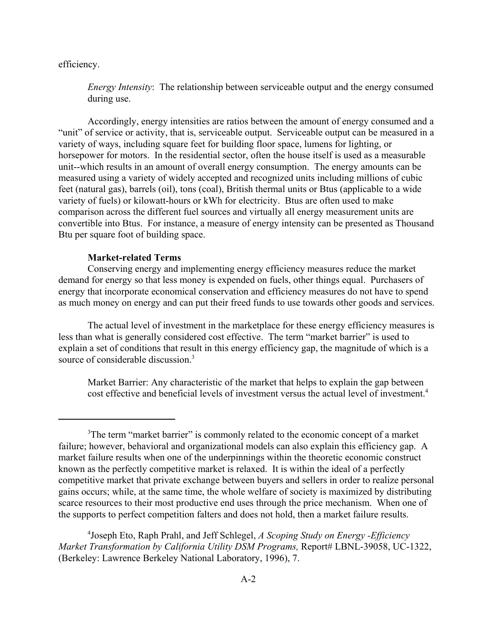efficiency.

*Energy Intensity*: The relationship between serviceable output and the energy consumed during use.

Accordingly, energy intensities are ratios between the amount of energy consumed and a "unit" of service or activity, that is, serviceable output. Serviceable output can be measured in a variety of ways, including square feet for building floor space, lumens for lighting, or horsepower for motors. In the residential sector, often the house itself is used as a measurable unit--which results in an amount of overall energy consumption. The energy amounts can be measured using a variety of widely accepted and recognized units including millions of cubic feet (natural gas), barrels (oil), tons (coal), British thermal units or Btus (applicable to a wide variety of fuels) or kilowatt-hours or kWh for electricity. Btus are often used to make comparison across the different fuel sources and virtually all energy measurement units are convertible into Btus. For instance, a measure of energy intensity can be presented as Thousand Btu per square foot of building space.

## **Market-related Terms**

Conserving energy and implementing energy efficiency measures reduce the market demand for energy so that less money is expended on fuels, other things equal. Purchasers of energy that incorporate economical conservation and efficiency measures do not have to spend as much money on energy and can put their freed funds to use towards other goods and services.

The actual level of investment in the marketplace for these energy efficiency measures is less than what is generally considered cost effective. The term "market barrier" is used to explain a set of conditions that result in this energy efficiency gap, the magnitude of which is a source of considerable discussion.<sup>3</sup>

Market Barrier: Any characteristic of the market that helps to explain the gap between cost effective and beneficial levels of investment versus the actual level of investment.<sup>4</sup>

4 Joseph Eto, Raph Prahl, and Jeff Schlegel, *A Scoping Study on Energy -Efficiency Market Transformation by California Utility DSM Programs, Report# LBNL-39058, UC-1322,* (Berkeley: Lawrence Berkeley National Laboratory, 1996), 7.

<sup>&</sup>lt;sup>3</sup>The term "market barrier" is commonly related to the economic concept of a market failure; however, behavioral and organizational models can also explain this efficiency gap. A market failure results when one of the underpinnings within the theoretic economic construct known as the perfectly competitive market is relaxed. It is within the ideal of a perfectly competitive market that private exchange between buyers and sellers in order to realize personal gains occurs; while, at the same time, the whole welfare of society is maximized by distributing scarce resources to their most productive end uses through the price mechanism. When one of the supports to perfect competition falters and does not hold, then a market failure results.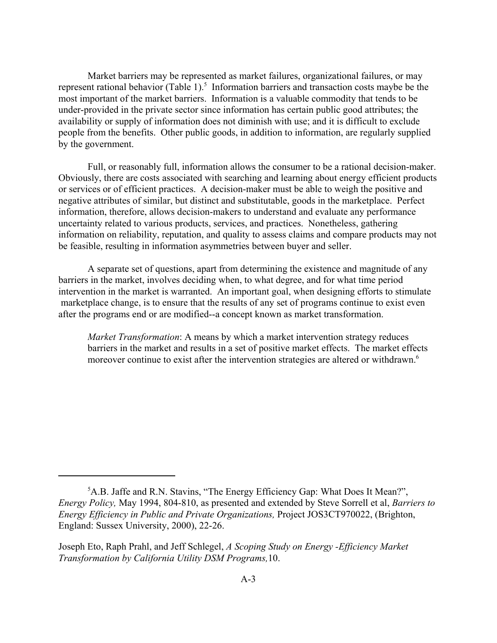Market barriers may be represented as market failures, organizational failures, or may represent rational behavior (Table 1).<sup>5</sup> Information barriers and transaction costs maybe be the most important of the market barriers. Information is a valuable commodity that tends to be under-provided in the private sector since information has certain public good attributes; the availability or supply of information does not diminish with use; and it is difficult to exclude people from the benefits. Other public goods, in addition to information, are regularly supplied by the government.

Full, or reasonably full, information allows the consumer to be a rational decision-maker. Obviously, there are costs associated with searching and learning about energy efficient products or services or of efficient practices. A decision-maker must be able to weigh the positive and negative attributes of similar, but distinct and substitutable, goods in the marketplace. Perfect information, therefore, allows decision-makers to understand and evaluate any performance uncertainty related to various products, services, and practices. Nonetheless, gathering information on reliability, reputation, and quality to assess claims and compare products may not be feasible, resulting in information asymmetries between buyer and seller.

A separate set of questions, apart from determining the existence and magnitude of any barriers in the market, involves deciding when, to what degree, and for what time period intervention in the market is warranted. An important goal, when designing efforts to stimulate marketplace change, is to ensure that the results of any set of programs continue to exist even after the programs end or are modified--a concept known as market transformation.

*Market Transformation*: A means by which a market intervention strategy reduces barriers in the market and results in a set of positive market effects. The market effects moreover continue to exist after the intervention strategies are altered or withdrawn.<sup>6</sup>

<sup>&</sup>lt;sup>5</sup>A.B. Jaffe and R.N. Stavins, "The Energy Efficiency Gap: What Does It Mean?", *Energy Policy,* May 1994, 804-810, as presented and extended by Steve Sorrell et al, *Barriers to Energy Efficiency in Public and Private Organizations,* Project JOS3CT970022, (Brighton, England: Sussex University, 2000), 22-26.

Joseph Eto, Raph Prahl, and Jeff Schlegel, *A Scoping Study on Energy -Efficiency Market Transformation by California Utility DSM Programs,*10.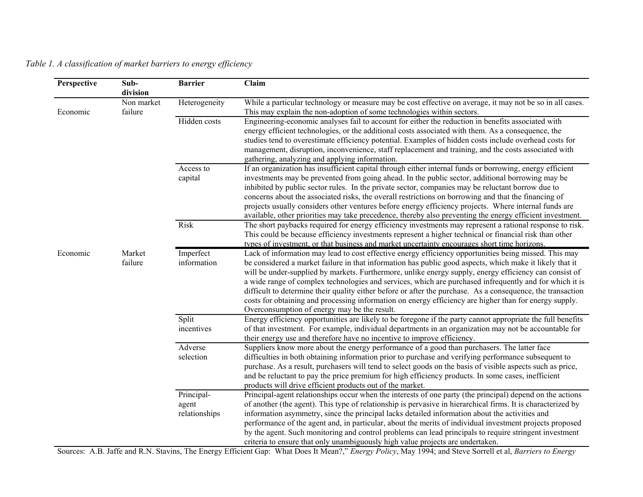| Perspective                       | Sub-<br>division         | <b>Barrier</b>                                                                                                                                                                                                                                                                                                                                                                                                                                                                                                                                                                                                                                                                                                  | Claim                                                                                                                                                                                                                                                                                                                                                                                                                                                                                                                                                                                                                                           |
|-----------------------------------|--------------------------|-----------------------------------------------------------------------------------------------------------------------------------------------------------------------------------------------------------------------------------------------------------------------------------------------------------------------------------------------------------------------------------------------------------------------------------------------------------------------------------------------------------------------------------------------------------------------------------------------------------------------------------------------------------------------------------------------------------------|-------------------------------------------------------------------------------------------------------------------------------------------------------------------------------------------------------------------------------------------------------------------------------------------------------------------------------------------------------------------------------------------------------------------------------------------------------------------------------------------------------------------------------------------------------------------------------------------------------------------------------------------------|
| Non market<br>Economic<br>failure |                          | Heterogeneity                                                                                                                                                                                                                                                                                                                                                                                                                                                                                                                                                                                                                                                                                                   | While a particular technology or measure may be cost effective on average, it may not be so in all cases.<br>This may explain the non-adoption of some technologies within sectors.                                                                                                                                                                                                                                                                                                                                                                                                                                                             |
|                                   |                          | Hidden costs                                                                                                                                                                                                                                                                                                                                                                                                                                                                                                                                                                                                                                                                                                    | Engineering-economic analyses fail to account for either the reduction in benefits associated with<br>energy efficient technologies, or the additional costs associated with them. As a consequence, the<br>studies tend to overestimate efficiency potential. Examples of hidden costs include overhead costs for<br>management, disruption, inconvenience, staff replacement and training, and the costs associated with<br>gathering, analyzing and applying information.                                                                                                                                                                    |
|                                   |                          | Access to<br>capital                                                                                                                                                                                                                                                                                                                                                                                                                                                                                                                                                                                                                                                                                            | If an organization has insufficient capital through either internal funds or borrowing, energy efficient<br>investments may be prevented from going ahead. In the public sector, additional borrowing may be<br>inhibited by public sector rules. In the private sector, companies may be reluctant borrow due to<br>concerns about the associated risks, the overall restrictions on borrowing and that the financing of<br>projects usually considers other ventures before energy efficiency projects. Where internal funds are<br>available, other priorities may take precedence, thereby also preventing the energy efficient investment. |
|                                   |                          | Risk                                                                                                                                                                                                                                                                                                                                                                                                                                                                                                                                                                                                                                                                                                            | The short paybacks required for energy efficiency investments may represent a rational response to risk.<br>This could be because efficiency investments represent a higher technical or financial risk than other<br>types of investment, or that business and market uncertainty encourages short time horizons.                                                                                                                                                                                                                                                                                                                              |
| Economic<br>Market<br>failure     | Imperfect<br>information | Lack of information may lead to cost effective energy efficiency opportunities being missed. This may<br>be considered a market failure in that information has public good aspects, which make it likely that it<br>will be under-supplied by markets. Furthermore, unlike energy supply, energy efficiency can consist of<br>a wide range of complex technologies and services, which are purchased infrequently and for which it is<br>difficult to determine their quality either before or after the purchase. As a consequence, the transaction<br>costs for obtaining and processing information on energy efficiency are higher than for energy supply.<br>Overconsumption of energy may be the result. |                                                                                                                                                                                                                                                                                                                                                                                                                                                                                                                                                                                                                                                 |
|                                   |                          | Split<br>incentives                                                                                                                                                                                                                                                                                                                                                                                                                                                                                                                                                                                                                                                                                             | Energy efficiency opportunities are likely to be foregone if the party cannot appropriate the full benefits<br>of that investment. For example, individual departments in an organization may not be accountable for<br>their energy use and therefore have no incentive to improve efficiency.                                                                                                                                                                                                                                                                                                                                                 |
|                                   |                          | Adverse<br>selection                                                                                                                                                                                                                                                                                                                                                                                                                                                                                                                                                                                                                                                                                            | Suppliers know more about the energy performance of a good than purchasers. The latter face<br>difficulties in both obtaining information prior to purchase and verifying performance subsequent to<br>purchase. As a result, purchasers will tend to select goods on the basis of visible aspects such as price,<br>and be reluctant to pay the price premium for high efficiency products. In some cases, inefficient<br>products will drive efficient products out of the market.                                                                                                                                                            |
|                                   |                          | Principal-<br>agent<br>relationships                                                                                                                                                                                                                                                                                                                                                                                                                                                                                                                                                                                                                                                                            | Principal-agent relationships occur when the interests of one party (the principal) depend on the actions<br>of another (the agent). This type of relationship is pervasive in hierarchical firms. It is characterized by<br>information asymmetry, since the principal lacks detailed information about the activities and<br>performance of the agent and, in particular, about the merits of individual investment projects proposed<br>by the agent. Such monitoring and control problems can lead principals to require stringent investment<br>criteria to ensure that only unambiguously high value projects are undertaken.             |

*Table 1. A classification of market barriers to energy efficiency*

Sources: A.B. Jaffe and R.N. Stavins, The Energy Efficient Gap: What Does It Mean?," *Energy Policy*, May 1994; and Steve Sorrell et al, *Barriers to Energy*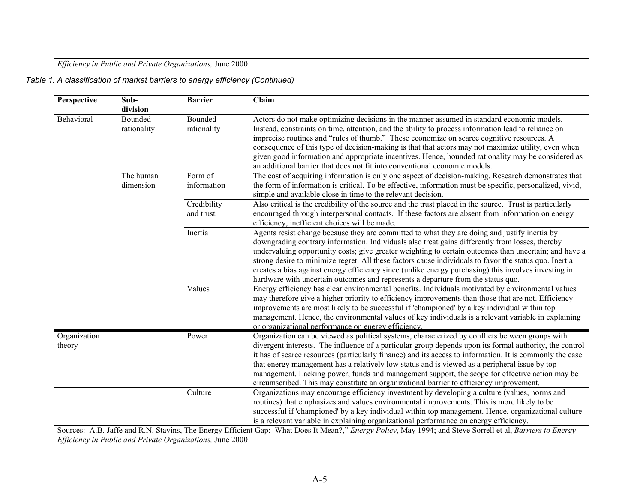*Efficiency in Public and Private Organizations,* June 2000

*Table 1. A classification of market barriers to energy efficiency (Continued)*

| Perspective            | Sub-                   | <b>Barrier</b>         | Claim                                                                                                                                                                                                          |
|------------------------|------------------------|------------------------|----------------------------------------------------------------------------------------------------------------------------------------------------------------------------------------------------------------|
|                        | division               |                        |                                                                                                                                                                                                                |
| Behavioral             | Bounded<br>rationality | Bounded<br>rationality | Actors do not make optimizing decisions in the manner assumed in standard economic models.<br>Instead, constraints on time, attention, and the ability to process information lead to reliance on              |
|                        |                        |                        | imprecise routines and "rules of thumb." These economize on scarce cognitive resources. A<br>consequence of this type of decision-making is that that actors may not maximize utility, even when               |
|                        |                        |                        | given good information and appropriate incentives. Hence, bounded rationality may be considered as<br>an additional barrier that does not fit into conventional economic models.                               |
|                        | The human              | Form of                | The cost of acquiring information is only one aspect of decision-making. Research demonstrates that                                                                                                            |
|                        | dimension              | information            | the form of information is critical. To be effective, information must be specific, personalized, vivid,<br>simple and available close in time to the relevant decision.                                       |
|                        |                        | Credibility            | Also critical is the credibility of the source and the trust placed in the source. Trust is particularly                                                                                                       |
|                        |                        | and trust              | encouraged through interpersonal contacts. If these factors are absent from information on energy<br>efficiency, inefficient choices will be made.                                                             |
|                        |                        | Inertia                | Agents resist change because they are committed to what they are doing and justify inertia by                                                                                                                  |
|                        |                        |                        | downgrading contrary information. Individuals also treat gains differently from losses, thereby                                                                                                                |
|                        |                        |                        | undervaluing opportunity costs; give greater weighting to certain outcomes than uncertain; and have a                                                                                                          |
|                        |                        |                        | strong desire to minimize regret. All these factors cause individuals to favor the status quo. Inertia<br>creates a bias against energy efficiency since (unlike energy purchasing) this involves investing in |
|                        |                        |                        | hardware with uncertain outcomes and represents a departure from the status quo.                                                                                                                               |
|                        |                        | Values                 | Energy efficiency has clear environmental benefits. Individuals motivated by environmental values                                                                                                              |
|                        |                        |                        | may therefore give a higher priority to efficiency improvements than those that are not. Efficiency                                                                                                            |
|                        |                        |                        | improvements are most likely to be successful if 'championed' by a key individual within top                                                                                                                   |
|                        |                        |                        | management. Hence, the environmental values of key individuals is a relevant variable in explaining                                                                                                            |
|                        |                        |                        | or organizational performance on energy efficiency.                                                                                                                                                            |
| Organization<br>theory |                        | Power                  | Organization can be viewed as political systems, characterized by conflicts between groups with<br>divergent interests. The influence of a particular group depends upon its formal authority, the control     |
|                        |                        |                        | it has of scarce resources (particularly finance) and its access to information. It is commonly the case                                                                                                       |
|                        |                        |                        | that energy management has a relatively low status and is viewed as a peripheral issue by top                                                                                                                  |
|                        |                        |                        | management. Lacking power, funds and management support, the scope for effective action may be                                                                                                                 |
|                        |                        |                        | circumscribed. This may constitute an organizational barrier to efficiency improvement.                                                                                                                        |
|                        |                        | Culture                | Organizations may encourage efficiency investment by developing a culture (values, norms and                                                                                                                   |
|                        |                        |                        | routines) that emphasizes and values environmental improvements. This is more likely to be                                                                                                                     |
|                        |                        |                        | successful if 'championed' by a key individual within top management. Hence, organizational culture                                                                                                            |
|                        |                        |                        | is a relevant variable in explaining organizational performance on energy efficiency.                                                                                                                          |

Sources: A.B. Jaffe and R.N. Stavins, The Energy Efficient Gap: What Does It Mean?," *Energy Policy*, May 1994; and Steve Sorrell et al, *Barriers to Energy Efficiency in Public and Private Organizations,* June 2000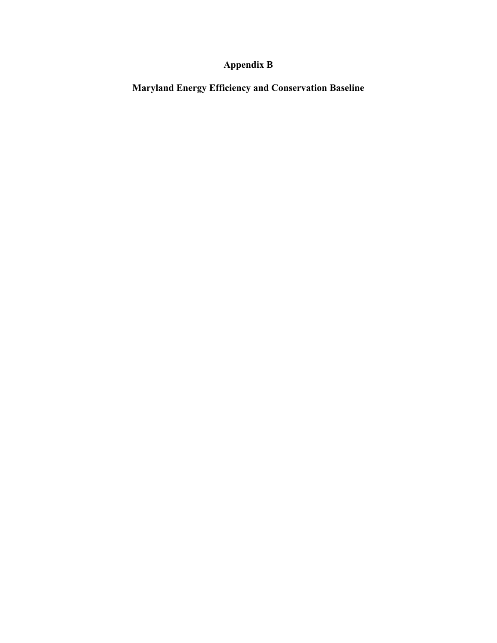# **Appendix B**

**Maryland Energy Efficiency and Conservation Baseline**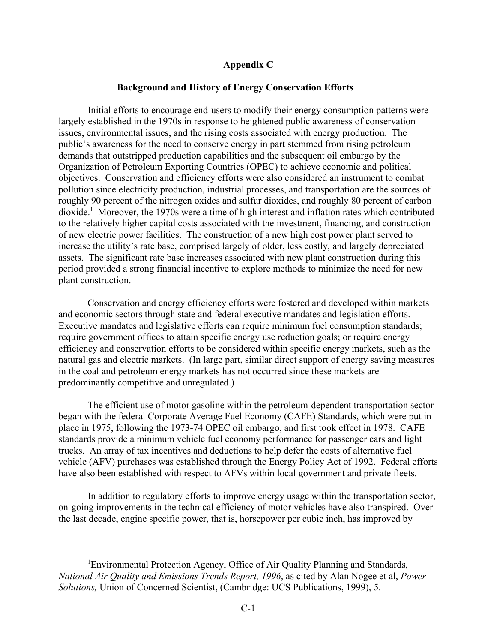## **Appendix C**

## **Background and History of Energy Conservation Efforts**

Initial efforts to encourage end-users to modify their energy consumption patterns were largely established in the 1970s in response to heightened public awareness of conservation issues, environmental issues, and the rising costs associated with energy production. The public's awareness for the need to conserve energy in part stemmed from rising petroleum demands that outstripped production capabilities and the subsequent oil embargo by the Organization of Petroleum Exporting Countries (OPEC) to achieve economic and political objectives. Conservation and efficiency efforts were also considered an instrument to combat pollution since electricity production, industrial processes, and transportation are the sources of roughly 90 percent of the nitrogen oxides and sulfur dioxides, and roughly 80 percent of carbon dioxide.1 Moreover, the 1970s were a time of high interest and inflation rates which contributed to the relatively higher capital costs associated with the investment, financing, and construction of new electric power facilities. The construction of a new high cost power plant served to increase the utility's rate base, comprised largely of older, less costly, and largely depreciated assets. The significant rate base increases associated with new plant construction during this period provided a strong financial incentive to explore methods to minimize the need for new plant construction.

Conservation and energy efficiency efforts were fostered and developed within markets and economic sectors through state and federal executive mandates and legislation efforts. Executive mandates and legislative efforts can require minimum fuel consumption standards; require government offices to attain specific energy use reduction goals; or require energy efficiency and conservation efforts to be considered within specific energy markets, such as the natural gas and electric markets. (In large part, similar direct support of energy saving measures in the coal and petroleum energy markets has not occurred since these markets are predominantly competitive and unregulated.)

The efficient use of motor gasoline within the petroleum-dependent transportation sector began with the federal Corporate Average Fuel Economy (CAFE) Standards, which were put in place in 1975, following the 1973-74 OPEC oil embargo, and first took effect in 1978. CAFE standards provide a minimum vehicle fuel economy performance for passenger cars and light trucks. An array of tax incentives and deductions to help defer the costs of alternative fuel vehicle (AFV) purchases was established through the Energy Policy Act of 1992. Federal efforts have also been established with respect to AFVs within local government and private fleets.

In addition to regulatory efforts to improve energy usage within the transportation sector, on-going improvements in the technical efficiency of motor vehicles have also transpired. Over the last decade, engine specific power, that is, horsepower per cubic inch, has improved by

<sup>&</sup>lt;sup>1</sup>Environmental Protection Agency, Office of Air Quality Planning and Standards, *National Air Quality and Emissions Trends Report, 1996*, as cited by Alan Nogee et al, *Power Solutions,* Union of Concerned Scientist, (Cambridge: UCS Publications, 1999), 5.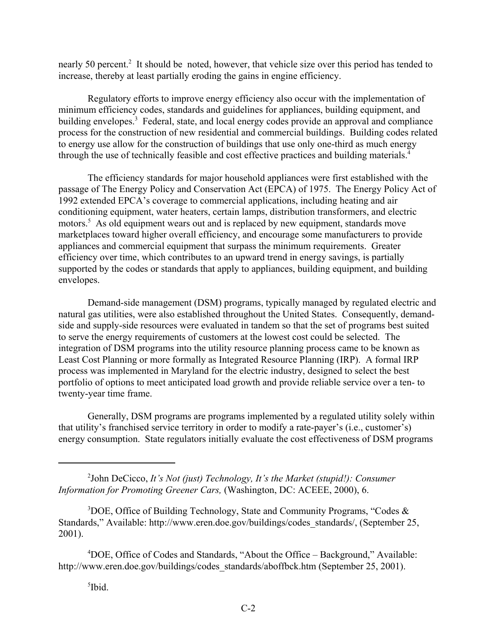nearly 50 percent.<sup>2</sup> It should be noted, however, that vehicle size over this period has tended to increase, thereby at least partially eroding the gains in engine efficiency.

Regulatory efforts to improve energy efficiency also occur with the implementation of minimum efficiency codes, standards and guidelines for appliances, building equipment, and building envelopes.<sup>3</sup> Federal, state, and local energy codes provide an approval and compliance process for the construction of new residential and commercial buildings. Building codes related to energy use allow for the construction of buildings that use only one-third as much energy through the use of technically feasible and cost effective practices and building materials.<sup>4</sup>

The efficiency standards for major household appliances were first established with the passage of The Energy Policy and Conservation Act (EPCA) of 1975. The Energy Policy Act of 1992 extended EPCA's coverage to commercial applications, including heating and air conditioning equipment, water heaters, certain lamps, distribution transformers, and electric motors.<sup>5</sup> As old equipment wears out and is replaced by new equipment, standards move marketplaces toward higher overall efficiency, and encourage some manufacturers to provide appliances and commercial equipment that surpass the minimum requirements. Greater efficiency over time, which contributes to an upward trend in energy savings, is partially supported by the codes or standards that apply to appliances, building equipment, and building envelopes.

Demand-side management (DSM) programs, typically managed by regulated electric and natural gas utilities, were also established throughout the United States. Consequently, demandside and supply-side resources were evaluated in tandem so that the set of programs best suited to serve the energy requirements of customers at the lowest cost could be selected. The integration of DSM programs into the utility resource planning process came to be known as Least Cost Planning or more formally as Integrated Resource Planning (IRP). A formal IRP process was implemented in Maryland for the electric industry, designed to select the best portfolio of options to meet anticipated load growth and provide reliable service over a ten- to twenty-year time frame.

Generally, DSM programs are programs implemented by a regulated utility solely within that utility's franchised service territory in order to modify a rate-payer's (i.e., customer's) energy consumption. State regulators initially evaluate the cost effectiveness of DSM programs

2 John DeCicco, *It's Not (just) Technology, It's the Market (stupid!): Consumer Information for Promoting Greener Cars,* (Washington, DC: ACEEE, 2000), 6.

 $3$ DOE, Office of Building Technology, State and Community Programs, "Codes & Standards," Available: http://www.eren.doe.gov/buildings/codes\_standards/, (September 25, 2001).

4 DOE, Office of Codes and Standards, "About the Office – Background," Available: http://www.eren.doe.gov/buildings/codes\_standards/aboffbck.htm (September 25, 2001).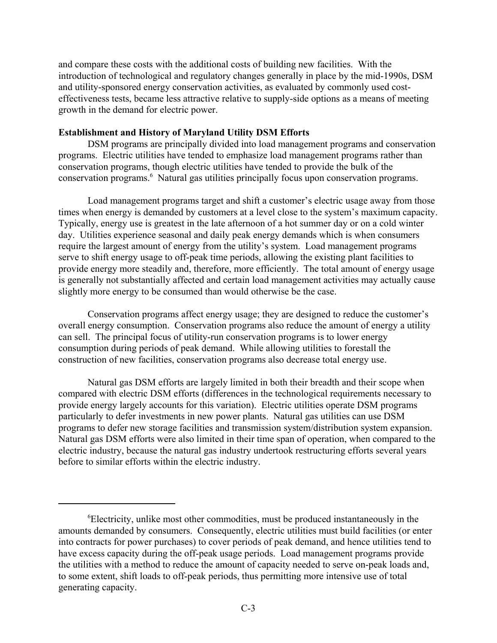and compare these costs with the additional costs of building new facilities. With the introduction of technological and regulatory changes generally in place by the mid-1990s, DSM and utility-sponsored energy conservation activities, as evaluated by commonly used costeffectiveness tests, became less attractive relative to supply-side options as a means of meeting growth in the demand for electric power.

# **Establishment and History of Maryland Utility DSM Efforts**

DSM programs are principally divided into load management programs and conservation programs. Electric utilities have tended to emphasize load management programs rather than conservation programs, though electric utilities have tended to provide the bulk of the conservation programs.<sup>6</sup> Natural gas utilities principally focus upon conservation programs.

Load management programs target and shift a customer's electric usage away from those times when energy is demanded by customers at a level close to the system's maximum capacity. Typically, energy use is greatest in the late afternoon of a hot summer day or on a cold winter day. Utilities experience seasonal and daily peak energy demands which is when consumers require the largest amount of energy from the utility's system. Load management programs serve to shift energy usage to off-peak time periods, allowing the existing plant facilities to provide energy more steadily and, therefore, more efficiently. The total amount of energy usage is generally not substantially affected and certain load management activities may actually cause slightly more energy to be consumed than would otherwise be the case.

Conservation programs affect energy usage; they are designed to reduce the customer's overall energy consumption. Conservation programs also reduce the amount of energy a utility can sell. The principal focus of utility-run conservation programs is to lower energy consumption during periods of peak demand. While allowing utilities to forestall the construction of new facilities, conservation programs also decrease total energy use.

Natural gas DSM efforts are largely limited in both their breadth and their scope when compared with electric DSM efforts (differences in the technological requirements necessary to provide energy largely accounts for this variation). Electric utilities operate DSM programs particularly to defer investments in new power plants. Natural gas utilities can use DSM programs to defer new storage facilities and transmission system/distribution system expansion. Natural gas DSM efforts were also limited in their time span of operation, when compared to the electric industry, because the natural gas industry undertook restructuring efforts several years before to similar efforts within the electric industry.

<sup>6</sup> Electricity, unlike most other commodities, must be produced instantaneously in the amounts demanded by consumers. Consequently, electric utilities must build facilities (or enter into contracts for power purchases) to cover periods of peak demand, and hence utilities tend to have excess capacity during the off-peak usage periods. Load management programs provide the utilities with a method to reduce the amount of capacity needed to serve on-peak loads and, to some extent, shift loads to off-peak periods, thus permitting more intensive use of total generating capacity.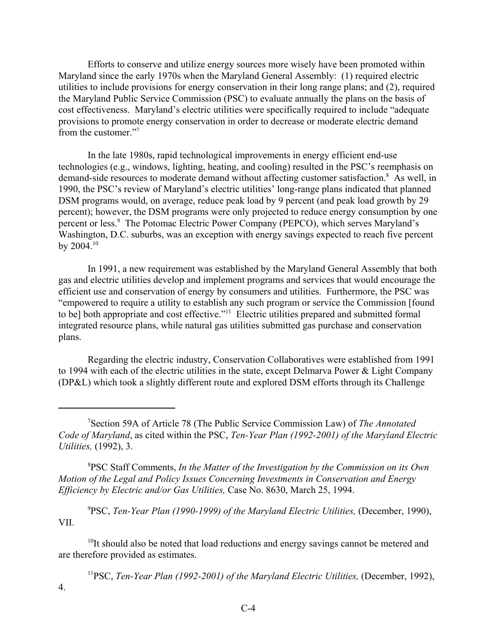Efforts to conserve and utilize energy sources more wisely have been promoted within Maryland since the early 1970s when the Maryland General Assembly: (1) required electric utilities to include provisions for energy conservation in their long range plans; and (2), required the Maryland Public Service Commission (PSC) to evaluate annually the plans on the basis of cost effectiveness. Maryland's electric utilities were specifically required to include "adequate provisions to promote energy conservation in order to decrease or moderate electric demand from the customer."7

In the late 1980s, rapid technological improvements in energy efficient end-use technologies (e.g., windows, lighting, heating, and cooling) resulted in the PSC's reemphasis on demand-side resources to moderate demand without affecting customer satisfaction.<sup>8</sup> As well, in 1990, the PSC's review of Maryland's electric utilities' long-range plans indicated that planned DSM programs would, on average, reduce peak load by 9 percent (and peak load growth by 29 percent); however, the DSM programs were only projected to reduce energy consumption by one percent or less.<sup>9</sup> The Potomac Electric Power Company (PEPCO), which serves Maryland's Washington, D.C. suburbs, was an exception with energy savings expected to reach five percent by  $2004.10$ 

In 1991, a new requirement was established by the Maryland General Assembly that both gas and electric utilities develop and implement programs and services that would encourage the efficient use and conservation of energy by consumers and utilities. Furthermore, the PSC was "empowered to require a utility to establish any such program or service the Commission [found to be] both appropriate and cost effective."<sup>11</sup> Electric utilities prepared and submitted formal integrated resource plans, while natural gas utilities submitted gas purchase and conservation plans.

Regarding the electric industry, Conservation Collaboratives were established from 1991 to 1994 with each of the electric utilities in the state, except Delmarva Power & Light Company (DP&L) which took a slightly different route and explored DSM efforts through its Challenge

8 PSC Staff Comments, *In the Matter of the Investigation by the Commission on its Own Motion of the Legal and Policy Issues Concerning Investments in Conservation and Energy Efficiency by Electric and/or Gas Utilities,* Case No. 8630, March 25, 1994.

<sup>9</sup>PSC, *Ten-Year Plan (1990-1999) of the Maryland Electric Utilities, (December, 1990),* VII.

 $10$ It should also be noted that load reductions and energy savings cannot be metered and are therefore provided as estimates.

<sup>11</sup>PSC, *Ten-Year Plan (1992-2001) of the Maryland Electric Utilities, (December, 1992),* 4.

<sup>7</sup> Section 59A of Article 78 (The Public Service Commission Law) of *The Annotated Code of Maryland*, as cited within the PSC, *Ten-Year Plan (1992-2001) of the Maryland Electric Utilities,* (1992), 3.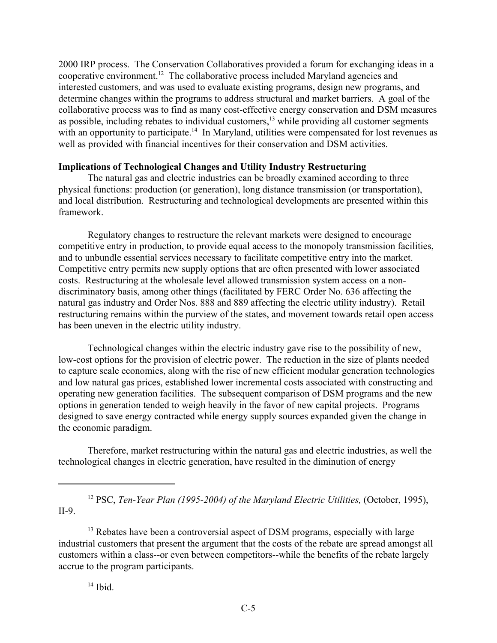2000 IRP process. The Conservation Collaboratives provided a forum for exchanging ideas in a cooperative environment.12 The collaborative process included Maryland agencies and interested customers, and was used to evaluate existing programs, design new programs, and determine changes within the programs to address structural and market barriers. A goal of the collaborative process was to find as many cost-effective energy conservation and DSM measures as possible, including rebates to individual customers, $<sup>13</sup>$  while providing all customer segments</sup> with an opportunity to participate.<sup>14</sup> In Maryland, utilities were compensated for lost revenues as well as provided with financial incentives for their conservation and DSM activities.

# **Implications of Technological Changes and Utility Industry Restructuring**

The natural gas and electric industries can be broadly examined according to three physical functions: production (or generation), long distance transmission (or transportation), and local distribution. Restructuring and technological developments are presented within this framework.

Regulatory changes to restructure the relevant markets were designed to encourage competitive entry in production, to provide equal access to the monopoly transmission facilities, and to unbundle essential services necessary to facilitate competitive entry into the market. Competitive entry permits new supply options that are often presented with lower associated costs. Restructuring at the wholesale level allowed transmission system access on a nondiscriminatory basis, among other things (facilitated by FERC Order No. 636 affecting the natural gas industry and Order Nos. 888 and 889 affecting the electric utility industry). Retail restructuring remains within the purview of the states, and movement towards retail open access has been uneven in the electric utility industry.

Technological changes within the electric industry gave rise to the possibility of new, low-cost options for the provision of electric power. The reduction in the size of plants needed to capture scale economies, along with the rise of new efficient modular generation technologies and low natural gas prices, established lower incremental costs associated with constructing and operating new generation facilities. The subsequent comparison of DSM programs and the new options in generation tended to weigh heavily in the favor of new capital projects. Programs designed to save energy contracted while energy supply sources expanded given the change in the economic paradigm.

Therefore, market restructuring within the natural gas and electric industries, as well the technological changes in electric generation, have resulted in the diminution of energy

<sup>12</sup> PSC, *Ten-Year Plan (1995-2004) of the Maryland Electric Utilities, (October, 1995),* II-9.

<sup>13</sup> Rebates have been a controversial aspect of DSM programs, especially with large industrial customers that present the argument that the costs of the rebate are spread amongst all customers within a class--or even between competitors--while the benefits of the rebate largely accrue to the program participants.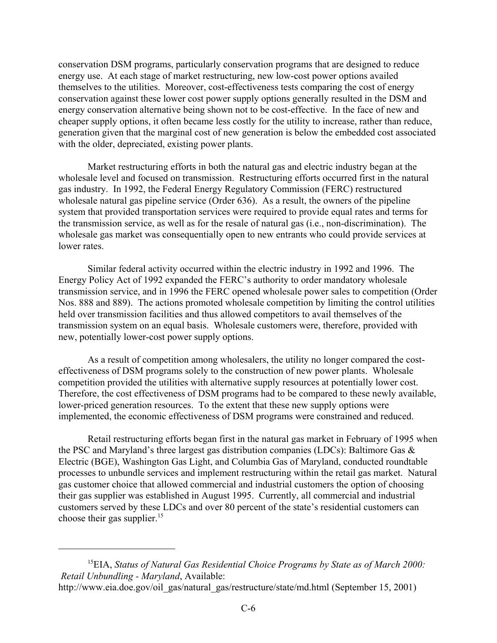conservation DSM programs, particularly conservation programs that are designed to reduce energy use. At each stage of market restructuring, new low-cost power options availed themselves to the utilities. Moreover, cost-effectiveness tests comparing the cost of energy conservation against these lower cost power supply options generally resulted in the DSM and energy conservation alternative being shown not to be cost-effective. In the face of new and cheaper supply options, it often became less costly for the utility to increase, rather than reduce, generation given that the marginal cost of new generation is below the embedded cost associated with the older, depreciated, existing power plants.

Market restructuring efforts in both the natural gas and electric industry began at the wholesale level and focused on transmission. Restructuring efforts occurred first in the natural gas industry. In 1992, the Federal Energy Regulatory Commission (FERC) restructured wholesale natural gas pipeline service (Order 636). As a result, the owners of the pipeline system that provided transportation services were required to provide equal rates and terms for the transmission service, as well as for the resale of natural gas (i.e., non-discrimination). The wholesale gas market was consequentially open to new entrants who could provide services at lower rates.

Similar federal activity occurred within the electric industry in 1992 and 1996. The Energy Policy Act of 1992 expanded the FERC's authority to order mandatory wholesale transmission service, and in 1996 the FERC opened wholesale power sales to competition (Order Nos. 888 and 889). The actions promoted wholesale competition by limiting the control utilities held over transmission facilities and thus allowed competitors to avail themselves of the transmission system on an equal basis. Wholesale customers were, therefore, provided with new, potentially lower-cost power supply options.

As a result of competition among wholesalers, the utility no longer compared the costeffectiveness of DSM programs solely to the construction of new power plants. Wholesale competition provided the utilities with alternative supply resources at potentially lower cost. Therefore, the cost effectiveness of DSM programs had to be compared to these newly available, lower-priced generation resources. To the extent that these new supply options were implemented, the economic effectiveness of DSM programs were constrained and reduced.

Retail restructuring efforts began first in the natural gas market in February of 1995 when the PSC and Maryland's three largest gas distribution companies (LDCs): Baltimore Gas & Electric (BGE), Washington Gas Light, and Columbia Gas of Maryland, conducted roundtable processes to unbundle services and implement restructuring within the retail gas market. Natural gas customer choice that allowed commercial and industrial customers the option of choosing their gas supplier was established in August 1995. Currently, all commercial and industrial customers served by these LDCs and over 80 percent of the state's residential customers can choose their gas supplier.<sup>15</sup>

<sup>15</sup>EIA, *Status of Natural Gas Residential Choice Programs by State as of March 2000: Retail Unbundling - Maryland*, Available:

http://www.eia.doe.gov/oil\_gas/natural\_gas/restructure/state/md.html (September 15, 2001)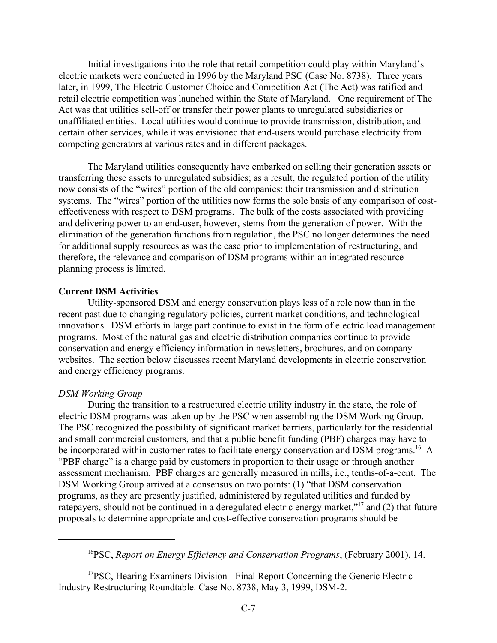Initial investigations into the role that retail competition could play within Maryland's electric markets were conducted in 1996 by the Maryland PSC (Case No. 8738). Three years later, in 1999, The Electric Customer Choice and Competition Act (The Act) was ratified and retail electric competition was launched within the State of Maryland. One requirement of The Act was that utilities sell-off or transfer their power plants to unregulated subsidiaries or unaffiliated entities. Local utilities would continue to provide transmission, distribution, and certain other services, while it was envisioned that end-users would purchase electricity from competing generators at various rates and in different packages.

The Maryland utilities consequently have embarked on selling their generation assets or transferring these assets to unregulated subsidies; as a result, the regulated portion of the utility now consists of the "wires" portion of the old companies: their transmission and distribution systems. The "wires" portion of the utilities now forms the sole basis of any comparison of costeffectiveness with respect to DSM programs. The bulk of the costs associated with providing and delivering power to an end-user, however, stems from the generation of power. With the elimination of the generation functions from regulation, the PSC no longer determines the need for additional supply resources as was the case prior to implementation of restructuring, and therefore, the relevance and comparison of DSM programs within an integrated resource planning process is limited.

# **Current DSM Activities**

Utility-sponsored DSM and energy conservation plays less of a role now than in the recent past due to changing regulatory policies, current market conditions, and technological innovations. DSM efforts in large part continue to exist in the form of electric load management programs. Most of the natural gas and electric distribution companies continue to provide conservation and energy efficiency information in newsletters, brochures, and on company websites. The section below discusses recent Maryland developments in electric conservation and energy efficiency programs.

#### *DSM Working Group*

During the transition to a restructured electric utility industry in the state, the role of electric DSM programs was taken up by the PSC when assembling the DSM Working Group. The PSC recognized the possibility of significant market barriers, particularly for the residential and small commercial customers, and that a public benefit funding (PBF) charges may have to be incorporated within customer rates to facilitate energy conservation and DSM programs.<sup>16</sup> A "PBF charge" is a charge paid by customers in proportion to their usage or through another assessment mechanism. PBF charges are generally measured in mills, i.e., tenths-of-a-cent. The DSM Working Group arrived at a consensus on two points: (1) "that DSM conservation programs, as they are presently justified, administered by regulated utilities and funded by ratepayers, should not be continued in a deregulated electric energy market,"<sup>17</sup> and (2) that future proposals to determine appropriate and cost-effective conservation programs should be

16PSC, *Report on Energy Efficiency and Conservation Programs*, (February 2001), 14.

<sup>17</sup>PSC, Hearing Examiners Division - Final Report Concerning the Generic Electric Industry Restructuring Roundtable. Case No. 8738, May 3, 1999, DSM-2.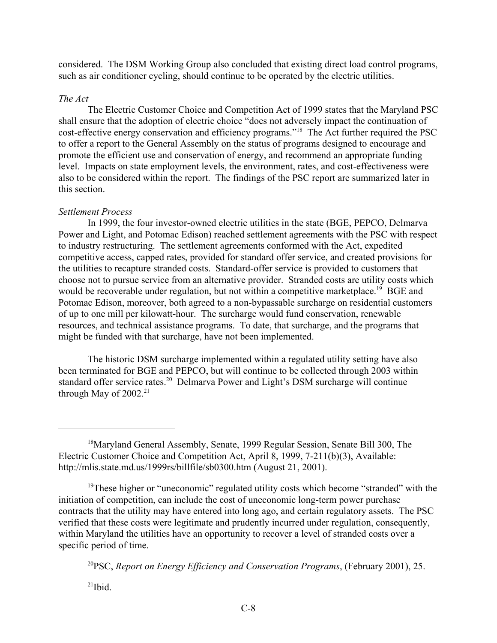considered. The DSM Working Group also concluded that existing direct load control programs, such as air conditioner cycling, should continue to be operated by the electric utilities.

# *The Act*

The Electric Customer Choice and Competition Act of 1999 states that the Maryland PSC shall ensure that the adoption of electric choice "does not adversely impact the continuation of cost-effective energy conservation and efficiency programs."18 The Act further required the PSC to offer a report to the General Assembly on the status of programs designed to encourage and promote the efficient use and conservation of energy, and recommend an appropriate funding level. Impacts on state employment levels, the environment, rates, and cost-effectiveness were also to be considered within the report. The findings of the PSC report are summarized later in this section.

# *Settlement Process*

In 1999, the four investor-owned electric utilities in the state (BGE, PEPCO, Delmarva Power and Light, and Potomac Edison) reached settlement agreements with the PSC with respect to industry restructuring. The settlement agreements conformed with the Act, expedited competitive access, capped rates, provided for standard offer service, and created provisions for the utilities to recapture stranded costs. Standard-offer service is provided to customers that choose not to pursue service from an alternative provider. Stranded costs are utility costs which would be recoverable under regulation, but not within a competitive marketplace.<sup>19</sup> BGE and Potomac Edison, moreover, both agreed to a non-bypassable surcharge on residential customers of up to one mill per kilowatt-hour. The surcharge would fund conservation, renewable resources, and technical assistance programs. To date, that surcharge, and the programs that might be funded with that surcharge, have not been implemented.

The historic DSM surcharge implemented within a regulated utility setting have also been terminated for BGE and PEPCO, but will continue to be collected through 2003 within standard offer service rates.<sup>20</sup> Delmarva Power and Light's DSM surcharge will continue through May of  $2002.<sup>21</sup>$ 

20PSC, *Report on Energy Efficiency and Conservation Programs*, (February 2001), 25.

 $^{21}$ Ibid.

<sup>18</sup>Maryland General Assembly, Senate, 1999 Regular Session, Senate Bill 300, The Electric Customer Choice and Competition Act, April 8, 1999, 7-211(b)(3), Available: http://mlis.state.md.us/1999rs/billfile/sb0300.htm (August 21, 2001).

<sup>&</sup>lt;sup>19</sup>These higher or "uneconomic" regulated utility costs which become "stranded" with the initiation of competition, can include the cost of uneconomic long-term power purchase contracts that the utility may have entered into long ago, and certain regulatory assets. The PSC verified that these costs were legitimate and prudently incurred under regulation, consequently, within Maryland the utilities have an opportunity to recover a level of stranded costs over a specific period of time.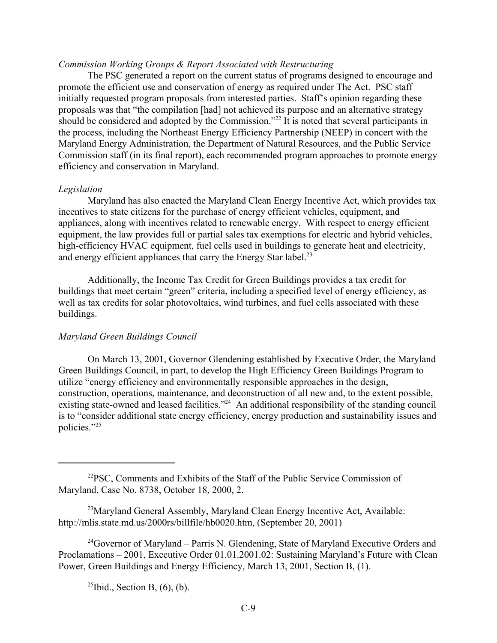## *Commission Working Groups & Report Associated with Restructuring*

The PSC generated a report on the current status of programs designed to encourage and promote the efficient use and conservation of energy as required under The Act. PSC staff initially requested program proposals from interested parties. Staff's opinion regarding these proposals was that "the compilation [had] not achieved its purpose and an alternative strategy should be considered and adopted by the Commission."<sup>22</sup> It is noted that several participants in the process, including the Northeast Energy Efficiency Partnership (NEEP) in concert with the Maryland Energy Administration, the Department of Natural Resources, and the Public Service Commission staff (in its final report), each recommended program approaches to promote energy efficiency and conservation in Maryland.

#### *Legislation*

Maryland has also enacted the Maryland Clean Energy Incentive Act, which provides tax incentives to state citizens for the purchase of energy efficient vehicles, equipment, and appliances, along with incentives related to renewable energy. With respect to energy efficient equipment, the law provides full or partial sales tax exemptions for electric and hybrid vehicles, high-efficiency HVAC equipment, fuel cells used in buildings to generate heat and electricity, and energy efficient appliances that carry the Energy Star label.<sup>23</sup>

Additionally, the Income Tax Credit for Green Buildings provides a tax credit for buildings that meet certain "green" criteria, including a specified level of energy efficiency, as well as tax credits for solar photovoltaics, wind turbines, and fuel cells associated with these buildings.

## *Maryland Green Buildings Council*

On March 13, 2001, Governor Glendening established by Executive Order, the Maryland Green Buildings Council, in part, to develop the High Efficiency Green Buildings Program to utilize "energy efficiency and environmentally responsible approaches in the design, construction, operations, maintenance, and deconstruction of all new and, to the extent possible, existing state-owned and leased facilities."<sup>24</sup> An additional responsibility of the standing council is to "consider additional state energy efficiency, energy production and sustainability issues and policies."25

 $^{25}$ Ibid., Section B,  $(6)$ ,  $(b)$ .

 $2^{2}PSC$ , Comments and Exhibits of the Staff of the Public Service Commission of Maryland, Case No. 8738, October 18, 2000, 2.

 $^{23}$ Maryland General Assembly, Maryland Clean Energy Incentive Act, Available: http://mlis.state.md.us/2000rs/billfile/hb0020.htm, (September 20, 2001)

 $^{24}$ Governor of Maryland – Parris N. Glendening, State of Maryland Executive Orders and Proclamations – 2001, Executive Order 01.01.2001.02: Sustaining Maryland's Future with Clean Power, Green Buildings and Energy Efficiency, March 13, 2001, Section B, (1).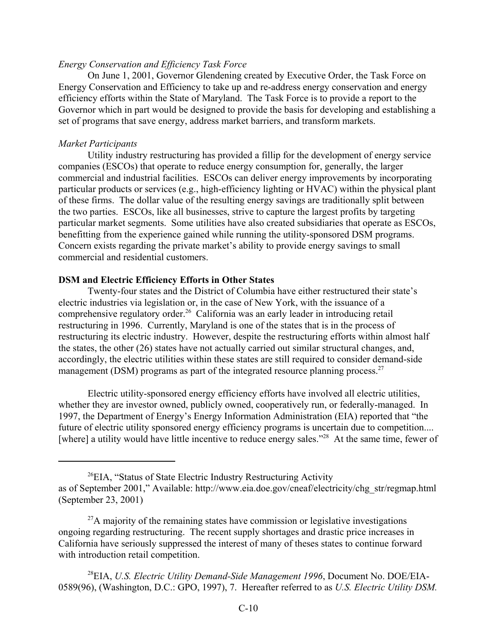## *Energy Conservation and Efficiency Task Force*

On June 1, 2001, Governor Glendening created by Executive Order, the Task Force on Energy Conservation and Efficiency to take up and re-address energy conservation and energy efficiency efforts within the State of Maryland. The Task Force is to provide a report to the Governor which in part would be designed to provide the basis for developing and establishing a set of programs that save energy, address market barriers, and transform markets.

### *Market Participants*

Utility industry restructuring has provided a fillip for the development of energy service companies (ESCOs) that operate to reduce energy consumption for, generally, the larger commercial and industrial facilities. ESCOs can deliver energy improvements by incorporating particular products or services (e.g., high-efficiency lighting or HVAC) within the physical plant of these firms. The dollar value of the resulting energy savings are traditionally split between the two parties. ESCOs, like all businesses, strive to capture the largest profits by targeting particular market segments. Some utilities have also created subsidiaries that operate as ESCOs, benefitting from the experience gained while running the utility-sponsored DSM programs. Concern exists regarding the private market's ability to provide energy savings to small commercial and residential customers.

### **DSM and Electric Efficiency Efforts in Other States**

Twenty-four states and the District of Columbia have either restructured their state's electric industries via legislation or, in the case of New York, with the issuance of a comprehensive regulatory order.<sup>26</sup> California was an early leader in introducing retail restructuring in 1996. Currently, Maryland is one of the states that is in the process of restructuring its electric industry. However, despite the restructuring efforts within almost half the states, the other (26) states have not actually carried out similar structural changes, and, accordingly, the electric utilities within these states are still required to consider demand-side management (DSM) programs as part of the integrated resource planning process.<sup>27</sup>

Electric utility-sponsored energy efficiency efforts have involved all electric utilities, whether they are investor owned, publicly owned, cooperatively run, or federally-managed. In 1997, the Department of Energy's Energy Information Administration (EIA) reported that "the future of electric utility sponsored energy efficiency programs is uncertain due to competition.... [where] a utility would have little incentive to reduce energy sales."<sup>28</sup> At the same time, fewer of

28EIA, *U.S. Electric Utility Demand-Side Management 1996*, Document No. DOE/EIA-0589(96), (Washington, D.C.: GPO, 1997), 7. Hereafter referred to as *U.S. Electric Utility DSM.*

 $^{26}$ EIA, "Status of State Electric Industry Restructuring Activity as of September 2001," Available: http://www.eia.doe.gov/cneaf/electricity/chg\_str/regmap.html (September 23, 2001)

 $27A$  majority of the remaining states have commission or legislative investigations ongoing regarding restructuring. The recent supply shortages and drastic price increases in California have seriously suppressed the interest of many of theses states to continue forward with introduction retail competition.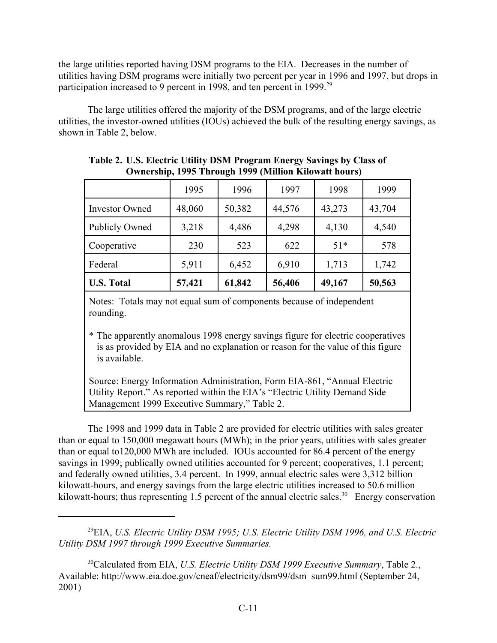the large utilities reported having DSM programs to the EIA. Decreases in the number of utilities having DSM programs were initially two percent per year in 1996 and 1997, but drops in participation increased to 9 percent in 1998, and ten percent in 1999.<sup>29</sup>

The large utilities offered the majority of the DSM programs, and of the large electric utilities, the investor-owned utilities (IOUs) achieved the bulk of the resulting energy savings, as shown in Table 2, below.

| Federal<br><b>U.S. Total</b> | 5,911<br>57,421 | 6,452<br>61,842 | 6,910<br>56,406 | 1,713<br>49,167 | 1,742<br>50,563 |
|------------------------------|-----------------|-----------------|-----------------|-----------------|-----------------|
| Cooperative                  | 230             | 523             | 622             | $51*$           | 578             |
| <b>Publicly Owned</b>        | 3,218           | 4,486           | 4,298           | 4,130           | 4,540           |
| <b>Investor Owned</b>        | 48,060          | 50,382          | 44,576          | 43,273          | 43,704          |
|                              | 1995            | 1996            | 1997            | 1998            | 1999            |

**Table 2. U.S. Electric Utility DSM Program Energy Savings by Class of Ownership, 1995 Through 1999 (Million Kilowatt hours)**

Notes: Totals may not equal sum of components because of independent rounding.

\* The apparently anomalous 1998 energy savings figure for electric cooperatives is as provided by EIA and no explanation or reason for the value of this figure is available.

Source: Energy Information Administration, Form EIA-861, "Annual Electric Utility Report." As reported within the EIA's "Electric Utility Demand Side Management 1999 Executive Summary," Table 2.

The 1998 and 1999 data in Table 2 are provided for electric utilities with sales greater than or equal to 150,000 megawatt hours (MWh); in the prior years, utilities with sales greater than or equal to120,000 MWh are included. IOUs accounted for 86.4 percent of the energy savings in 1999; publically owned utilities accounted for 9 percent; cooperatives, 1.1 percent; and federally owned utilities, 3.4 percent. In 1999, annual electric sales were 3,312 billion kilowatt-hours, and energy savings from the large electric utilities increased to 50.6 million kilowatt-hours; thus representing 1.5 percent of the annual electric sales.<sup>30</sup> Energy conservation

<sup>29</sup>EIA, *U.S. Electric Utility DSM 1995; U.S. Electric Utility DSM 1996, and U.S. Electric Utility DSM 1997 through 1999 Executive Summaries.* 

<sup>30</sup>Calculated from EIA, *U.S. Electric Utility DSM 1999 Executive Summary*, Table 2., Available: http://www.eia.doe.gov/cneaf/electricity/dsm99/dsm\_sum99.html (September 24, 2001)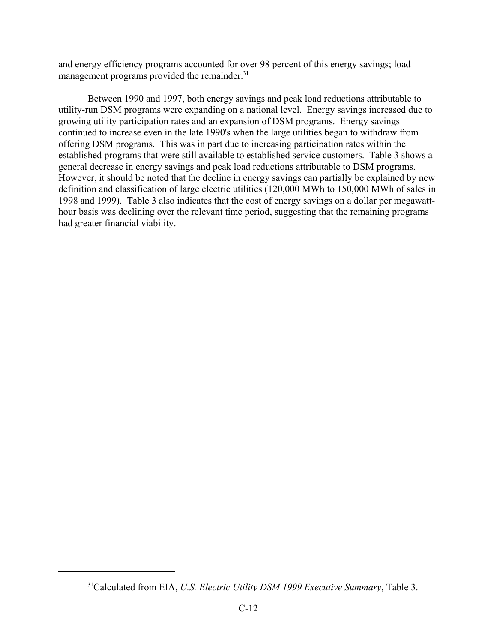and energy efficiency programs accounted for over 98 percent of this energy savings; load management programs provided the remainder.<sup>31</sup>

Between 1990 and 1997, both energy savings and peak load reductions attributable to utility-run DSM programs were expanding on a national level. Energy savings increased due to growing utility participation rates and an expansion of DSM programs. Energy savings continued to increase even in the late 1990's when the large utilities began to withdraw from offering DSM programs. This was in part due to increasing participation rates within the established programs that were still available to established service customers. Table 3 shows a general decrease in energy savings and peak load reductions attributable to DSM programs. However, it should be noted that the decline in energy savings can partially be explained by new definition and classification of large electric utilities (120,000 MWh to 150,000 MWh of sales in 1998 and 1999). Table 3 also indicates that the cost of energy savings on a dollar per megawatthour basis was declining over the relevant time period, suggesting that the remaining programs had greater financial viability.

<sup>31</sup>Calculated from EIA, *U.S. Electric Utility DSM 1999 Executive Summary*, Table 3.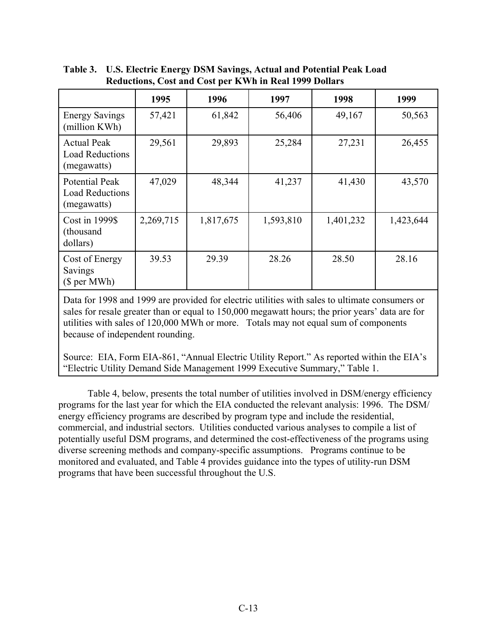|                                                                | 1995      | 1996      | 1997      | 1998      | 1999      |
|----------------------------------------------------------------|-----------|-----------|-----------|-----------|-----------|
| <b>Energy Savings</b><br>(million KWh)                         | 57,421    | 61,842    | 56,406    | 49,167    | 50,563    |
| <b>Actual Peak</b><br><b>Load Reductions</b><br>(megawatts)    | 29,561    | 29,893    | 25,284    | 27,231    | 26,455    |
| <b>Potential Peak</b><br><b>Load Reductions</b><br>(megawatts) | 47,029    | 48,344    | 41,237    | 41,430    | 43,570    |
| Cost in 1999\$<br>(thousand<br>dollars)                        | 2,269,715 | 1,817,675 | 1,593,810 | 1,401,232 | 1,423,644 |
| Cost of Energy<br>Savings<br>(\$ per MWh)                      | 39.53     | 29.39     | 28.26     | 28.50     | 28.16     |

**Table 3. U.S. Electric Energy DSM Savings, Actual and Potential Peak Load Reductions, Cost and Cost per KWh in Real 1999 Dollars**

Data for 1998 and 1999 are provided for electric utilities with sales to ultimate consumers or sales for resale greater than or equal to 150,000 megawatt hours; the prior years' data are for utilities with sales of 120,000 MWh or more. Totals may not equal sum of components because of independent rounding.

Source: EIA, Form EIA-861, "Annual Electric Utility Report." As reported within the EIA's "Electric Utility Demand Side Management 1999 Executive Summary," Table 1.

Table 4, below, presents the total number of utilities involved in DSM/energy efficiency programs for the last year for which the EIA conducted the relevant analysis: 1996. The DSM/ energy efficiency programs are described by program type and include the residential, commercial, and industrial sectors. Utilities conducted various analyses to compile a list of potentially useful DSM programs, and determined the cost-effectiveness of the programs using diverse screening methods and company-specific assumptions. Programs continue to be monitored and evaluated, and Table 4 provides guidance into the types of utility-run DSM programs that have been successful throughout the U.S.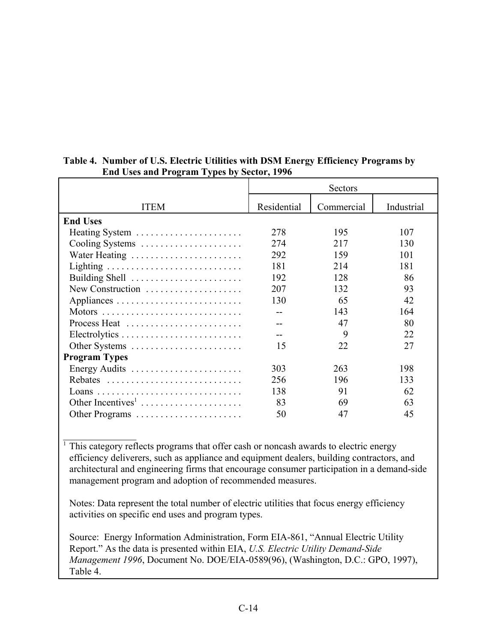|                               | Sectors     |            |            |
|-------------------------------|-------------|------------|------------|
| <b>ITEM</b>                   | Residential | Commercial | Industrial |
| <b>End Uses</b>               |             |            |            |
| Heating System                | 278         | 195        | 107        |
| Cooling Systems               | 274         | 217        | 130        |
| Water Heating                 | 292         | 159        | 101        |
|                               | 181         | 214        | 181        |
| Building Shell                | 192         | 128        | 86         |
| New Construction              | 207         | 132        | 93         |
|                               | 130         | 65         | 42         |
|                               |             | 143        | 164        |
| Process Heat                  |             | 47         | 80         |
|                               |             | 9          | 22         |
| Other Systems                 | 15          | 22         | 27         |
| <b>Program Types</b>          |             |            |            |
| Energy Audits                 | 303         | 263        | 198        |
| Rebates                       | 256         | 196        | 133        |
|                               | 138         | 91         | 62         |
| Other Incentives <sup>1</sup> | 83          | 69         | 63         |
| Other Programs                | 50          | 47         | 45         |

# **Table 4. Number of U.S. Electric Utilities with DSM Energy Efficiency Programs by End Uses and Program Types by Sector, 1996**

 $\mathcal{L}_\text{max}$ <sup>1</sup> This category reflects programs that offer cash or noncash awards to electric energy efficiency deliverers, such as appliance and equipment dealers, building contractors, and architectural and engineering firms that encourage consumer participation in a demand-side management program and adoption of recommended measures.

Notes: Data represent the total number of electric utilities that focus energy efficiency activities on specific end uses and program types.

Source: Energy Information Administration, Form EIA-861, "Annual Electric Utility Report." As the data is presented within EIA, *U.S. Electric Utility Demand-Side Management 1996*, Document No. DOE/EIA-0589(96), (Washington, D.C.: GPO, 1997), Table 4.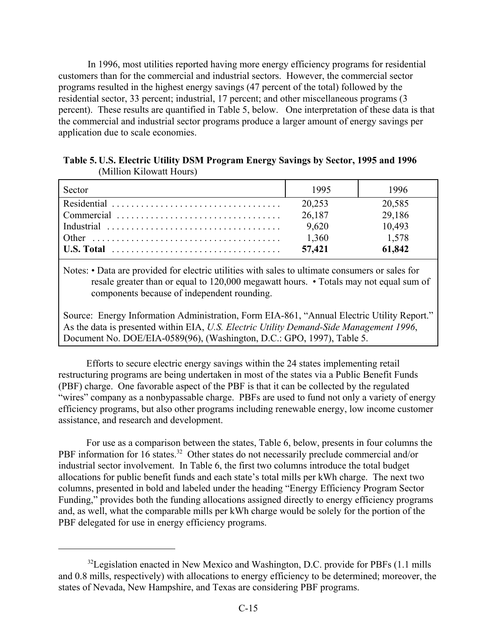In 1996, most utilities reported having more energy efficiency programs for residential customers than for the commercial and industrial sectors. However, the commercial sector programs resulted in the highest energy savings (47 percent of the total) followed by the residential sector, 33 percent; industrial, 17 percent; and other miscellaneous programs (3 percent). These results are quantified in Table 5, below. One interpretation of these data is that the commercial and industrial sector programs produce a larger amount of energy savings per application due to scale economies.

**Table 5. U.S. Electric Utility DSM Program Energy Savings by Sector, 1995 and 1996**  (Million Kilowatt Hours)

| Sector                                                                                        | 1995   | 1996   |
|-----------------------------------------------------------------------------------------------|--------|--------|
|                                                                                               | 20,253 | 20,585 |
|                                                                                               | 26,187 | 29,186 |
|                                                                                               | 9,620  | 10,493 |
|                                                                                               | 1,360  | 1,578  |
| $ $ U.S. Total $\ldots \ldots \ldots \ldots \ldots \ldots \ldots \ldots \ldots \ldots \ldots$ | 57,421 | 61,842 |

Notes: • Data are provided for electric utilities with sales to ultimate consumers or sales for resale greater than or equal to 120,000 megawatt hours. • Totals may not equal sum of components because of independent rounding.

Source: Energy Information Administration, Form EIA-861, "Annual Electric Utility Report." As the data is presented within EIA, *U.S. Electric Utility Demand-Side Management 1996*, Document No. DOE/EIA-0589(96), (Washington, D.C.: GPO, 1997), Table 5.

Efforts to secure electric energy savings within the 24 states implementing retail restructuring programs are being undertaken in most of the states via a Public Benefit Funds (PBF) charge. One favorable aspect of the PBF is that it can be collected by the regulated "wires" company as a nonbypassable charge. PBFs are used to fund not only a variety of energy efficiency programs, but also other programs including renewable energy, low income customer assistance, and research and development.

For use as a comparison between the states, Table 6, below, presents in four columns the PBF information for 16 states.<sup>32</sup> Other states do not necessarily preclude commercial and/or industrial sector involvement. In Table 6, the first two columns introduce the total budget allocations for public benefit funds and each state's total mills per kWh charge. The next two columns, presented in bold and labeled under the heading "Energy Efficiency Program Sector Funding," provides both the funding allocations assigned directly to energy efficiency programs and, as well, what the comparable mills per kWh charge would be solely for the portion of the PBF delegated for use in energy efficiency programs.

<sup>&</sup>lt;sup>32</sup>Legislation enacted in New Mexico and Washington, D.C. provide for PBFs (1.1 mills and 0.8 mills, respectively) with allocations to energy efficiency to be determined; moreover, the states of Nevada, New Hampshire, and Texas are considering PBF programs.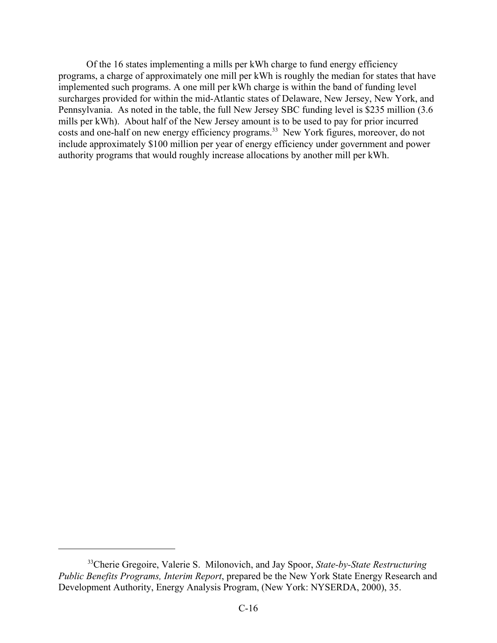Of the 16 states implementing a mills per kWh charge to fund energy efficiency programs, a charge of approximately one mill per kWh is roughly the median for states that have implemented such programs. A one mill per kWh charge is within the band of funding level surcharges provided for within the mid-Atlantic states of Delaware, New Jersey, New York, and Pennsylvania. As noted in the table, the full New Jersey SBC funding level is \$235 million (3.6 mills per kWh). About half of the New Jersey amount is to be used to pay for prior incurred costs and one-half on new energy efficiency programs.<sup>33</sup> New York figures, moreover, do not include approximately \$100 million per year of energy efficiency under government and power authority programs that would roughly increase allocations by another mill per kWh.

<sup>33</sup>Cherie Gregoire, Valerie S. Milonovich, and Jay Spoor, *State-by-State Restructuring Public Benefits Programs, Interim Report*, prepared be the New York State Energy Research and Development Authority, Energy Analysis Program, (New York: NYSERDA, 2000), 35.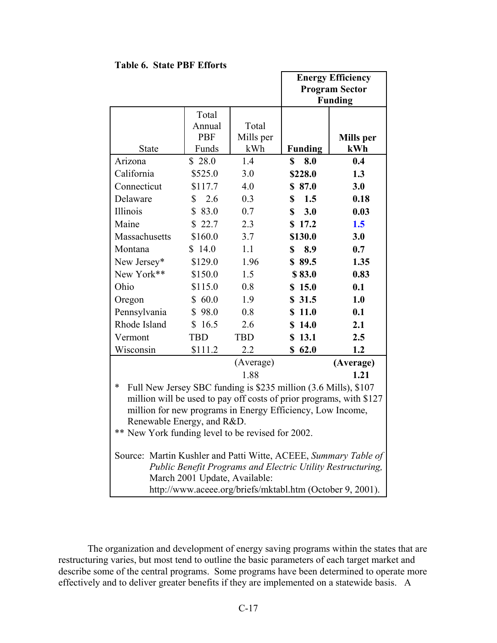|                                                                           |                               |            |                | <b>Energy Efficiency</b>                                    |
|---------------------------------------------------------------------------|-------------------------------|------------|----------------|-------------------------------------------------------------|
|                                                                           |                               |            |                | <b>Program Sector</b>                                       |
|                                                                           |                               |            |                | <b>Funding</b>                                              |
|                                                                           | Total                         |            |                |                                                             |
|                                                                           | Annual                        | Total      |                |                                                             |
|                                                                           | <b>PBF</b>                    | Mills per  |                | <b>Mills</b> per                                            |
| <b>State</b>                                                              | Funds                         | kWh        | <b>Funding</b> | kWh                                                         |
| Arizona                                                                   | \$28.0                        | 1.4        | \$<br>8.0      | 0.4                                                         |
| California                                                                | \$525.0                       | 3.0        | \$228.0        | 1.3                                                         |
| Connecticut                                                               | \$117.7                       | 4.0        | \$87.0         | 3.0                                                         |
| Delaware                                                                  | 2.6<br>\$                     | 0.3        | \$<br>1.5      | 0.18                                                        |
| Illinois                                                                  | \$83.0                        | 0.7        | \$<br>3.0      | 0.03                                                        |
| Maine                                                                     | \$22.7                        | 2.3        | \$17.2         | 1.5                                                         |
| Massachusetts                                                             | \$160.0                       | 3.7        | \$130.0        | 3.0                                                         |
| Montana                                                                   | \$14.0                        | 1.1        | \$<br>8.9      | 0.7                                                         |
| New Jersey*                                                               | \$129.0                       | 1.96       | \$89.5         | 1.35                                                        |
| New York**                                                                | \$150.0                       | 1.5        | \$83.0         | 0.83                                                        |
| Ohio                                                                      | \$115.0                       | 0.8        | \$15.0         | 0.1                                                         |
| Oregon                                                                    | 60.0<br>\$                    | 1.9        | \$31.5         | 1.0                                                         |
| Pennsylvania                                                              | \$98.0                        | 0.8        | \$11.0         | 0.1                                                         |
| Rhode Island                                                              | \$16.5                        | 2.6        | \$14.0         | 2.1                                                         |
| Vermont                                                                   | <b>TBD</b>                    | <b>TBD</b> | \$13.1         | 2.5                                                         |
| Wisconsin                                                                 | \$111.2                       | 2.2        | \$62.0         | 1.2                                                         |
|                                                                           |                               | (Average)  |                | (Average)                                                   |
|                                                                           |                               | 1.88       |                | 1.21                                                        |
| $\ast$<br>Full New Jersey SBC funding is \$235 million (3.6 Mills), \$107 |                               |            |                |                                                             |
| million will be used to pay off costs of prior programs, with \$127       |                               |            |                |                                                             |
| million for new programs in Energy Efficiency, Low Income,                |                               |            |                |                                                             |
| Renewable Energy, and R&D.                                                |                               |            |                |                                                             |
| ** New York funding level to be revised for 2002.                         |                               |            |                |                                                             |
| Source: Martin Kushler and Patti Witte, ACEEE, Summary Table of           |                               |            |                |                                                             |
|                                                                           |                               |            |                | Public Benefit Programs and Electric Utility Restructuring, |
|                                                                           | March 2001 Update, Available: |            |                |                                                             |
|                                                                           |                               |            |                | http://www.aceee.org/briefs/mktabl.htm (October 9, 2001).   |

**Table 6. State PBF Efforts** 

The organization and development of energy saving programs within the states that are restructuring varies, but most tend to outline the basic parameters of each target market and describe some of the central programs. Some programs have been determined to operate more effectively and to deliver greater benefits if they are implemented on a statewide basis. A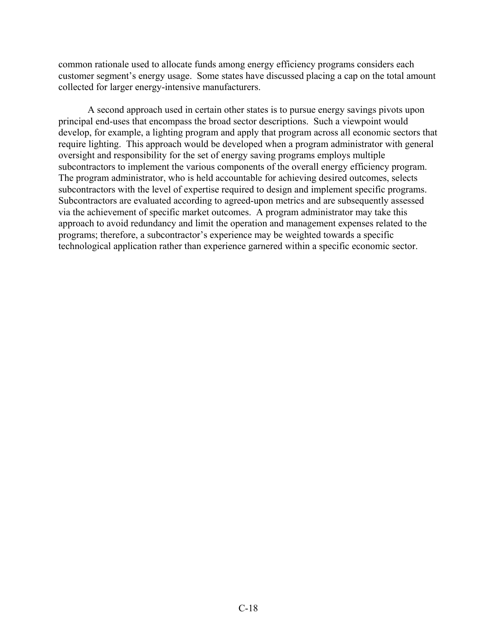common rationale used to allocate funds among energy efficiency programs considers each customer segment's energy usage. Some states have discussed placing a cap on the total amount collected for larger energy-intensive manufacturers.

A second approach used in certain other states is to pursue energy savings pivots upon principal end-uses that encompass the broad sector descriptions. Such a viewpoint would develop, for example, a lighting program and apply that program across all economic sectors that require lighting. This approach would be developed when a program administrator with general oversight and responsibility for the set of energy saving programs employs multiple subcontractors to implement the various components of the overall energy efficiency program. The program administrator, who is held accountable for achieving desired outcomes, selects subcontractors with the level of expertise required to design and implement specific programs. Subcontractors are evaluated according to agreed-upon metrics and are subsequently assessed via the achievement of specific market outcomes. A program administrator may take this approach to avoid redundancy and limit the operation and management expenses related to the programs; therefore, a subcontractor's experience may be weighted towards a specific technological application rather than experience garnered within a specific economic sector.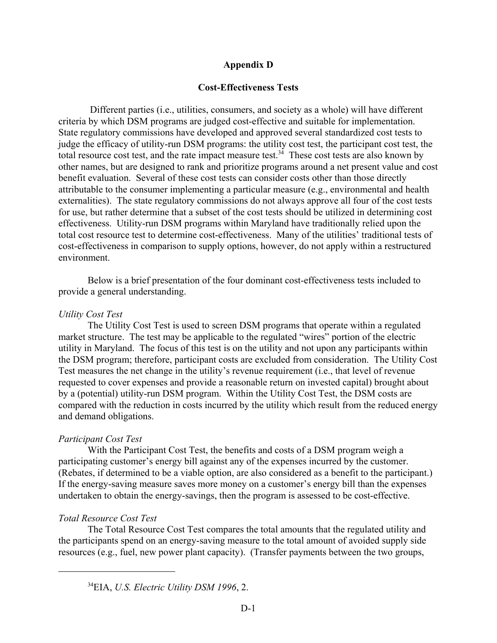# **Appendix D**

# **Cost-Effectiveness Tests**

 Different parties (i.e., utilities, consumers, and society as a whole) will have different criteria by which DSM programs are judged cost-effective and suitable for implementation. State regulatory commissions have developed and approved several standardized cost tests to judge the efficacy of utility-run DSM programs: the utility cost test, the participant cost test, the total resource cost test, and the rate impact measure test.<sup>34</sup> These cost tests are also known by other names, but are designed to rank and prioritize programs around a net present value and cost benefit evaluation. Several of these cost tests can consider costs other than those directly attributable to the consumer implementing a particular measure (e.g., environmental and health externalities). The state regulatory commissions do not always approve all four of the cost tests for use, but rather determine that a subset of the cost tests should be utilized in determining cost effectiveness. Utility-run DSM programs within Maryland have traditionally relied upon the total cost resource test to determine cost-effectiveness. Many of the utilities' traditional tests of cost-effectiveness in comparison to supply options, however, do not apply within a restructured environment.

Below is a brief presentation of the four dominant cost-effectiveness tests included to provide a general understanding.

## *Utility Cost Test*

The Utility Cost Test is used to screen DSM programs that operate within a regulated market structure. The test may be applicable to the regulated "wires" portion of the electric utility in Maryland. The focus of this test is on the utility and not upon any participants within the DSM program; therefore, participant costs are excluded from consideration. The Utility Cost Test measures the net change in the utility's revenue requirement (i.e., that level of revenue requested to cover expenses and provide a reasonable return on invested capital) brought about by a (potential) utility-run DSM program. Within the Utility Cost Test, the DSM costs are compared with the reduction in costs incurred by the utility which result from the reduced energy and demand obligations.

# *Participant Cost Test*

With the Participant Cost Test, the benefits and costs of a DSM program weigh a participating customer's energy bill against any of the expenses incurred by the customer. (Rebates, if determined to be a viable option, are also considered as a benefit to the participant.) If the energy-saving measure saves more money on a customer's energy bill than the expenses undertaken to obtain the energy-savings, then the program is assessed to be cost-effective.

# *Total Resource Cost Test*

The Total Resource Cost Test compares the total amounts that the regulated utility and the participants spend on an energy-saving measure to the total amount of avoided supply side resources (e.g., fuel, new power plant capacity). (Transfer payments between the two groups,

<sup>34</sup>EIA, *U.S. Electric Utility DSM 1996*, 2.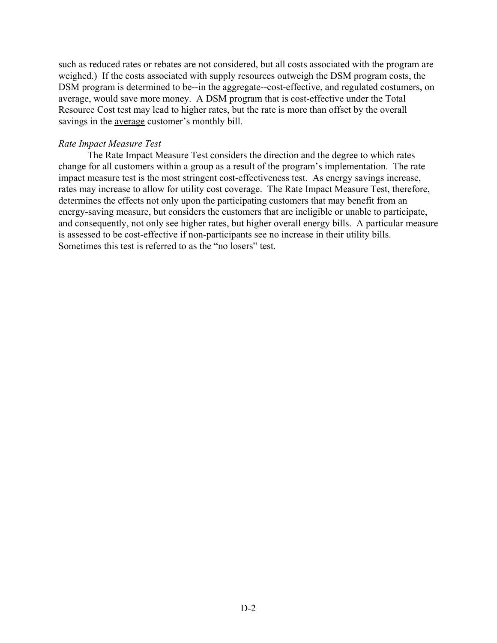such as reduced rates or rebates are not considered, but all costs associated with the program are weighed.) If the costs associated with supply resources outweigh the DSM program costs, the DSM program is determined to be--in the aggregate--cost-effective, and regulated costumers, on average, would save more money. A DSM program that is cost-effective under the Total Resource Cost test may lead to higher rates, but the rate is more than offset by the overall savings in the average customer's monthly bill.

# *Rate Impact Measure Test*

The Rate Impact Measure Test considers the direction and the degree to which rates change for all customers within a group as a result of the program's implementation. The rate impact measure test is the most stringent cost-effectiveness test. As energy savings increase, rates may increase to allow for utility cost coverage. The Rate Impact Measure Test, therefore, determines the effects not only upon the participating customers that may benefit from an energy-saving measure, but considers the customers that are ineligible or unable to participate, and consequently, not only see higher rates, but higher overall energy bills. A particular measure is assessed to be cost-effective if non-participants see no increase in their utility bills. Sometimes this test is referred to as the "no losers" test.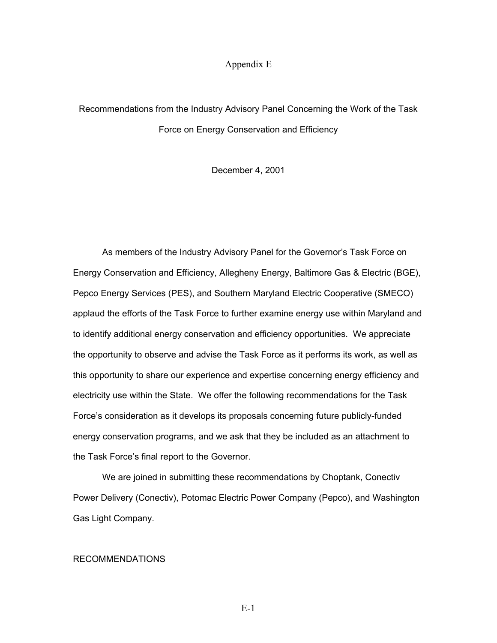## Appendix E

# Recommendations from the Industry Advisory Panel Concerning the Work of the Task Force on Energy Conservation and Efficiency

December 4, 2001

As members of the Industry Advisory Panel for the Governor's Task Force on Energy Conservation and Efficiency, Allegheny Energy, Baltimore Gas & Electric (BGE), Pepco Energy Services (PES), and Southern Maryland Electric Cooperative (SMECO) applaud the efforts of the Task Force to further examine energy use within Maryland and to identify additional energy conservation and efficiency opportunities. We appreciate the opportunity to observe and advise the Task Force as it performs its work, as well as this opportunity to share our experience and expertise concerning energy efficiency and electricity use within the State. We offer the following recommendations for the Task Force's consideration as it develops its proposals concerning future publicly-funded energy conservation programs, and we ask that they be included as an attachment to the Task Force's final report to the Governor.

We are joined in submitting these recommendations by Choptank, Conectiv Power Delivery (Conectiv), Potomac Electric Power Company (Pepco), and Washington Gas Light Company.

## RECOMMENDATIONS

E-1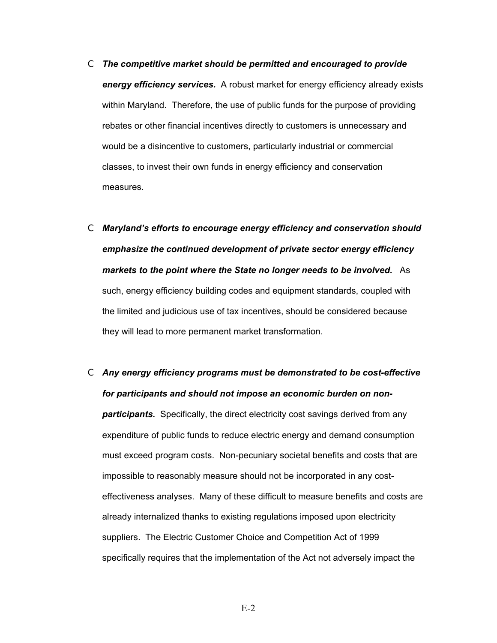- C *The competitive market should be permitted and encouraged to provide energy efficiency services.* A robust market for energy efficiency already exists within Maryland. Therefore, the use of public funds for the purpose of providing rebates or other financial incentives directly to customers is unnecessary and would be a disincentive to customers, particularly industrial or commercial classes, to invest their own funds in energy efficiency and conservation measures.
- C *Maryland's efforts to encourage energy efficiency and conservation should emphasize the continued development of private sector energy efficiency markets to the point where the State no longer needs to be involved.*As such, energy efficiency building codes and equipment standards, coupled with the limited and judicious use of tax incentives, should be considered because they will lead to more permanent market transformation.
- C *Any energy efficiency programs must be demonstrated to be cost-effective for participants and should not impose an economic burden on nonparticipants.* Specifically, the direct electricity cost savings derived from any expenditure of public funds to reduce electric energy and demand consumption must exceed program costs. Non-pecuniary societal benefits and costs that are impossible to reasonably measure should not be incorporated in any costeffectiveness analyses. Many of these difficult to measure benefits and costs are already internalized thanks to existing regulations imposed upon electricity suppliers. The Electric Customer Choice and Competition Act of 1999 specifically requires that the implementation of the Act not adversely impact the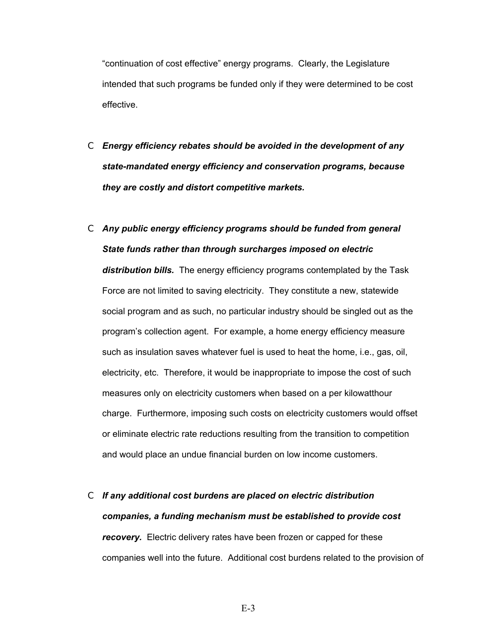"continuation of cost effective" energy programs. Clearly, the Legislature intended that such programs be funded only if they were determined to be cost effective.

- C *Energy efficiency rebates should be avoided in the development of any state-mandated energy efficiency and conservation programs, because they are costly and distort competitive markets.*
- C *Any public energy efficiency programs should be funded from general State funds rather than through surcharges imposed on electric distribution bills.* The energy efficiency programs contemplated by the Task Force are not limited to saving electricity. They constitute a new, statewide social program and as such, no particular industry should be singled out as the program's collection agent. For example, a home energy efficiency measure such as insulation saves whatever fuel is used to heat the home, i.e., gas, oil, electricity, etc. Therefore, it would be inappropriate to impose the cost of such measures only on electricity customers when based on a per kilowatthour charge. Furthermore, imposing such costs on electricity customers would offset or eliminate electric rate reductions resulting from the transition to competition and would place an undue financial burden on low income customers.
- C *If any additional cost burdens are placed on electric distribution companies, a funding mechanism must be established to provide cost recovery.* Electric delivery rates have been frozen or capped for these companies well into the future. Additional cost burdens related to the provision of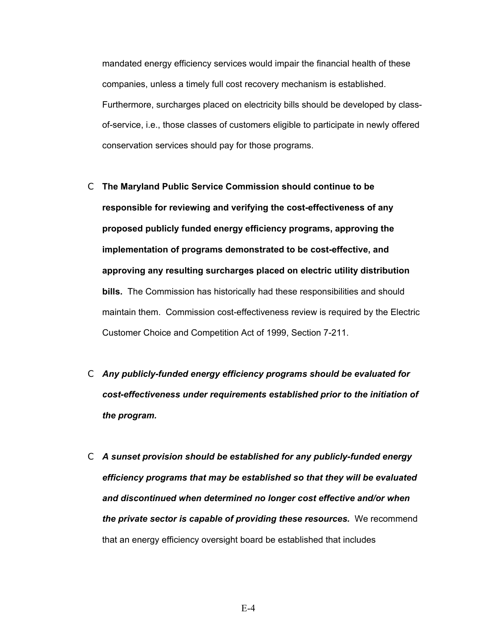mandated energy efficiency services would impair the financial health of these companies, unless a timely full cost recovery mechanism is established. Furthermore, surcharges placed on electricity bills should be developed by classof-service, i.e., those classes of customers eligible to participate in newly offered conservation services should pay for those programs.

- C **The Maryland Public Service Commission should continue to be responsible for reviewing and verifying the cost-effectiveness of any proposed publicly funded energy efficiency programs, approving the implementation of programs demonstrated to be cost-effective, and approving any resulting surcharges placed on electric utility distribution bills.** The Commission has historically had these responsibilities and should maintain them. Commission cost-effectiveness review is required by the Electric Customer Choice and Competition Act of 1999, Section 7-211.
- C *Any publicly-funded energy efficiency programs should be evaluated for cost-effectiveness under requirements established prior to the initiation of the program.*
- C *A sunset provision should be established for any publicly-funded energy efficiency programs that may be established so that they will be evaluated and discontinued when determined no longer cost effective and/or when the private sector is capable of providing these resources.* We recommend that an energy efficiency oversight board be established that includes

E-4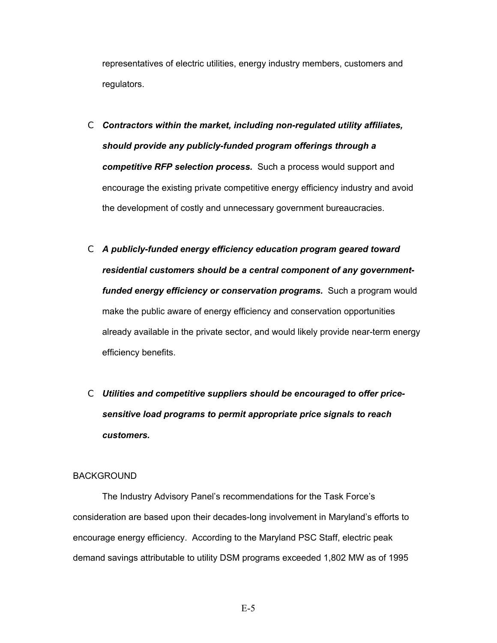representatives of electric utilities, energy industry members, customers and regulators.

- C *Contractors within the market, including non-regulated utility affiliates, should provide any publicly-funded program offerings through a competitive RFP selection process.*Such a process would support and encourage the existing private competitive energy efficiency industry and avoid the development of costly and unnecessary government bureaucracies.
- C *A publicly-funded energy efficiency education program geared toward residential customers should be a central component of any governmentfunded energy efficiency or conservation programs.* Such a program would make the public aware of energy efficiency and conservation opportunities already available in the private sector, and would likely provide near-term energy efficiency benefits.
- C *Utilities and competitive suppliers should be encouraged to offer pricesensitive load programs to permit appropriate price signals to reach customers.*

## **BACKGROUND**

The Industry Advisory Panel's recommendations for the Task Force's consideration are based upon their decades-long involvement in Maryland's efforts to encourage energy efficiency. According to the Maryland PSC Staff, electric peak demand savings attributable to utility DSM programs exceeded 1,802 MW as of 1995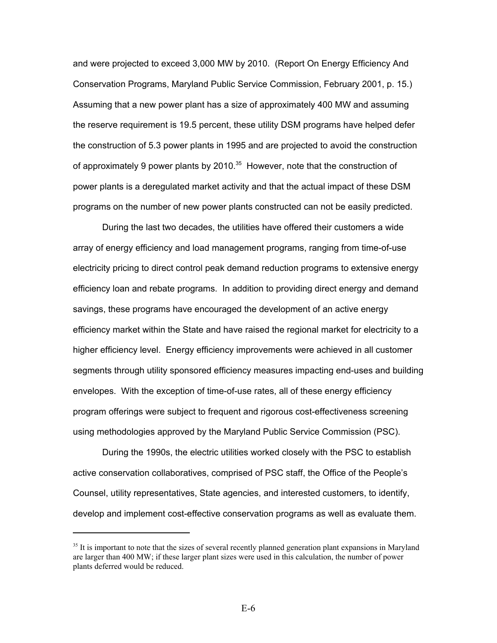and were projected to exceed 3,000 MW by 2010. (Report On Energy Efficiency And Conservation Programs, Maryland Public Service Commission, February 2001, p. 15.) Assuming that a new power plant has a size of approximately 400 MW and assuming the reserve requirement is 19.5 percent, these utility DSM programs have helped defer the construction of 5.3 power plants in 1995 and are projected to avoid the construction of approximately 9 power plants by  $2010^{35}$  However, note that the construction of power plants is a deregulated market activity and that the actual impact of these DSM programs on the number of new power plants constructed can not be easily predicted.

During the last two decades, the utilities have offered their customers a wide array of energy efficiency and load management programs, ranging from time-of-use electricity pricing to direct control peak demand reduction programs to extensive energy efficiency loan and rebate programs. In addition to providing direct energy and demand savings, these programs have encouraged the development of an active energy efficiency market within the State and have raised the regional market for electricity to a higher efficiency level. Energy efficiency improvements were achieved in all customer segments through utility sponsored efficiency measures impacting end-uses and building envelopes. With the exception of time-of-use rates, all of these energy efficiency program offerings were subject to frequent and rigorous cost-effectiveness screening using methodologies approved by the Maryland Public Service Commission (PSC).

During the 1990s, the electric utilities worked closely with the PSC to establish active conservation collaboratives, comprised of PSC staff, the Office of the People's Counsel, utility representatives, State agencies, and interested customers, to identify, develop and implement cost-effective conservation programs as well as evaluate them.

<sup>&</sup>lt;sup>35</sup> It is important to note that the sizes of several recently planned generation plant expansions in Maryland are larger than 400 MW; if these larger plant sizes were used in this calculation, the number of power plants deferred would be reduced.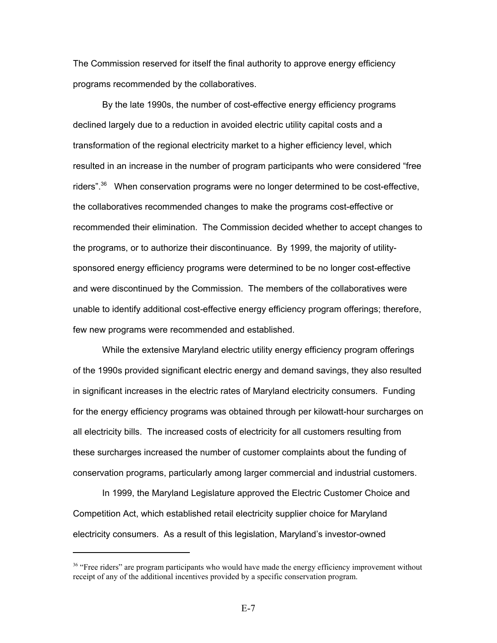The Commission reserved for itself the final authority to approve energy efficiency programs recommended by the collaboratives.

By the late 1990s, the number of cost-effective energy efficiency programs declined largely due to a reduction in avoided electric utility capital costs and a transformation of the regional electricity market to a higher efficiency level, which resulted in an increase in the number of program participants who were considered "free riders".36 When conservation programs were no longer determined to be cost-effective, the collaboratives recommended changes to make the programs cost-effective or recommended their elimination. The Commission decided whether to accept changes to the programs, or to authorize their discontinuance. By 1999, the majority of utilitysponsored energy efficiency programs were determined to be no longer cost-effective and were discontinued by the Commission. The members of the collaboratives were unable to identify additional cost-effective energy efficiency program offerings; therefore, few new programs were recommended and established.

While the extensive Maryland electric utility energy efficiency program offerings of the 1990s provided significant electric energy and demand savings, they also resulted in significant increases in the electric rates of Maryland electricity consumers. Funding for the energy efficiency programs was obtained through per kilowatt-hour surcharges on all electricity bills. The increased costs of electricity for all customers resulting from these surcharges increased the number of customer complaints about the funding of conservation programs, particularly among larger commercial and industrial customers.

In 1999, the Maryland Legislature approved the Electric Customer Choice and Competition Act, which established retail electricity supplier choice for Maryland electricity consumers. As a result of this legislation, Maryland's investor-owned

<sup>&</sup>lt;sup>36</sup> "Free riders" are program participants who would have made the energy efficiency improvement without receipt of any of the additional incentives provided by a specific conservation program.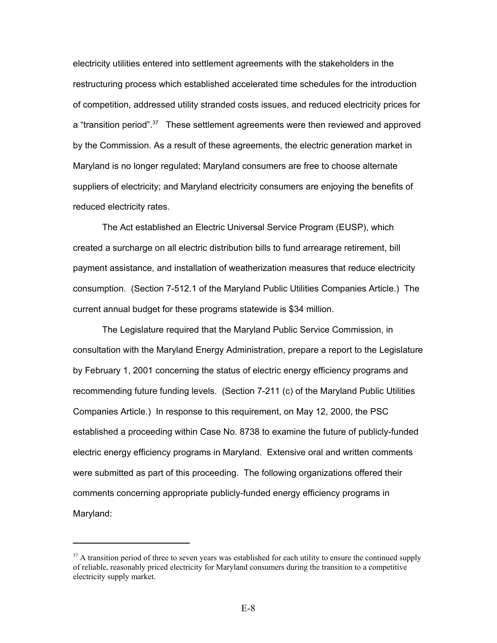electricity utilities entered into settlement agreements with the stakeholders in the restructuring process which established accelerated time schedules for the introduction of competition, addressed utility stranded costs issues, and reduced electricity prices for a "transition period".<sup>37</sup> These settlement agreements were then reviewed and approved by the Commission. As a result of these agreements, the electric generation market in Maryland is no longer regulated; Maryland consumers are free to choose alternate suppliers of electricity; and Maryland electricity consumers are enjoying the benefits of reduced electricity rates.

The Act established an Electric Universal Service Program (EUSP), which created a surcharge on all electric distribution bills to fund arrearage retirement, bill payment assistance, and installation of weatherization measures that reduce electricity consumption. (Section 7-512.1 of the Maryland Public Utilities Companies Article.) The current annual budget for these programs statewide is \$34 million.

The Legislature required that the Maryland Public Service Commission, in consultation with the Maryland Energy Administration, prepare a report to the Legislature by February 1, 2001 concerning the status of electric energy efficiency programs and recommending future funding levels. (Section 7-211 (c) of the Maryland Public Utilities Companies Article.) In response to this requirement, on May 12, 2000, the PSC established a proceeding within Case No. 8738 to examine the future of publicly-funded electric energy efficiency programs in Maryland. Extensive oral and written comments were submitted as part of this proceeding. The following organizations offered their comments concerning appropriate publicly-funded energy efficiency programs in Maryland:

<sup>&</sup>lt;sup>37</sup> A transition period of three to seven years was established for each utility to ensure the continued supply of reliable, reasonably priced electricity for Maryland consumers during the transition to a competitive electricity supply market.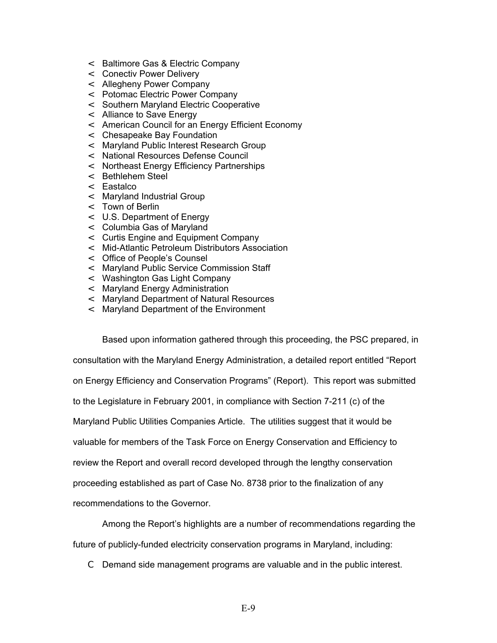- < Baltimore Gas & Electric Company
- < Conectiv Power Delivery
- < Allegheny Power Company
- < Potomac Electric Power Company
- < Southern Maryland Electric Cooperative
- < Alliance to Save Energy
- < American Council for an Energy Efficient Economy
- < Chesapeake Bay Foundation
- < Maryland Public Interest Research Group
- < National Resources Defense Council
- < Northeast Energy Efficiency Partnerships
- < Bethlehem Steel
- < Eastalco
- < Maryland Industrial Group
- < Town of Berlin
- < U.S. Department of Energy
- < Columbia Gas of Maryland
- < Curtis Engine and Equipment Company
- < Mid-Atlantic Petroleum Distributors Association
- < Office of People's Counsel
- < Maryland Public Service Commission Staff
- < Washington Gas Light Company
- < Maryland Energy Administration
- < Maryland Department of Natural Resources
- < Maryland Department of the Environment

Based upon information gathered through this proceeding, the PSC prepared, in consultation with the Maryland Energy Administration, a detailed report entitled "Report on Energy Efficiency and Conservation Programs" (Report). This report was submitted to the Legislature in February 2001, in compliance with Section 7-211 (c) of the Maryland Public Utilities Companies Article. The utilities suggest that it would be valuable for members of the Task Force on Energy Conservation and Efficiency to review the Report and overall record developed through the lengthy conservation proceeding established as part of Case No. 8738 prior to the finalization of any recommendations to the Governor.

Among the Report's highlights are a number of recommendations regarding the future of publicly-funded electricity conservation programs in Maryland, including:

C Demand side management programs are valuable and in the public interest.